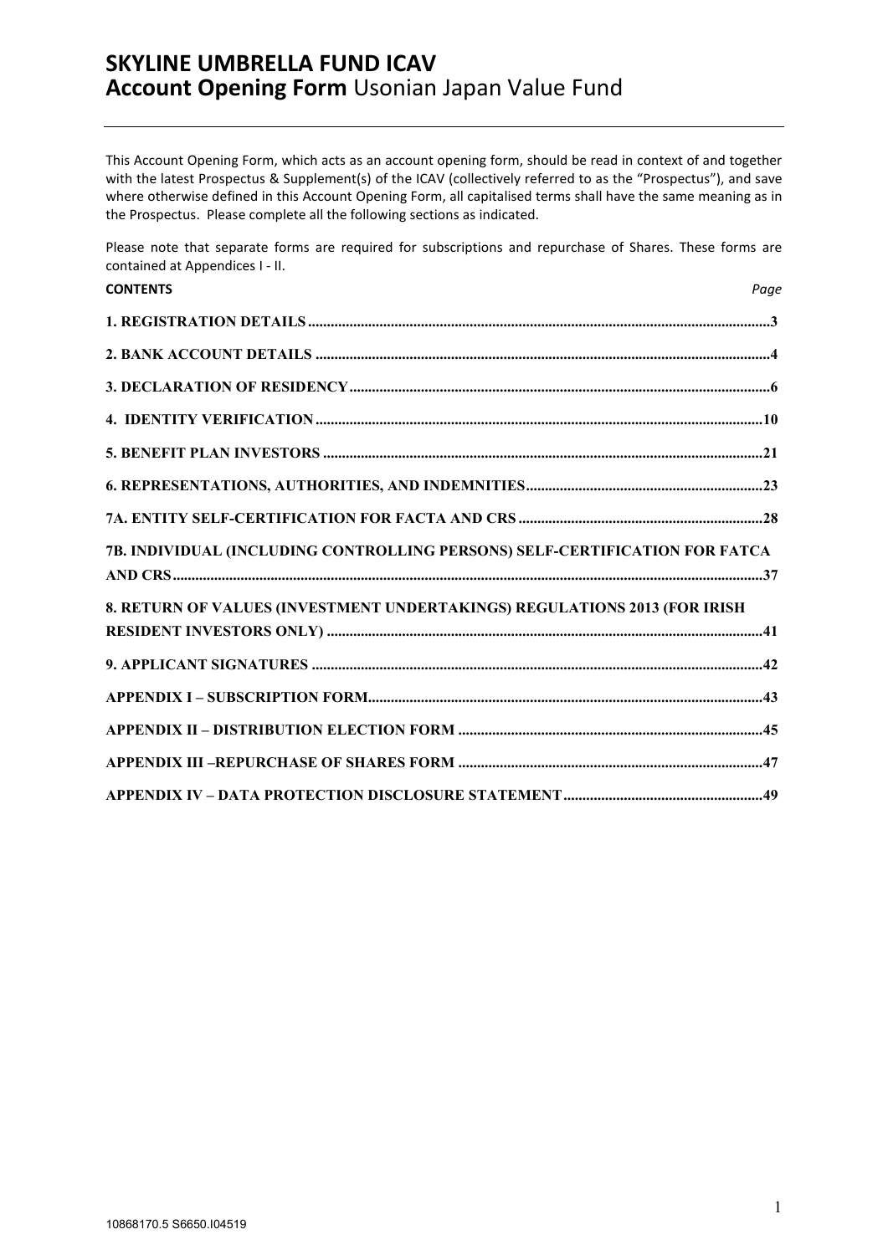This Account Opening Form, which acts as an account opening form, should be read in context of and together with the latest Prospectus & Supplement(s) of the ICAV (collectively referred to as the "Prospectus"), and save where otherwise defined in this Account Opening Form, all capitalised terms shall have the same meaning as in the Prospectus. Please complete all the following sections as indicated.

Please note that separate forms are required for subscriptions and repurchase of Shares. These forms are contained at Appendices I - II.

| <b>CONTENTS</b>                                                             | Page |
|-----------------------------------------------------------------------------|------|
|                                                                             |      |
|                                                                             |      |
|                                                                             |      |
|                                                                             |      |
|                                                                             |      |
|                                                                             |      |
|                                                                             |      |
| 7B. INDIVIDUAL (INCLUDING CONTROLLING PERSONS) SELF-CERTIFICATION FOR FATCA |      |
| 8. RETURN OF VALUES (INVESTMENT UNDERTAKINGS) REGULATIONS 2013 (FOR IRISH   |      |
|                                                                             |      |
|                                                                             |      |
|                                                                             |      |
|                                                                             |      |
|                                                                             |      |
|                                                                             |      |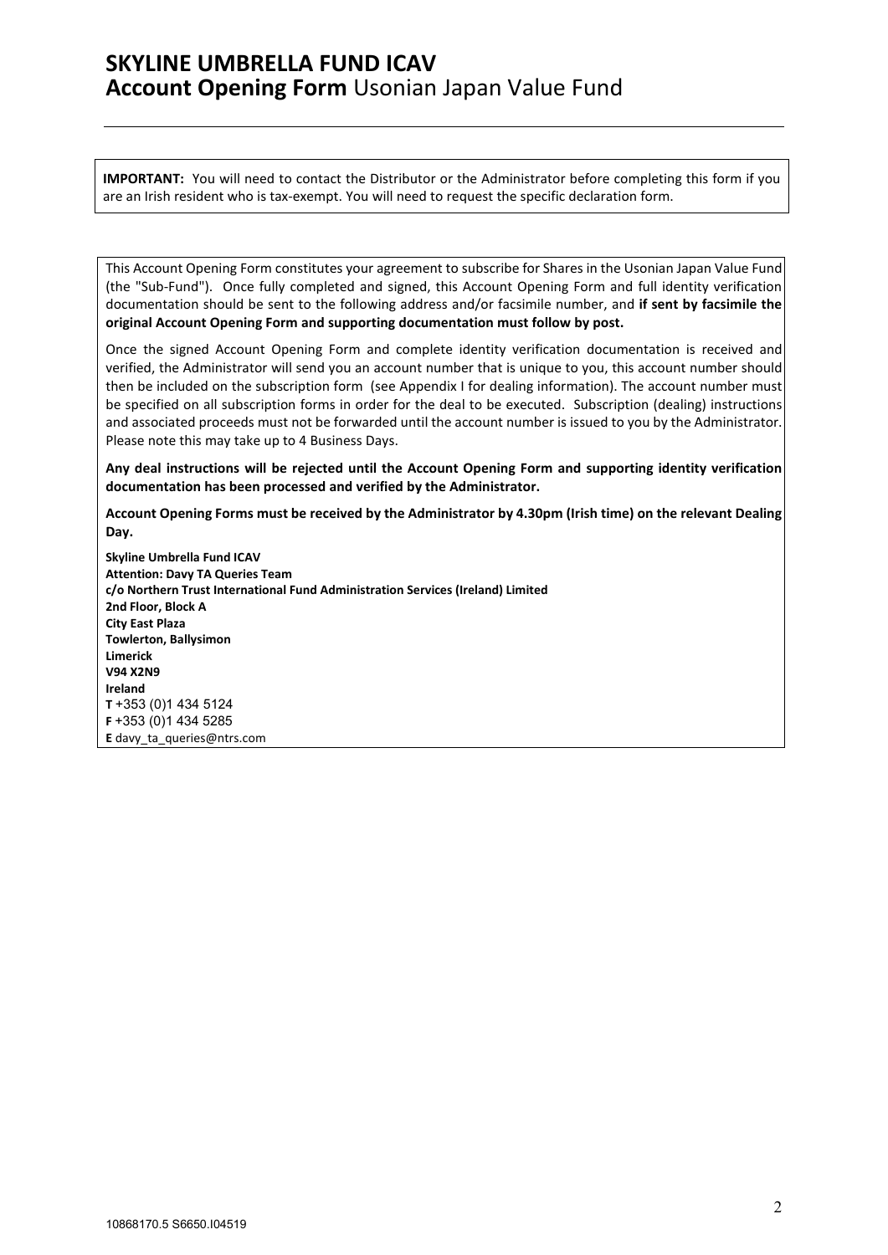**IMPORTANT:** You will need to contact the Distributor or the Administrator before completing this form if you are an Irish resident who is tax-exempt. You will need to request the specific declaration form.

This Account Opening Form constitutes your agreement to subscribe for Shares in the Usonian Japan Value Fund (the "Sub-Fund"). Once fully completed and signed, this Account Opening Form and full identity verification documentation should be sent to the following address and/or facsimile number, and **if sent by facsimile the original Account Opening Form and supporting documentation must follow by post.**

Once the signed Account Opening Form and complete identity verification documentation is received and verified, the Administrator will send you an account number that is unique to you, this account number should then be included on the subscription form (see Appendix I for dealing information). The account number must be specified on all subscription forms in order for the deal to be executed. Subscription (dealing) instructions and associated proceeds must not be forwarded until the account number is issued to you by the Administrator. Please note this may take up to 4 Business Days.

**Any deal instructions will be rejected until the Account Opening Form and supporting identity verification documentation has been processed and verified by the Administrator.**

**Account Opening Forms must be received by the Administrator by 4.30pm (Irish time) on the relevant Dealing Day.**

**Skyline Umbrella Fund ICAV Attention: Davy TA Queries Team c/o Northern Trust International Fund Administration Services (Ireland) Limited 2nd Floor, Block A City East Plaza Towlerton, Ballysimon Limerick V94 X2N9 Ireland T** +353 (0)1 434 5124 **F** +353 (0)1 434 5285 **E** [davy\\_ta\\_queries@ntrs.com](mailto:davy_ta_queries@ntrs.com)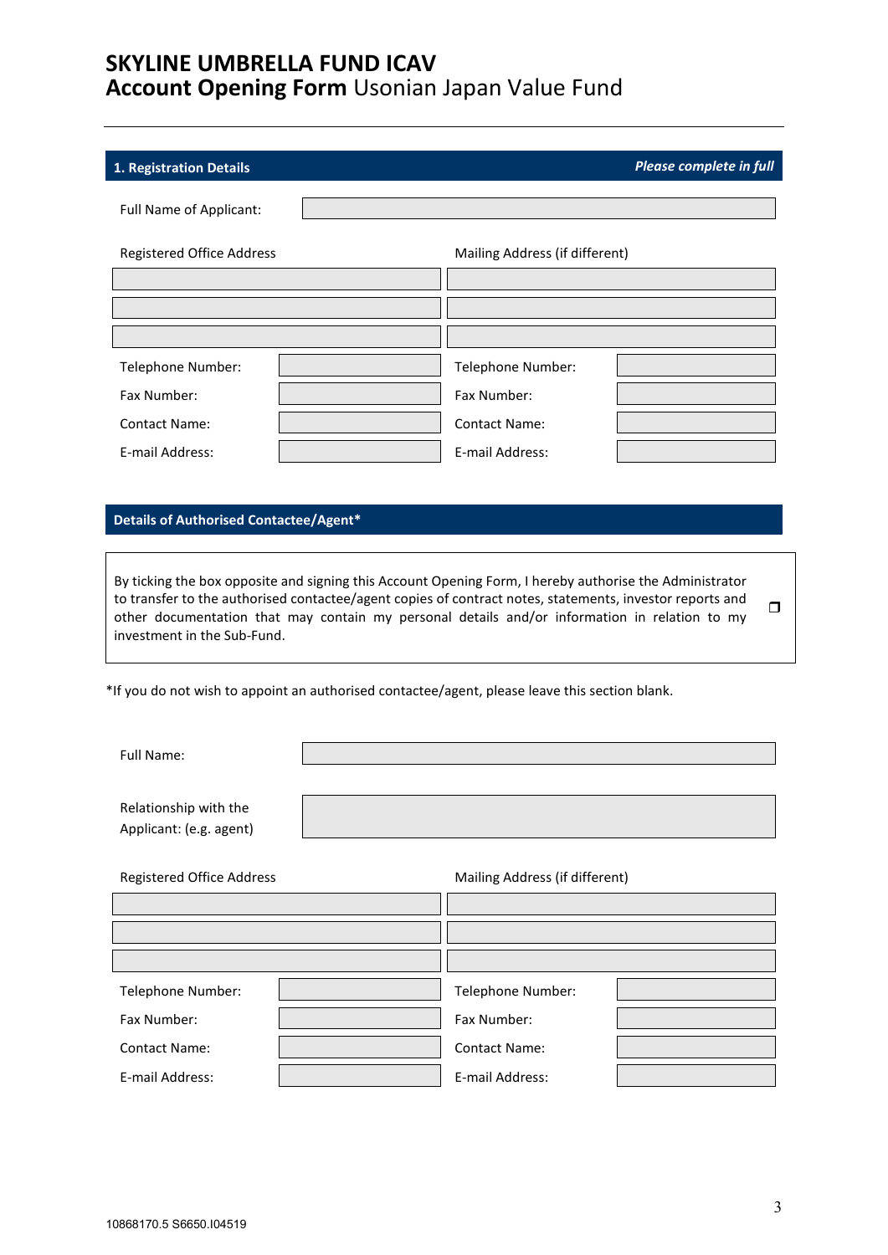Г

### <span id="page-2-0"></span>**1. Registration Details** *Please complete in full*

| Full Name of Applicant:   |                                |  |  |  |
|---------------------------|--------------------------------|--|--|--|
| Registered Office Address | Mailing Address (if different) |  |  |  |
|                           |                                |  |  |  |
|                           |                                |  |  |  |
|                           |                                |  |  |  |
| Telephone Number:         | Telephone Number:              |  |  |  |
| Fax Number:               | Fax Number:                    |  |  |  |
| <b>Contact Name:</b>      | <b>Contact Name:</b>           |  |  |  |
| E-mail Address:           | E-mail Address:                |  |  |  |

### **Details of Authorised Contactee/Agent\***

By ticking the box opposite and signing this Account Opening Form, I hereby authorise the Administrator to transfer to the authorised contactee/agent copies of contract notes, statements, investor reports and other documentation that may contain my personal details and/or information in relation to my investment in the Sub-Fund.  $\Box$ 

\*If you do not wish to appoint an authorised contactee/agent, please leave this section blank.

Full Name:

Relationship with the Applicant: (e.g. agent)

Registered Office Address Mailing Address (if different)

| Telephone Number:    | Telephone Number:    |  |
|----------------------|----------------------|--|
| Fax Number:          | Fax Number:          |  |
| <b>Contact Name:</b> | <b>Contact Name:</b> |  |
| E-mail Address:      | E-mail Address:      |  |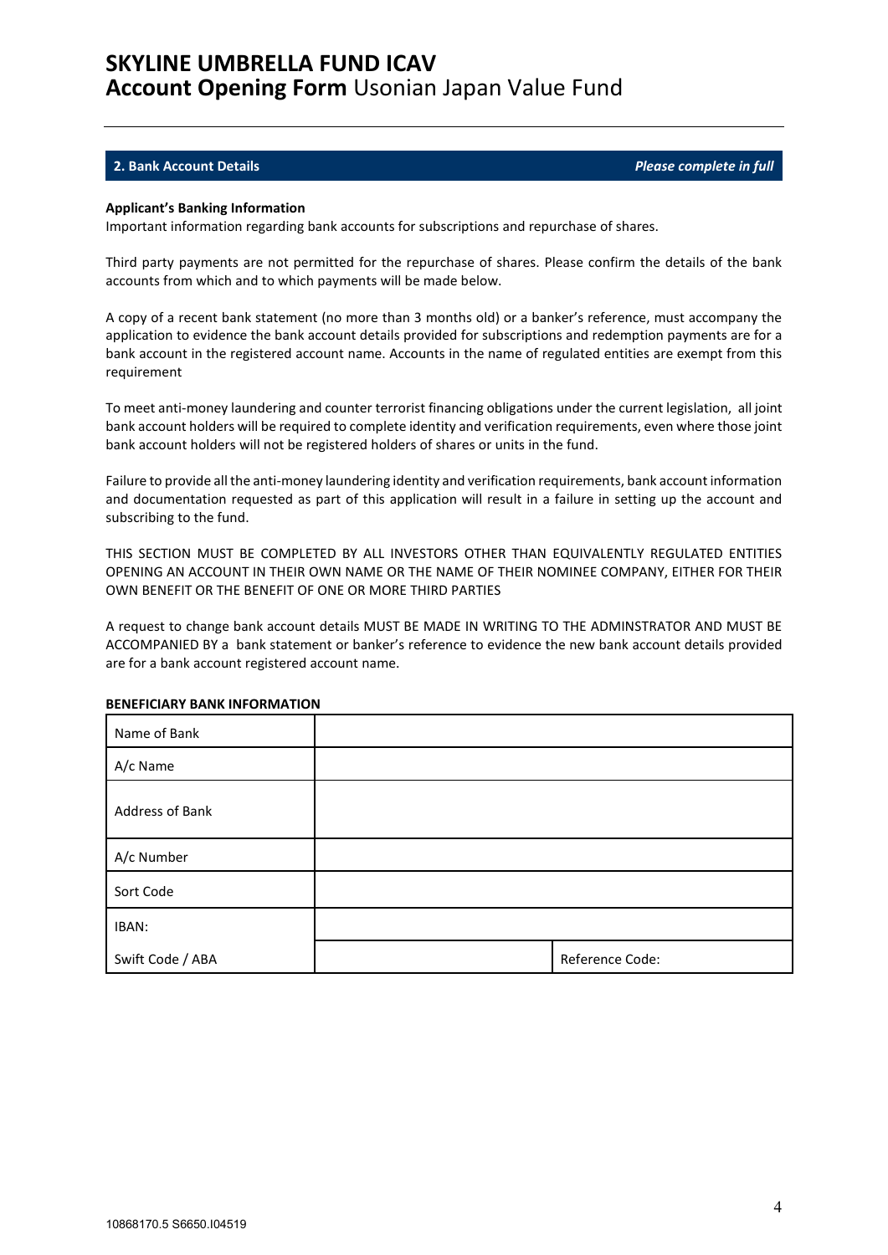### <span id="page-3-0"></span>**2. Bank Account Details** *Please complete in full*

#### **Applicant's Banking Information**

Important information regarding bank accounts for subscriptions and repurchase of shares.

Third party payments are not permitted for the repurchase of shares. Please confirm the details of the bank accounts from which and to which payments will be made below.

A copy of a recent bank statement (no more than 3 months old) or a banker's reference, must accompany the application to evidence the bank account details provided for subscriptions and redemption payments are for a bank account in the registered account name. Accounts in the name of regulated entities are exempt from this requirement

To meet anti-money laundering and counter terrorist financing obligations under the current legislation, all joint bank account holders will be required to complete identity and verification requirements, even where those joint bank account holders will not be registered holders of shares or units in the fund.

Failure to provide all the anti-money laundering identity and verification requirements, bank account information and documentation requested as part of this application will result in a failure in setting up the account and subscribing to the fund.

THIS SECTION MUST BE COMPLETED BY ALL INVESTORS OTHER THAN EQUIVALENTLY REGULATED ENTITIES OPENING AN ACCOUNT IN THEIR OWN NAME OR THE NAME OF THEIR NOMINEE COMPANY, EITHER FOR THEIR OWN BENEFIT OR THE BENEFIT OF ONE OR MORE THIRD PARTIES

A request to change bank account details MUST BE MADE IN WRITING TO THE ADMINSTRATOR AND MUST BE ACCOMPANIED BY a bank statement or banker's reference to evidence the new bank account details provided are for a bank account registered account name.

| Name of Bank     |                 |
|------------------|-----------------|
| A/c Name         |                 |
| Address of Bank  |                 |
| A/c Number       |                 |
| Sort Code        |                 |
| IBAN:            |                 |
| Swift Code / ABA | Reference Code: |

#### **BENEFICIARY BANK INFORMATION**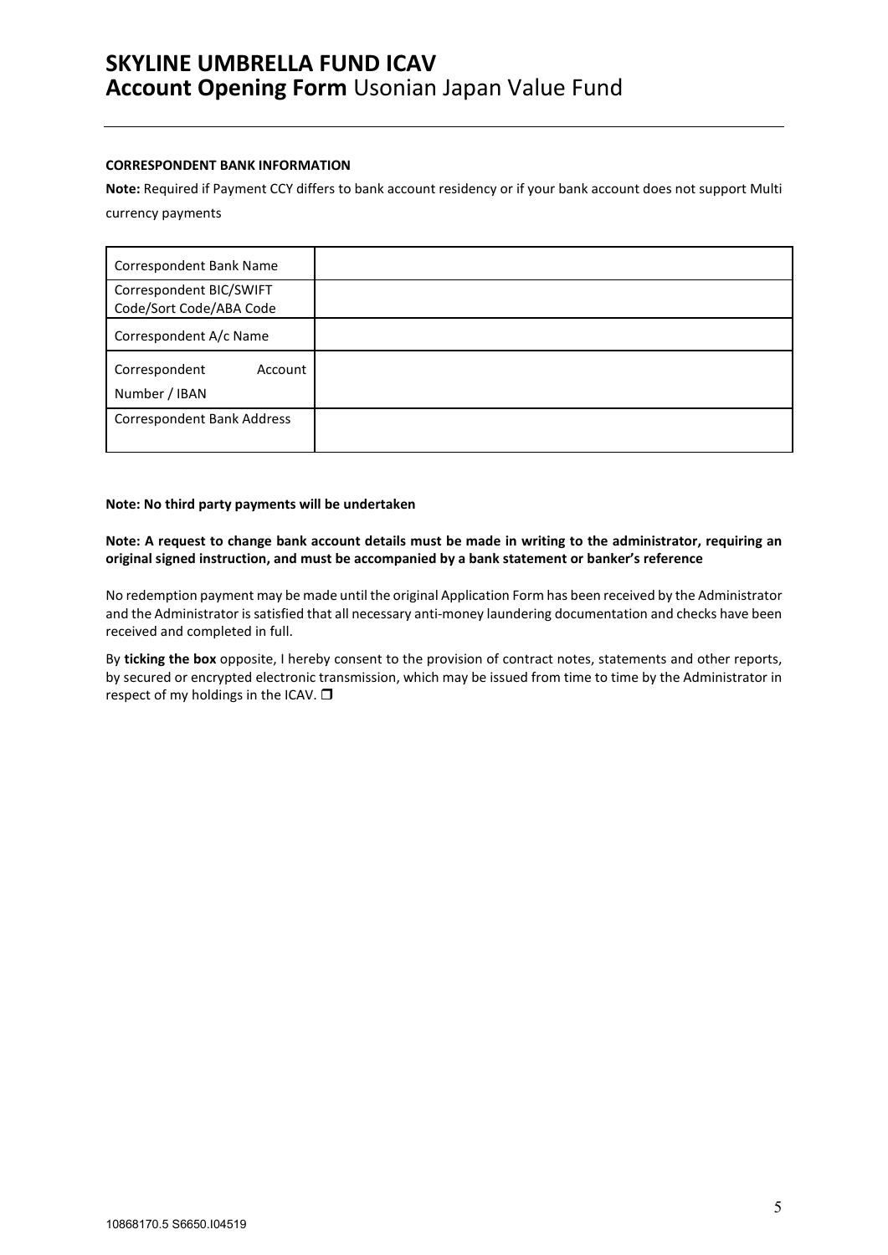### **CORRESPONDENT BANK INFORMATION**

**Note:** Required if Payment CCY differs to bank account residency or if your bank account does not support Multi currency payments

| Correspondent Bank Name                            |  |
|----------------------------------------------------|--|
| Correspondent BIC/SWIFT<br>Code/Sort Code/ABA Code |  |
| Correspondent A/c Name                             |  |
| Correspondent<br>Account<br>Number / IBAN          |  |
| <b>Correspondent Bank Address</b>                  |  |

### **Note: No third party payments will be undertaken**

**Note: A request to change bank account details must be made in writing to the administrator, requiring an original signed instruction, and must be accompanied by a bank statement or banker's reference**

No redemption payment may be made until the original Application Form has been received by the Administrator and the Administrator is satisfied that all necessary anti-money laundering documentation and checks have been received and completed in full.

By **ticking the box** opposite, I hereby consent to the provision of contract notes, statements and other reports, by secured or encrypted electronic transmission, which may be issued from time to time by the Administrator in respect of my holdings in the ICAV.  $\Box$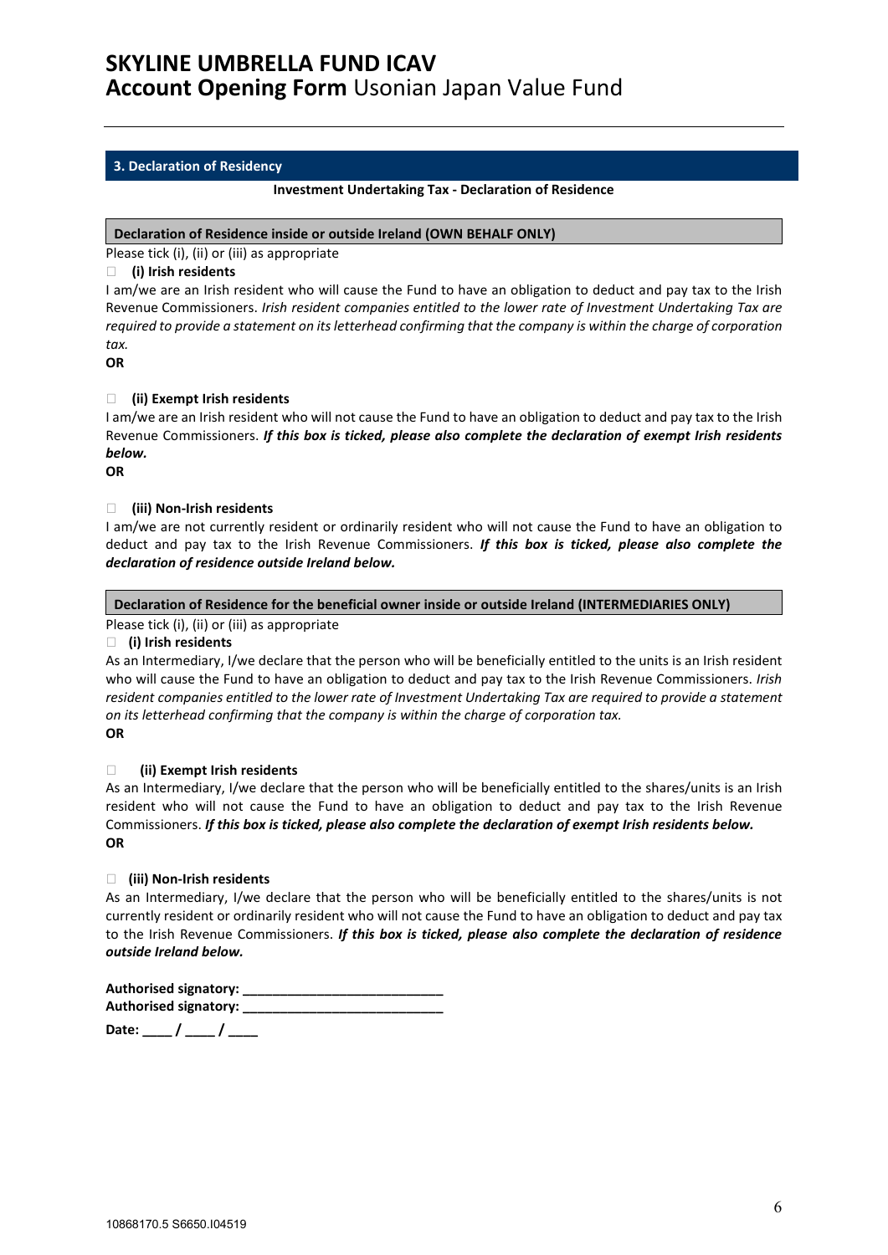### <span id="page-5-0"></span>**3. Declaration of Residency**

#### **Investment Undertaking Tax - Declaration of Residence**

### **Declaration of Residence inside or outside Ireland (OWN BEHALF ONLY)**

Please tick (i), (ii) or (iii) as appropriate

### **(i) Irish residents**

I am/we are an Irish resident who will cause the Fund to have an obligation to deduct and pay tax to the Irish Revenue Commissioners. *Irish resident companies entitled to the lower rate of Investment Undertaking Tax are required to provide a statement on its letterhead confirming that the company is within the charge of corporation tax.*

**OR**

### **(ii) Exempt Irish residents**

I am/we are an Irish resident who will not cause the Fund to have an obligation to deduct and pay tax to the Irish Revenue Commissioners. *If this box is ticked, please also complete the declaration of exempt Irish residents below.*

**OR**

### **(iii) Non-Irish residents**

I am/we are not currently resident or ordinarily resident who will not cause the Fund to have an obligation to deduct and pay tax to the Irish Revenue Commissioners. *If this box is ticked, please also complete the declaration of residence outside Ireland below.*

### **Declaration of Residence for the beneficial owner inside or outside Ireland (INTERMEDIARIES ONLY)**

### Please tick (i), (ii) or (iii) as appropriate

**(i) Irish residents**

As an Intermediary, I/we declare that the person who will be beneficially entitled to the units is an Irish resident who will cause the Fund to have an obligation to deduct and pay tax to the Irish Revenue Commissioners. *Irish resident companies entitled to the lower rate of Investment Undertaking Tax are required to provide a statement on its letterhead confirming that the company is within the charge of corporation tax.* **OR**

### **(ii) Exempt Irish residents**

As an Intermediary, I/we declare that the person who will be beneficially entitled to the shares/units is an Irish resident who will not cause the Fund to have an obligation to deduct and pay tax to the Irish Revenue Commissioners. *If this box is ticked, please also complete the declaration of exempt Irish residents below.* **OR**

### **(iii) Non-Irish residents**

As an Intermediary, I/we declare that the person who will be beneficially entitled to the shares/units is not currently resident or ordinarily resident who will not cause the Fund to have an obligation to deduct and pay tax to the Irish Revenue Commissioners. *If this box is ticked, please also complete the declaration of residence outside Ireland below.*

**Authorised signatory: \_\_\_\_\_\_\_\_\_\_\_\_\_\_\_\_\_\_\_\_\_\_\_\_\_\_\_ Authorised signatory: \_\_\_\_\_\_\_\_\_\_\_\_\_\_\_\_\_\_\_\_\_\_\_\_\_\_\_ Date: \_\_\_\_ / \_\_\_\_ / \_\_\_\_**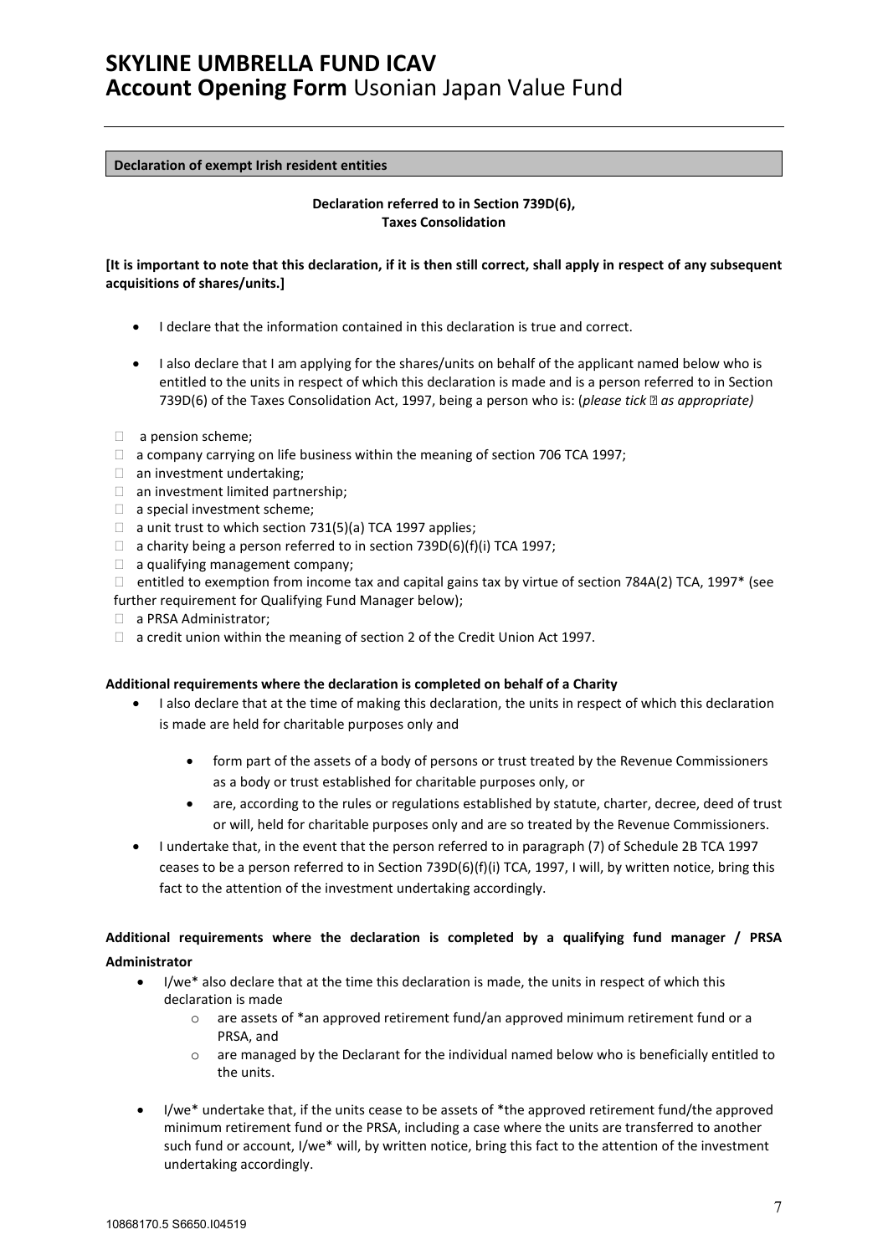### **Declaration of exempt Irish resident entities**

### **Declaration referred to in Section 739D(6), Taxes Consolidation**

### **[It is important to note that this declaration, if it is then still correct, shall apply in respect of any subsequent acquisitions of shares/units.]**

- I declare that the information contained in this declaration is true and correct.
- I also declare that I am applying for the shares/units on behalf of the applicant named below who is entitled to the units in respect of which this declaration is made and is a person referred to in Section 739D(6) of the Taxes Consolidation Act, 1997, being a person who is: (*please tick as appropriate)*
- □ a pension scheme;
- $\Box$  a company carrying on life business within the meaning of section 706 TCA 1997;
- $\Box$  an investment undertaking;
- an investment limited partnership;
- a special investment scheme;
- $\Box$  a unit trust to which section 731(5)(a) TCA 1997 applies;
- $\Box$  a charity being a person referred to in section 739D(6)(f)(i) TCA 1997;
- $\Box$  a qualifying management company;
- $\Box$  entitled to exemption from income tax and capital gains tax by virtue of section 784A(2) TCA, 1997\* (see
- further requirement for Qualifying Fund Manager below);
- □ a PRSA Administrator;
- $\Box$  a credit union within the meaning of section 2 of the Credit Union Act 1997.

### **Additional requirements where the declaration is completed on behalf of a Charity**

- I also declare that at the time of making this declaration, the units in respect of which this declaration is made are held for charitable purposes only and
	- form part of the assets of a body of persons or trust treated by the Revenue Commissioners as a body or trust established for charitable purposes only, or
	- are, according to the rules or regulations established by statute, charter, decree, deed of trust or will, held for charitable purposes only and are so treated by the Revenue Commissioners.
- I undertake that, in the event that the person referred to in paragraph (7) of Schedule 2B TCA 1997 ceases to be a person referred to in Section 739D(6)(f)(i) TCA, 1997, I will, by written notice, bring this fact to the attention of the investment undertaking accordingly.

### **Additional requirements where the declaration is completed by a qualifying fund manager / PRSA Administrator**

- I/we\* also declare that at the time this declaration is made, the units in respect of which this declaration is made
	- o are assets of \*an approved retirement fund/an approved minimum retirement fund or a PRSA, and
	- $\circ$  are managed by the Declarant for the individual named below who is beneficially entitled to the units.
- I/we\* undertake that, if the units cease to be assets of \*the approved retirement fund/the approved minimum retirement fund or the PRSA, including a case where the units are transferred to another such fund or account, I/we\* will, by written notice, bring this fact to the attention of the investment undertaking accordingly.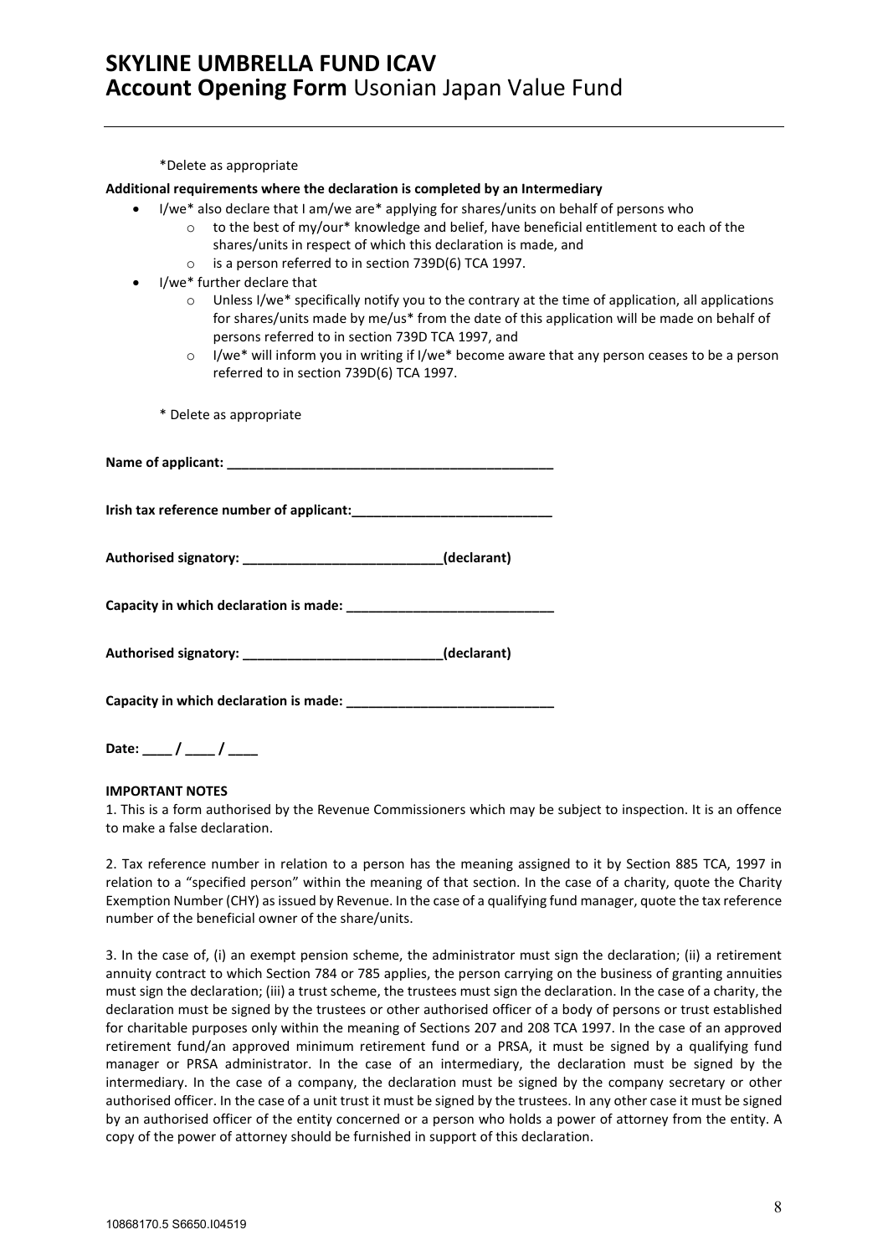\*Delete as appropriate

#### **Additional requirements where the declaration is completed by an Intermediary**

- I/we\* also declare that I am/we are\* applying for shares/units on behalf of persons who
	- $\circ$  to the best of my/our\* knowledge and belief, have beneficial entitlement to each of the shares/units in respect of which this declaration is made, and
		- o is a person referred to in section 739D(6) TCA 1997.
- I/we\* further declare that
	- $\circ$  Unless I/we\* specifically notify you to the contrary at the time of application, all applications for shares/units made by me/us\* from the date of this application will be made on behalf of persons referred to in section 739D TCA 1997, and
	- $\circ$  I/we\* will inform you in writing if I/we\* become aware that any person ceases to be a person referred to in section 739D(6) TCA 1997.

\* Delete as appropriate

| Authorised signatory: _______________________________(declarant) |  |
|------------------------------------------------------------------|--|
|                                                                  |  |
| Authorised signatory: _______________________________(declarant) |  |
|                                                                  |  |

**Date: \_\_\_\_ / \_\_\_\_ / \_\_\_\_**

#### **IMPORTANT NOTES**

1. This is a form authorised by the Revenue Commissioners which may be subject to inspection. It is an offence to make a false declaration.

2. Tax reference number in relation to a person has the meaning assigned to it by Section 885 TCA, 1997 in relation to a "specified person" within the meaning of that section. In the case of a charity, quote the Charity Exemption Number (CHY) as issued by Revenue. In the case of a qualifying fund manager, quote the tax reference number of the beneficial owner of the share/units.

3. In the case of, (i) an exempt pension scheme, the administrator must sign the declaration; (ii) a retirement annuity contract to which Section 784 or 785 applies, the person carrying on the business of granting annuities must sign the declaration; (iii) a trust scheme, the trustees must sign the declaration. In the case of a charity, the declaration must be signed by the trustees or other authorised officer of a body of persons or trust established for charitable purposes only within the meaning of Sections 207 and 208 TCA 1997. In the case of an approved retirement fund/an approved minimum retirement fund or a PRSA, it must be signed by a qualifying fund manager or PRSA administrator. In the case of an intermediary, the declaration must be signed by the intermediary. In the case of a company, the declaration must be signed by the company secretary or other authorised officer. In the case of a unit trust it must be signed by the trustees. In any other case it must be signed by an authorised officer of the entity concerned or a person who holds a power of attorney from the entity. A copy of the power of attorney should be furnished in support of this declaration.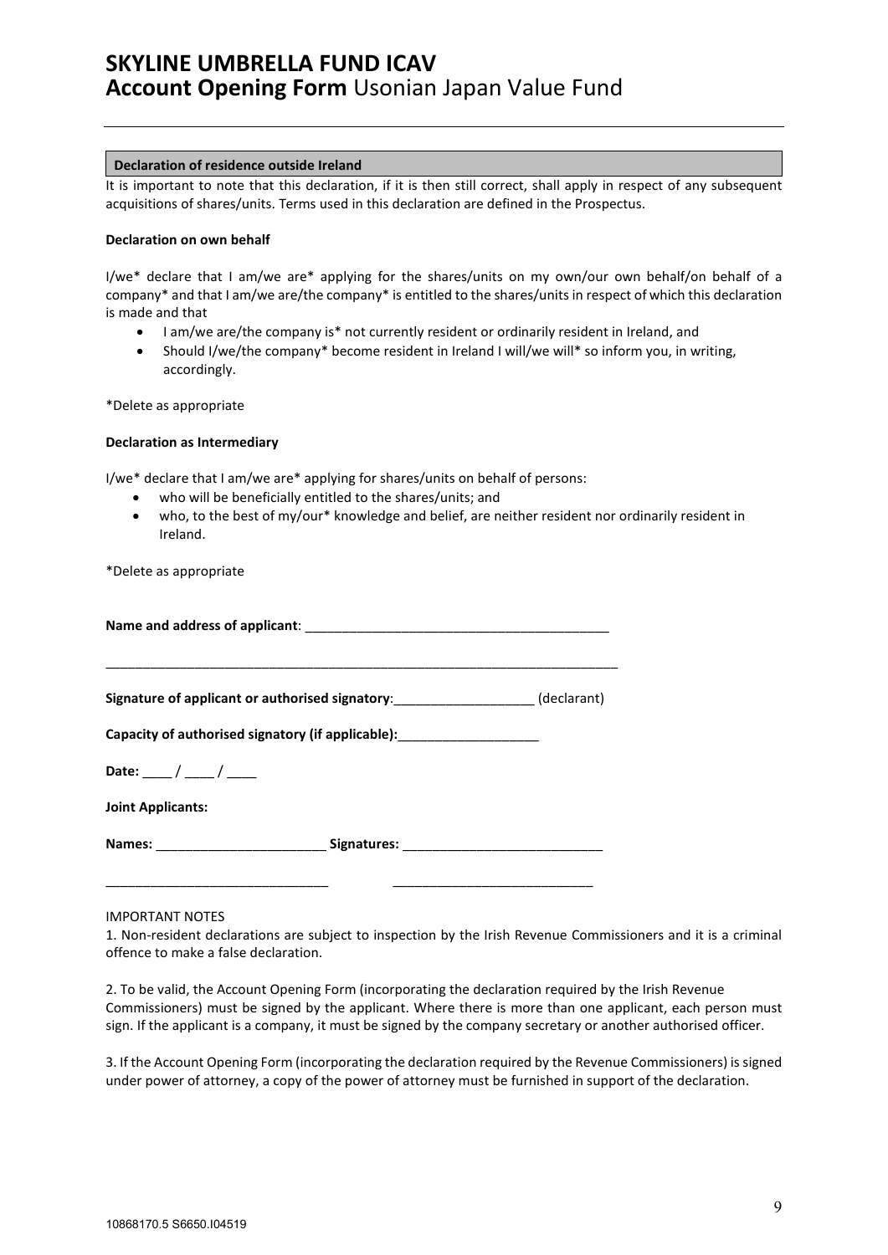### **Declaration of residence outside Ireland**

It is important to note that this declaration, if it is then still correct, shall apply in respect of any subsequent acquisitions of shares/units. Terms used in this declaration are defined in the Prospectus.

### **Declaration on own behalf**

I/we\* declare that I am/we are\* applying for the shares/units on my own/our own behalf/on behalf of a company\* and that I am/we are/the company\* is entitled to the shares/units in respect of which this declaration is made and that

- I am/we are/the company is\* not currently resident or ordinarily resident in Ireland, and
- Should I/we/the company\* become resident in Ireland I will/we will\* so inform you, in writing, accordingly.

\*Delete as appropriate

### **Declaration as Intermediary**

I/we\* declare that I am/we are\* applying for shares/units on behalf of persons:

- who will be beneficially entitled to the shares/units; and
- who, to the best of my/our\* knowledge and belief, are neither resident nor ordinarily resident in Ireland.

\*Delete as appropriate

| Signature of applicant or authorised signatory: ___________________(declarant)   |  |  |  |  |
|----------------------------------------------------------------------------------|--|--|--|--|
| Capacity of authorised signatory (if applicable): ________________________       |  |  |  |  |
| Date: ____/ ____/ ____                                                           |  |  |  |  |
| <b>Joint Applicants:</b>                                                         |  |  |  |  |
| Names: __________________________________Signatures: ___________________________ |  |  |  |  |

\_\_\_\_\_\_\_\_\_\_\_\_\_\_\_\_\_\_\_\_\_\_\_\_\_\_\_\_\_\_ \_\_\_\_\_\_\_\_\_\_\_\_\_\_\_\_\_\_\_\_\_\_\_\_\_\_\_

IMPORTANT NOTES

1. Non-resident declarations are subject to inspection by the Irish Revenue Commissioners and it is a criminal offence to make a false declaration.

2. To be valid, the Account Opening Form (incorporating the declaration required by the Irish Revenue Commissioners) must be signed by the applicant. Where there is more than one applicant, each person must sign. If the applicant is a company, it must be signed by the company secretary or another authorised officer.

3. If the Account Opening Form (incorporating the declaration required by the Revenue Commissioners) is signed under power of attorney, a copy of the power of attorney must be furnished in support of the declaration.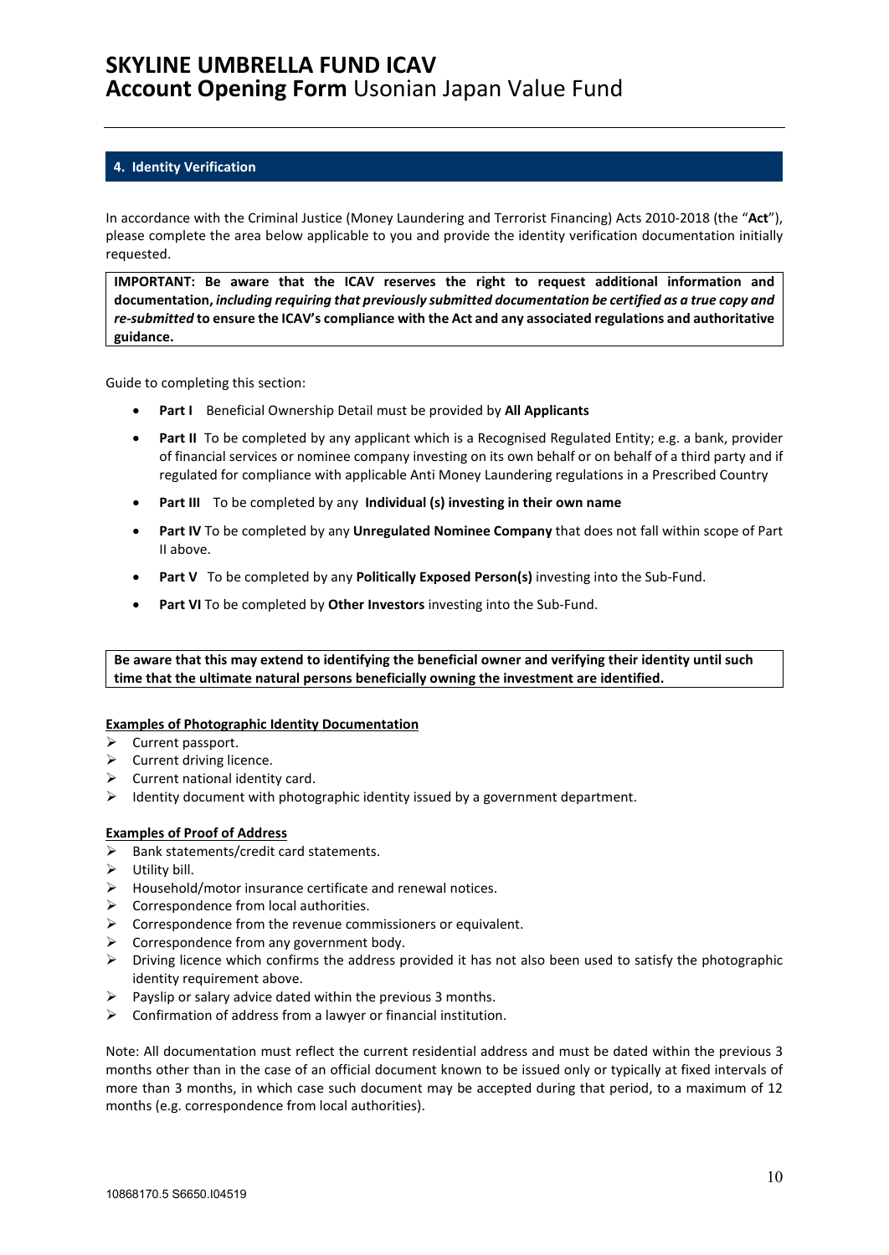### <span id="page-9-0"></span>**4. Identity Verification**

In accordance with the Criminal Justice (Money Laundering and Terrorist Financing) Acts 2010-2018 (the "**Act**"), please complete the area below applicable to you and provide the identity verification documentation initially requested.

**IMPORTANT: Be aware that the ICAV reserves the right to request additional information and documentation,** *including requiring that previously submitted documentation be certified as a true copy and re-submitted* **to ensure the ICAV's compliance with the Act and any associated regulations and authoritative guidance.**

Guide to completing this section:

- **Part I** Beneficial Ownership Detail must be provided by **All Applicants**
- **Part II** To be completed by any applicant which is a Recognised Regulated Entity; e.g. a bank, provider of financial services or nominee company investing on its own behalf or on behalf of a third party and if regulated for compliance with applicable Anti Money Laundering regulations in a Prescribed Country
- **Part III** To be completed by any **Individual (s) investing in their own name**
- **Part IV** To be completed by any **Unregulated Nominee Company** that does not fall within scope of Part II above.
- **Part V** To be completed by any **Politically Exposed Person(s)** investing into the Sub-Fund.
- **Part VI** To be completed by **Other Investors** investing into the Sub-Fund.

**Be aware that this may extend to identifying the beneficial owner and verifying their identity until such time that the ultimate natural persons beneficially owning the investment are identified.**

### **Examples of Photographic Identity Documentation**

- $\triangleright$  Current passport.
- $\triangleright$  Current driving licence.
- $\triangleright$  Current national identity card.
- $\triangleright$  Identity document with photographic identity issued by a government department.

### **Examples of Proof of Address**

- $\triangleright$  Bank statements/credit card statements.
- $\triangleright$  Utility bill.
- $\triangleright$  Household/motor insurance certificate and renewal notices.
- $\triangleright$  Correspondence from local authorities.
- $\triangleright$  Correspondence from the revenue commissioners or equivalent.
- $\triangleright$  Correspondence from any government body.
- $\triangleright$  Driving licence which confirms the address provided it has not also been used to satisfy the photographic identity requirement above.
- $\triangleright$  Payslip or salary advice dated within the previous 3 months.
- $\triangleright$  Confirmation of address from a lawyer or financial institution.

Note: All documentation must reflect the current residential address and must be dated within the previous 3 months other than in the case of an official document known to be issued only or typically at fixed intervals of more than 3 months, in which case such document may be accepted during that period, to a maximum of 12 months (e.g. correspondence from local authorities).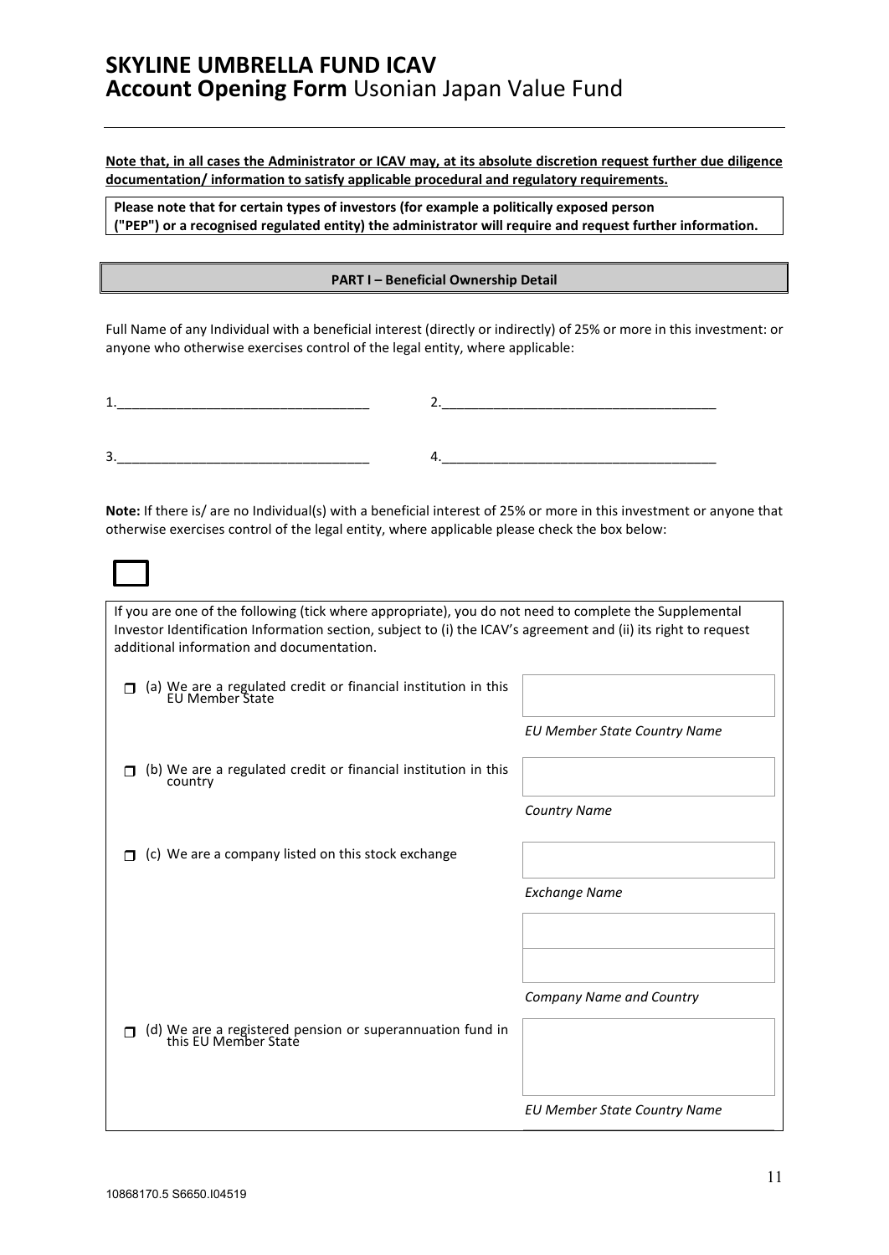**Note that, in all cases the Administrator or ICAV may, at its absolute discretion request further due diligence documentation/ information to satisfy applicable procedural and regulatory requirements.** 

**Please note that for certain types of investors (for example a politically exposed person ("PEP") or a recognised regulated entity) the administrator will require and request further information.**

**PART I – Beneficial Ownership Detail**

Full Name of any Individual with a beneficial interest (directly or indirectly) of 25% or more in this investment: or anyone who otherwise exercises control of the legal entity, where applicable:

| <u>. на с</u>                        |                  |
|--------------------------------------|------------------|
|                                      |                  |
|                                      |                  |
| $\overline{\phantom{a}}$<br>≺<br>، پ | _______<br>_____ |

**Note:** If there is/ are no Individual(s) with a beneficial interest of 25% or more in this investment or anyone that otherwise exercises control of the legal entity, where applicable please check the box below:

| If you are one of the following (tick where appropriate), you do not need to complete the Supplemental<br>Investor Identification Information section, subject to (i) the ICAV's agreement and (ii) its right to request<br>additional information and documentation. |                                     |
|-----------------------------------------------------------------------------------------------------------------------------------------------------------------------------------------------------------------------------------------------------------------------|-------------------------------------|
| (a) We are a regulated credit or financial institution in this EU Member State                                                                                                                                                                                        |                                     |
|                                                                                                                                                                                                                                                                       | <b>EU Member State Country Name</b> |
| (b) We are a regulated credit or financial institution in this<br>country                                                                                                                                                                                             |                                     |
|                                                                                                                                                                                                                                                                       | <b>Country Name</b>                 |
| (c) We are a company listed on this stock exchange                                                                                                                                                                                                                    |                                     |
|                                                                                                                                                                                                                                                                       | <b>Exchange Name</b>                |
|                                                                                                                                                                                                                                                                       |                                     |
|                                                                                                                                                                                                                                                                       |                                     |
|                                                                                                                                                                                                                                                                       | Company Name and Country            |
| (d) We are a registered pension or superannuation fund in<br>this EU Member State                                                                                                                                                                                     |                                     |
|                                                                                                                                                                                                                                                                       |                                     |
|                                                                                                                                                                                                                                                                       | <b>EU Member State Country Name</b> |
|                                                                                                                                                                                                                                                                       |                                     |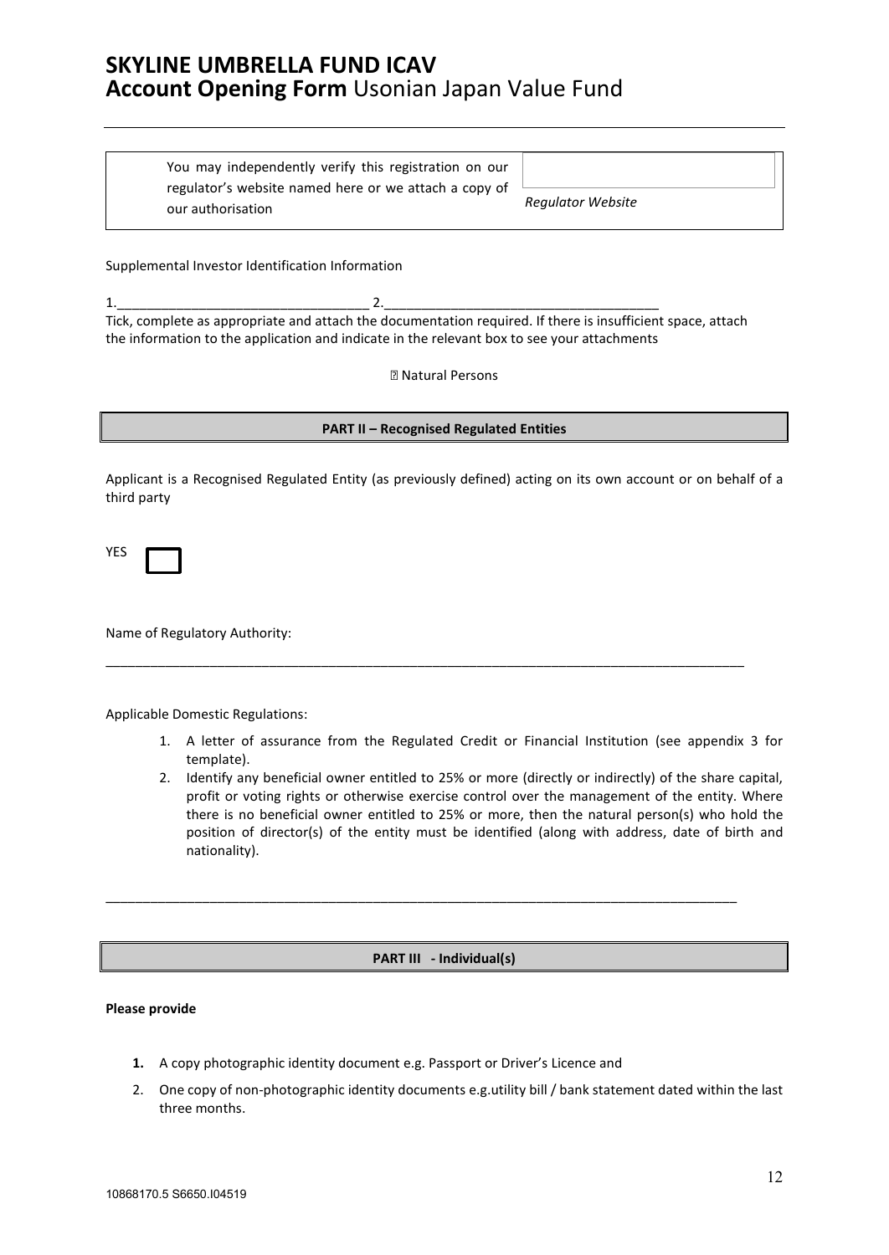You may independently verify this registration on our regulator's website named here or we attach a copy of our authorisation *Regulator Website*

Supplemental Investor Identification Information

1.\_\_\_\_\_\_\_\_\_\_\_\_\_\_\_\_\_\_\_\_\_\_\_\_\_\_\_\_\_\_\_\_\_\_ 2.\_\_\_\_\_\_\_\_\_\_\_\_\_\_\_\_\_\_\_\_\_\_\_\_\_\_\_\_\_\_\_\_\_\_\_\_\_ Tick, complete as appropriate and attach the documentation required. If there is insufficient space, attach the information to the application and indicate in the relevant box to see your attachments

**2 Natural Persons** 

#### **PART II – Recognised Regulated Entities**

Applicant is a Recognised Regulated Entity (as previously defined) acting on its own account or on behalf of a third party

\_\_\_\_\_\_\_\_\_\_\_\_\_\_\_\_\_\_\_\_\_\_\_\_\_\_\_\_\_\_\_\_\_\_\_\_\_\_\_\_\_\_\_\_\_\_\_\_\_\_\_\_\_\_\_\_\_\_\_\_\_\_\_\_\_\_\_\_\_\_\_\_\_\_\_\_\_\_\_\_\_\_\_\_\_\_

YES

Name of Regulatory Authority:

Applicable Domestic Regulations:

- 1. A letter of assurance from the Regulated Credit or Financial Institution (see appendix 3 for template).
- 2. Identify any beneficial owner entitled to 25% or more (directly or indirectly) of the share capital, profit or voting rights or otherwise exercise control over the management of the entity. Where there is no beneficial owner entitled to 25% or more, then the natural person(s) who hold the position of director(s) of the entity must be identified (along with address, date of birth and nationality).

### **PART III - Individual(s)**

\_\_\_\_\_\_\_\_\_\_\_\_\_\_\_\_\_\_\_\_\_\_\_\_\_\_\_\_\_\_\_\_\_\_\_\_\_\_\_\_\_\_\_\_\_\_\_\_\_\_\_\_\_\_\_\_\_\_\_\_\_\_\_\_\_\_\_\_\_\_\_\_\_\_\_\_\_\_\_\_\_\_\_\_\_

- **1.** A copy photographic identity document e.g. Passport or Driver's Licence and
- 2. One copy of non-photographic identity documents e.g.utility bill / bank statement dated within the last three months.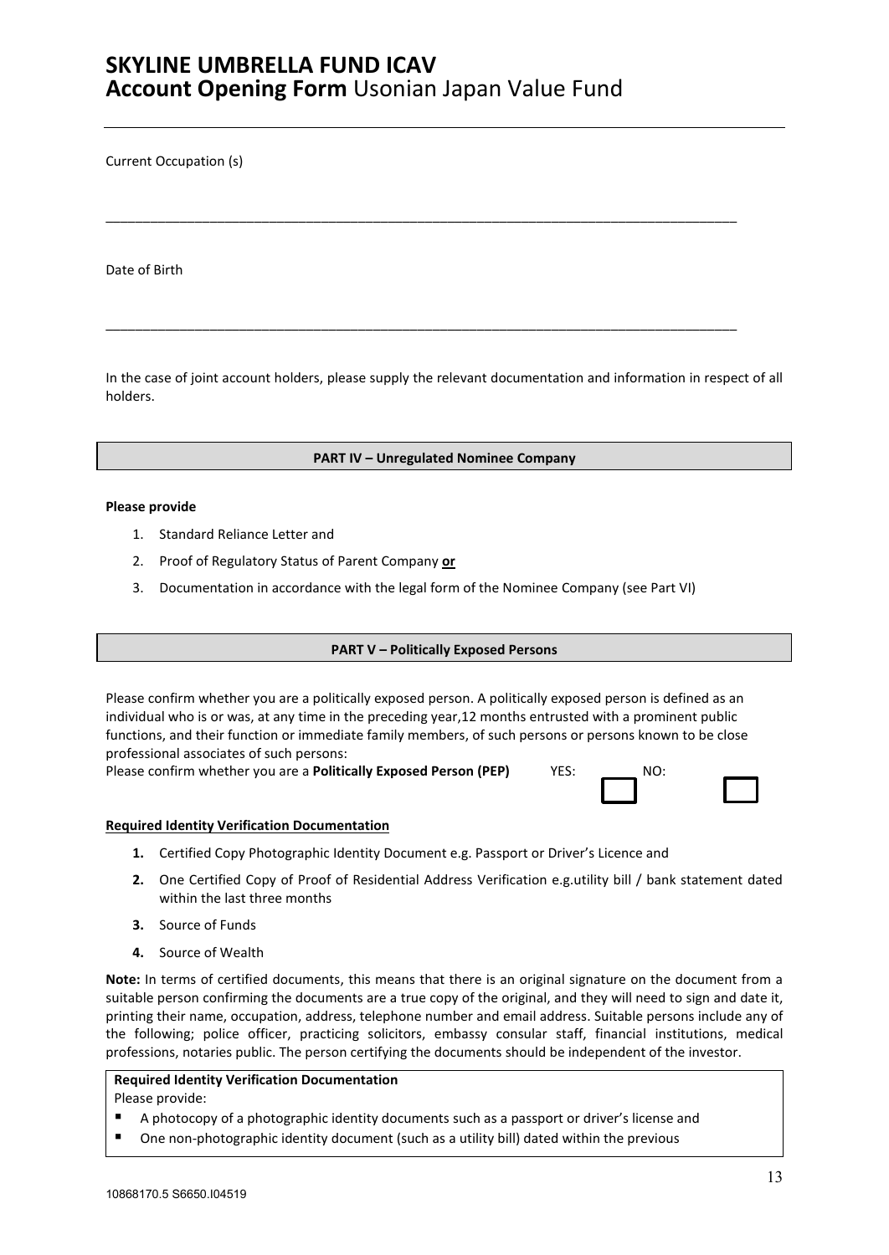Current Occupation (s)

Date of Birth

In the case of joint account holders, please supply the relevant documentation and information in respect of all holders.

\_\_\_\_\_\_\_\_\_\_\_\_\_\_\_\_\_\_\_\_\_\_\_\_\_\_\_\_\_\_\_\_\_\_\_\_\_\_\_\_\_\_\_\_\_\_\_\_\_\_\_\_\_\_\_\_\_\_\_\_\_\_\_\_\_\_\_\_\_\_\_\_\_\_\_\_\_\_\_\_\_\_\_\_\_

\_\_\_\_\_\_\_\_\_\_\_\_\_\_\_\_\_\_\_\_\_\_\_\_\_\_\_\_\_\_\_\_\_\_\_\_\_\_\_\_\_\_\_\_\_\_\_\_\_\_\_\_\_\_\_\_\_\_\_\_\_\_\_\_\_\_\_\_\_\_\_\_\_\_\_\_\_\_\_\_\_\_\_\_\_

#### **PART IV – Unregulated Nominee Company**

#### **Please provide**

- 1. Standard Reliance Letter and
- 2. Proof of Regulatory Status of Parent Company **or**
- 3. Documentation in accordance with the legal form of the Nominee Company (see Part VI)

#### **PART V – Politically Exposed Persons**

Please confirm whether you are a politically exposed person. A politically exposed person is defined as an individual who is or was, at any time in the preceding year,12 months entrusted with a prominent public functions, and their function or immediate family members, of such persons or persons known to be close professional associates of such persons:

Please confirm whether you are a **Politically Exposed Person (PEP)** YES: \_\_\_\_\_\_\_ NO:

#### **Required Identity Verification Documentation**

- **1.** Certified Copy Photographic Identity Document e.g. Passport or Driver's Licence and
- **2.** One Certified Copy of Proof of Residential Address Verification e.g.utility bill / bank statement dated within the last three months
- **3.** Source of Funds
- **4.** Source of Wealth

**Note:** In terms of certified documents, this means that there is an original signature on the document from a suitable person confirming the documents are a true copy of the original, and they will need to sign and date it, printing their name, occupation, address, telephone number and email address. Suitable persons include any of the following; police officer, practicing solicitors, embassy consular staff, financial institutions, medical professions, notaries public. The person certifying the documents should be independent of the investor.

### **Required Identity Verification Documentation**

- A photocopy of a photographic identity documents such as a passport or driver's license and
- One non-photographic identity document (such as a utility bill) dated within the previous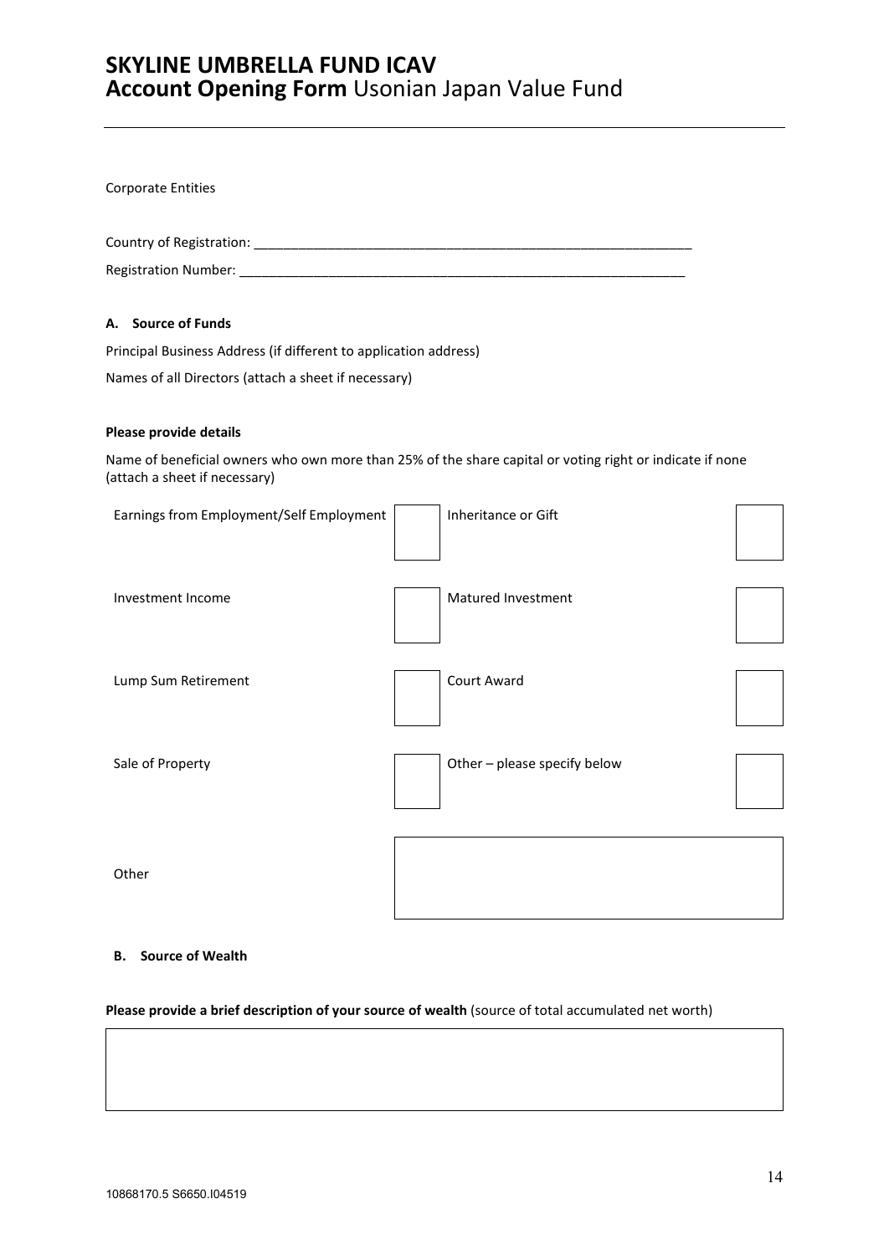Corporate Entities Country of Registration: \_\_\_\_\_\_\_\_\_\_\_\_\_\_\_\_\_\_\_\_\_\_\_\_\_\_\_\_\_\_\_\_\_\_\_\_\_\_\_\_\_\_\_\_\_\_\_\_\_\_\_\_\_\_\_\_\_\_\_ Registration Number: \_\_\_\_\_\_\_\_\_\_\_\_\_\_\_\_\_\_\_\_\_\_\_\_\_\_\_\_\_\_\_\_\_\_\_\_\_\_\_\_\_\_\_\_\_\_\_\_\_\_\_\_\_\_\_\_\_\_\_\_ **A. Source of Funds** Principal Business Address (if different to application address) Names of all Directors (attach a sheet if necessary) **Please provide details** Name of beneficial owners who own more than 25% of the share capital or voting right or indicate if none (attach a sheet if necessary) Earnings from Employment/Self Employment | | | | Inheritance or Gift Investment Income Matured Investment Lump Sum Retirement **Count Award** Sale of Property **Contract Contract Contract Contract Contract Contract Contract Contract Contract Contract Contract Contract Contract Contract Contract Contract Contract Contract Contract Contract Contract Contract Contra** 

**Other** 

### **B. Source of Wealth**

### **Please provide a brief description of your source of wealth** (source of total accumulated net worth)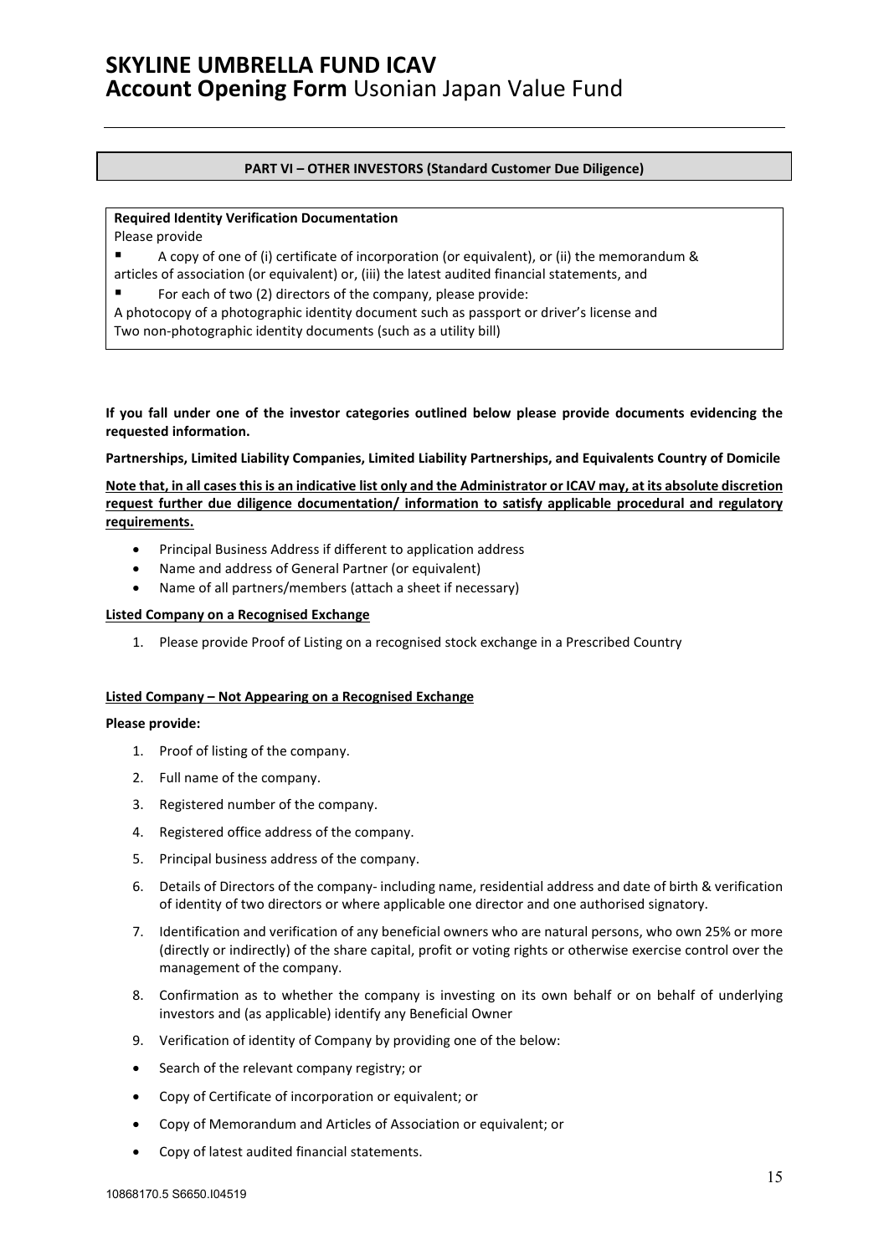### **PART VI – OTHER INVESTORS (Standard Customer Due Diligence)**

### **Required Identity Verification Documentation**

Please provide

 A copy of one of (i) certificate of incorporation (or equivalent), or (ii) the memorandum & articles of association (or equivalent) or, (iii) the latest audited financial statements, and

For each of two (2) directors of the company, please provide:

A photocopy of a photographic identity document such as passport or driver's license and

Two non-photographic identity documents (such as a utility bill)

**If you fall under one of the investor categories outlined below please provide documents evidencing the requested information.** 

**Partnerships, Limited Liability Companies, Limited Liability Partnerships, and Equivalents Country of Domicile**

**Note that, in all cases this is an indicative list only and the Administrator or ICAV may, at its absolute discretion request further due diligence documentation/ information to satisfy applicable procedural and regulatory requirements.**

- Principal Business Address if different to application address
- Name and address of General Partner (or equivalent)
- Name of all partners/members (attach a sheet if necessary)

### **Listed Company on a Recognised Exchange**

1. Please provide Proof of Listing on a recognised stock exchange in a Prescribed Country

### **Listed Company – Not Appearing on a Recognised Exchange**

- 1. Proof of listing of the company.
- 2. Full name of the company.
- 3. Registered number of the company.
- 4. Registered office address of the company.
- 5. Principal business address of the company.
- 6. Details of Directors of the company- including name, residential address and date of birth & verification of identity of two directors or where applicable one director and one authorised signatory.
- 7. Identification and verification of any beneficial owners who are natural persons, who own 25% or more (directly or indirectly) of the share capital, profit or voting rights or otherwise exercise control over the management of the company.
- 8. Confirmation as to whether the company is investing on its own behalf or on behalf of underlying investors and (as applicable) identify any Beneficial Owner
- 9. Verification of identity of Company by providing one of the below:
- Search of the relevant company registry; or
- Copy of Certificate of incorporation or equivalent; or
- Copy of Memorandum and Articles of Association or equivalent; or
- Copy of latest audited financial statements.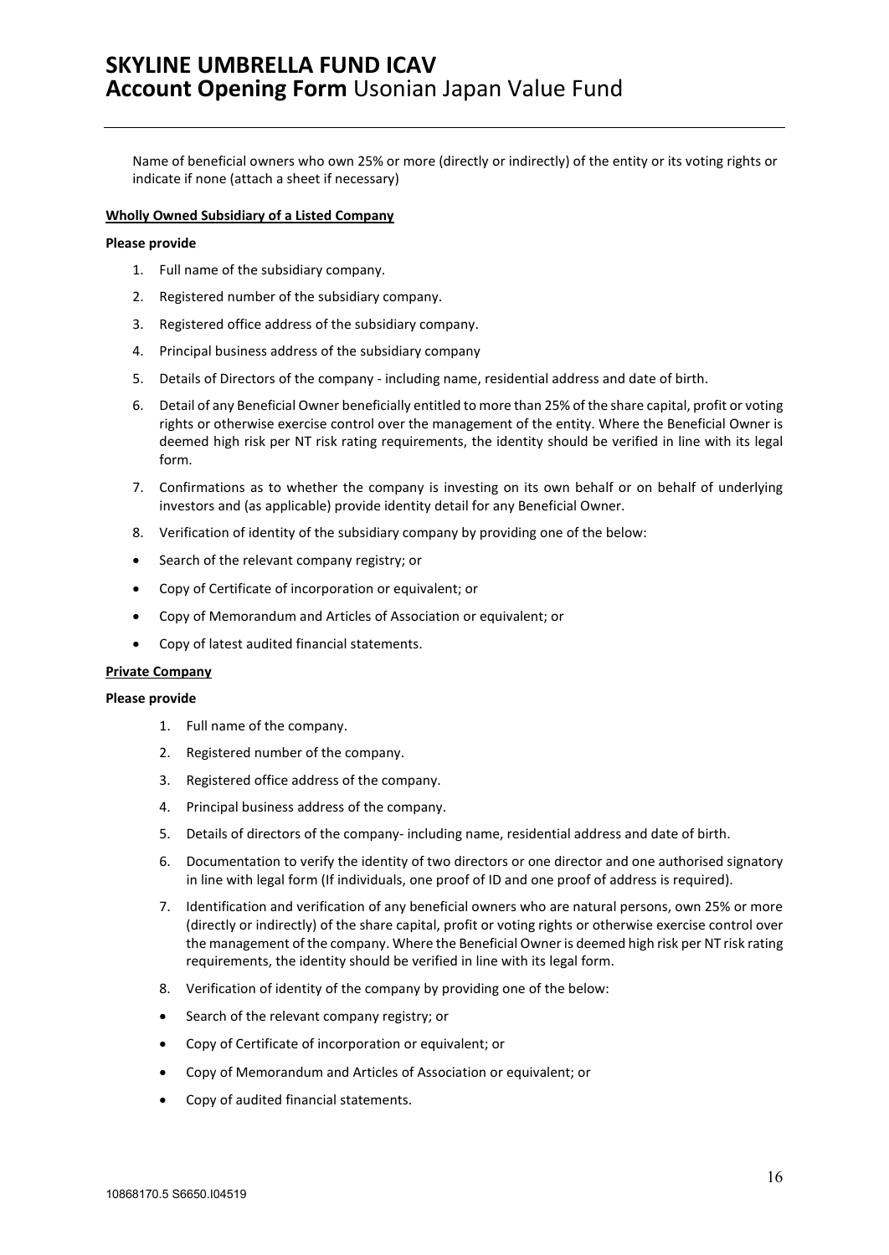Name of beneficial owners who own 25% or more (directly or indirectly) of the entity or its voting rights or indicate if none (attach a sheet if necessary)

### **Wholly Owned Subsidiary of a Listed Company**

#### **Please provide**

- 1. Full name of the subsidiary company.
- 2. Registered number of the subsidiary company.
- 3. Registered office address of the subsidiary company.
- 4. Principal business address of the subsidiary company
- 5. Details of Directors of the company including name, residential address and date of birth.
- 6. Detail of any Beneficial Owner beneficially entitled to more than 25% of the share capital, profit or voting rights or otherwise exercise control over the management of the entity. Where the Beneficial Owner is deemed high risk per NT risk rating requirements, the identity should be verified in line with its legal form.
- 7. Confirmations as to whether the company is investing on its own behalf or on behalf of underlying investors and (as applicable) provide identity detail for any Beneficial Owner.
- 8. Verification of identity of the subsidiary company by providing one of the below:
- Search of the relevant company registry; or
- Copy of Certificate of incorporation or equivalent; or
- Copy of Memorandum and Articles of Association or equivalent; or
- Copy of latest audited financial statements.

#### **Private Company**

- 1. Full name of the company.
- 2. Registered number of the company.
- 3. Registered office address of the company.
- 4. Principal business address of the company.
- 5. Details of directors of the company- including name, residential address and date of birth.
- 6. Documentation to verify the identity of two directors or one director and one authorised signatory in line with legal form (If individuals, one proof of ID and one proof of address is required).
- 7. Identification and verification of any beneficial owners who are natural persons, own 25% or more (directly or indirectly) of the share capital, profit or voting rights or otherwise exercise control over the management of the company. Where the Beneficial Owner is deemed high risk per NT risk rating requirements, the identity should be verified in line with its legal form.
- 8. Verification of identity of the company by providing one of the below:
- Search of the relevant company registry; or
- Copy of Certificate of incorporation or equivalent; or
- Copy of Memorandum and Articles of Association or equivalent; or
- Copy of audited financial statements.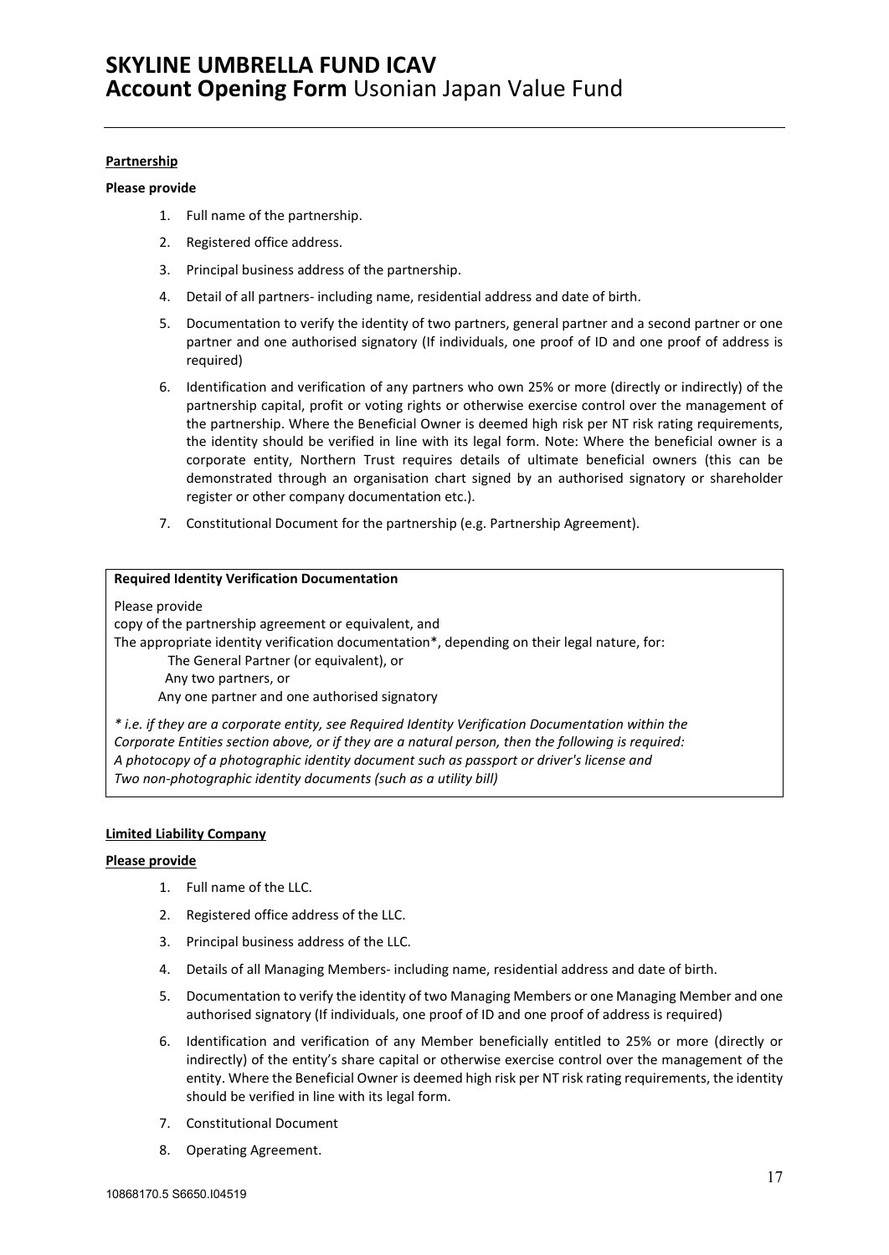### **Partnership**

#### **Please provide**

- 1. Full name of the partnership.
- 2. Registered office address.
- 3. Principal business address of the partnership.
- 4. Detail of all partners- including name, residential address and date of birth.
- 5. Documentation to verify the identity of two partners, general partner and a second partner or one partner and one authorised signatory (If individuals, one proof of ID and one proof of address is required)
- 6. Identification and verification of any partners who own 25% or more (directly or indirectly) of the partnership capital, profit or voting rights or otherwise exercise control over the management of the partnership. Where the Beneficial Owner is deemed high risk per NT risk rating requirements, the identity should be verified in line with its legal form. Note: Where the beneficial owner is a corporate entity, Northern Trust requires details of ultimate beneficial owners (this can be demonstrated through an organisation chart signed by an authorised signatory or shareholder register or other company documentation etc.).
- 7. Constitutional Document for the partnership (e.g. Partnership Agreement).

### **Required Identity Verification Documentation**

#### Please provide

copy of the partnership agreement or equivalent, and

The appropriate identity verification documentation\*, depending on their legal nature, for:

The General Partner (or equivalent), or

Any two partners, or

Any one partner and one authorised signatory

*\* i.e. if they are a corporate entity, see Required Identity Verification Documentation within the Corporate Entities section above, or if they are a natural person, then the following is required: A photocopy of a photographic identity document such as passport or driver's license and Two non-photographic identity documents (such as a utility bill)*

#### **Limited Liability Company**

- 1. Full name of the LLC.
- 2. Registered office address of the LLC.
- 3. Principal business address of the LLC.
- 4. Details of all Managing Members- including name, residential address and date of birth.
- 5. Documentation to verify the identity of two Managing Members or one Managing Member and one authorised signatory (If individuals, one proof of ID and one proof of address is required)
- 6. Identification and verification of any Member beneficially entitled to 25% or more (directly or indirectly) of the entity's share capital or otherwise exercise control over the management of the entity. Where the Beneficial Owner is deemed high risk per NT risk rating requirements, the identity should be verified in line with its legal form.
- 7. Constitutional Document
- 8. Operating Agreement.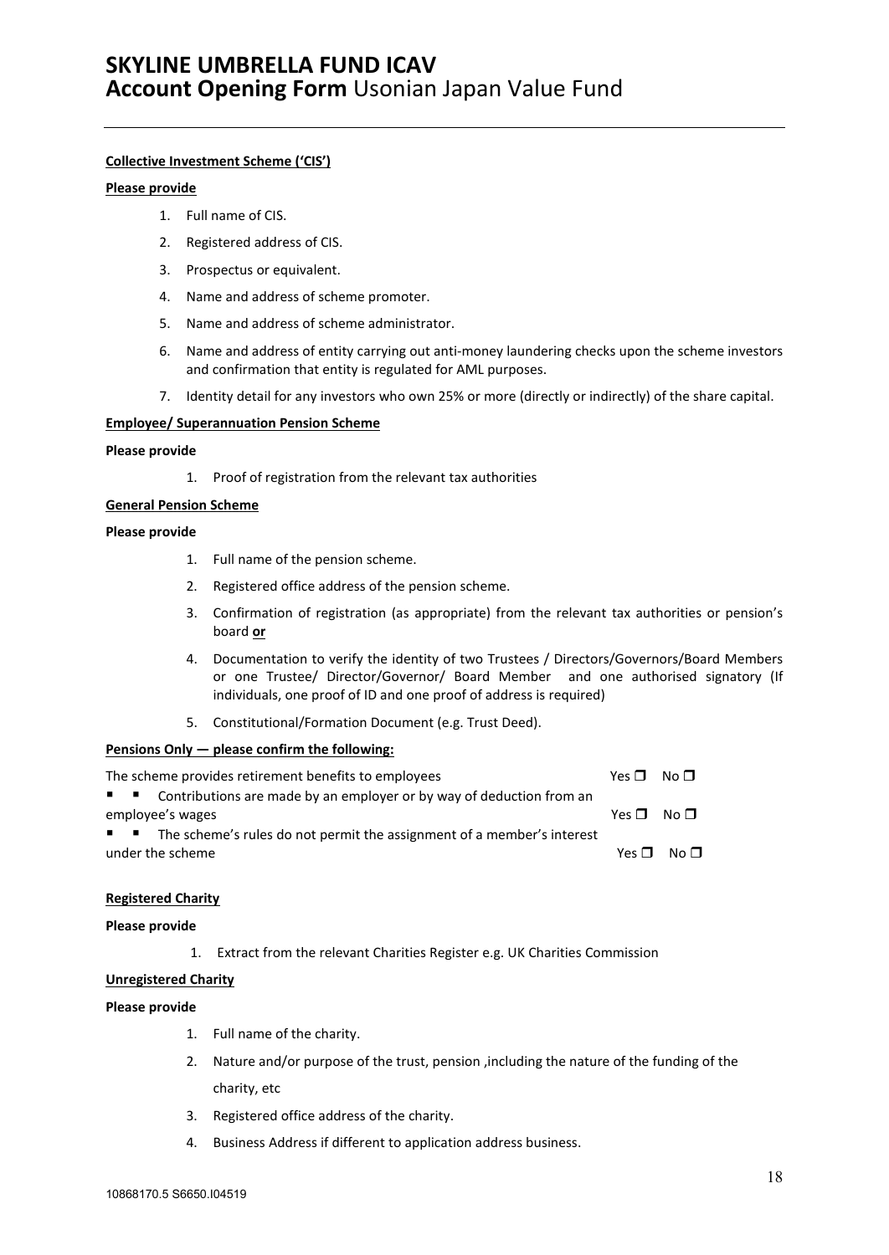### **Collective Investment Scheme ('CIS')**

### **Please provide**

- 1. Full name of CIS.
- 2. Registered address of CIS.
- 3. Prospectus or equivalent.
- 4. Name and address of scheme promoter.
- 5. Name and address of scheme administrator.
- 6. Name and address of entity carrying out anti-money laundering checks upon the scheme investors and confirmation that entity is regulated for AML purposes.
- 7. Identity detail for any investors who own 25% or more (directly or indirectly) of the share capital.

### **Employee/ Superannuation Pension Scheme**

### **Please provide**

1. Proof of registration from the relevant tax authorities

### **General Pension Scheme**

### **Please provide**

- 1. Full name of the pension scheme.
- 2. Registered office address of the pension scheme.
- 3. Confirmation of registration (as appropriate) from the relevant tax authorities or pension's board **or**
- 4. Documentation to verify the identity of two Trustees / Directors/Governors/Board Members or one Trustee/ Director/Governor/ Board Member and one authorised signatory (If individuals, one proof of ID and one proof of address is required)
- 5. Constitutional/Formation Document (e.g. Trust Deed).

### **Pensions Only — please confirm the following:**

| The scheme provides retirement benefits to employees                            | $Yes \Box No \Box$ |                                          |
|---------------------------------------------------------------------------------|--------------------|------------------------------------------|
| ■ ■ Contributions are made by an employer or by way of deduction from an        |                    |                                          |
| employee's wages                                                                | Yes $\P$ No $\P$   |                                          |
| <b>I</b> The scheme's rules do not permit the assignment of a member's interest |                    |                                          |
| under the scheme                                                                |                    | $Yes \nightharpoonup No \nightharpoonup$ |

### **Registered Charity**

#### **Please provide**

1. Extract from the relevant Charities Register e.g. UK Charities Commission

### **Unregistered Charity**

- 1. Full name of the charity.
- 2. Nature and/or purpose of the trust, pension ,including the nature of the funding of the charity, etc
- 3. Registered office address of the charity.
- 4. Business Address if different to application address business.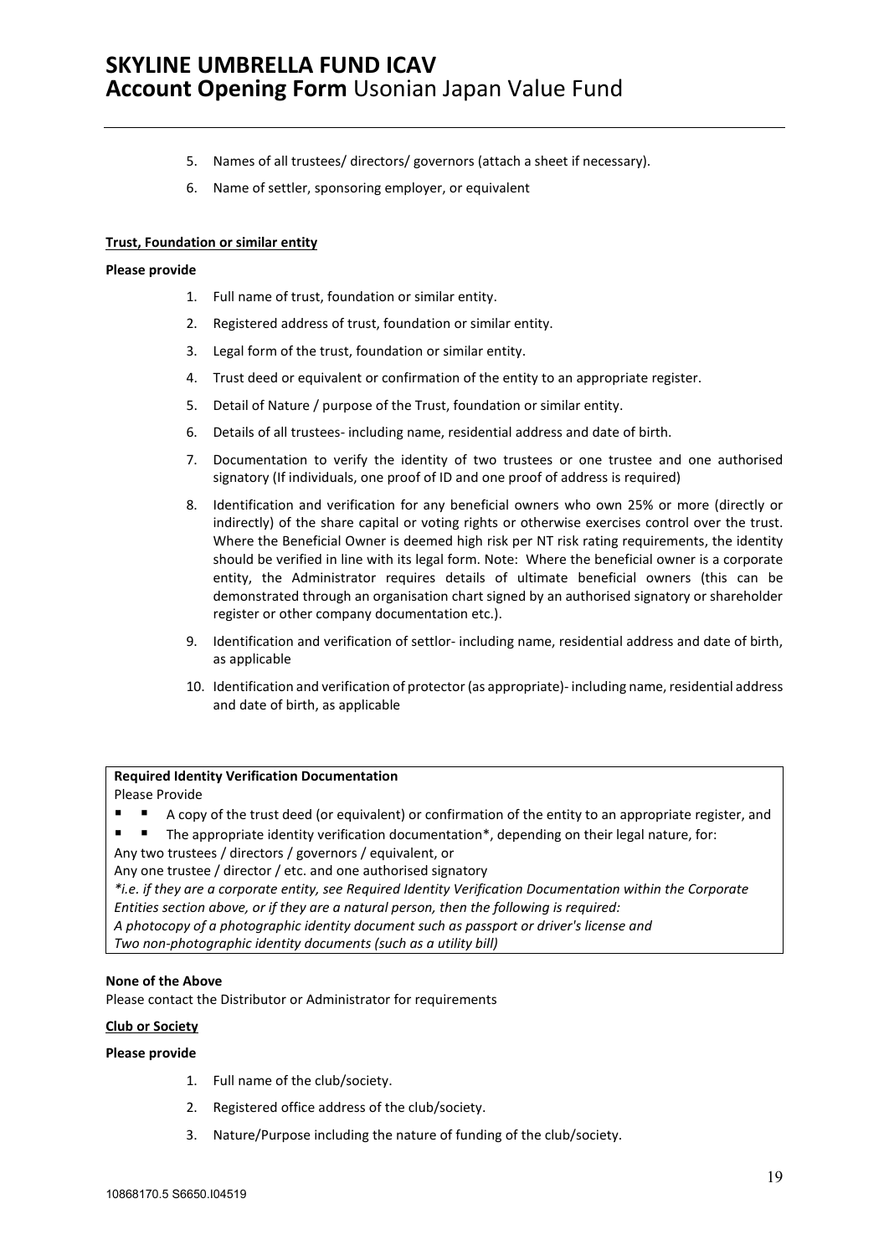- 5. Names of all trustees/ directors/ governors (attach a sheet if necessary).
- 6. Name of settler, sponsoring employer, or equivalent

### **Trust, Foundation or similar entity**

#### **Please provide**

- 1. Full name of trust, foundation or similar entity.
- 2. Registered address of trust, foundation or similar entity.
- 3. Legal form of the trust, foundation or similar entity.
- 4. Trust deed or equivalent or confirmation of the entity to an appropriate register.
- 5. Detail of Nature / purpose of the Trust, foundation or similar entity.
- 6. Details of all trustees- including name, residential address and date of birth.
- 7. Documentation to verify the identity of two trustees or one trustee and one authorised signatory (If individuals, one proof of ID and one proof of address is required)
- 8. Identification and verification for any beneficial owners who own 25% or more (directly or indirectly) of the share capital or voting rights or otherwise exercises control over the trust. Where the Beneficial Owner is deemed high risk per NT risk rating requirements, the identity should be verified in line with its legal form. Note: Where the beneficial owner is a corporate entity, the Administrator requires details of ultimate beneficial owners (this can be demonstrated through an organisation chart signed by an authorised signatory or shareholder register or other company documentation etc.).
- 9. Identification and verification of settlor- including name, residential address and date of birth, as applicable
- 10. Identification and verification of protector (as appropriate)- including name, residential address and date of birth, as applicable

### **Required Identity Verification Documentation**

### Please Provide

- A copy of the trust deed (or equivalent) or confirmation of the entity to an appropriate register, and
- **The appropriate identity verification documentation\*, depending on their legal nature, for:**

Any two trustees / directors / governors / equivalent, or

Any one trustee / director / etc. and one authorised signatory

*\*i.e. if they are a corporate entity, see Required Identity Verification Documentation within the Corporate Entities section above, or if they are a natural person, then the following is required:*

*A photocopy of a photographic identity document such as passport or driver's license and*

*Two non-photographic identity documents (such as a utility bill)*

### **None of the Above**

Please contact the Distributor or Administrator for requirements

#### **Club or Society**

- 1. Full name of the club/society.
- 2. Registered office address of the club/society.
- 3. Nature/Purpose including the nature of funding of the club/society.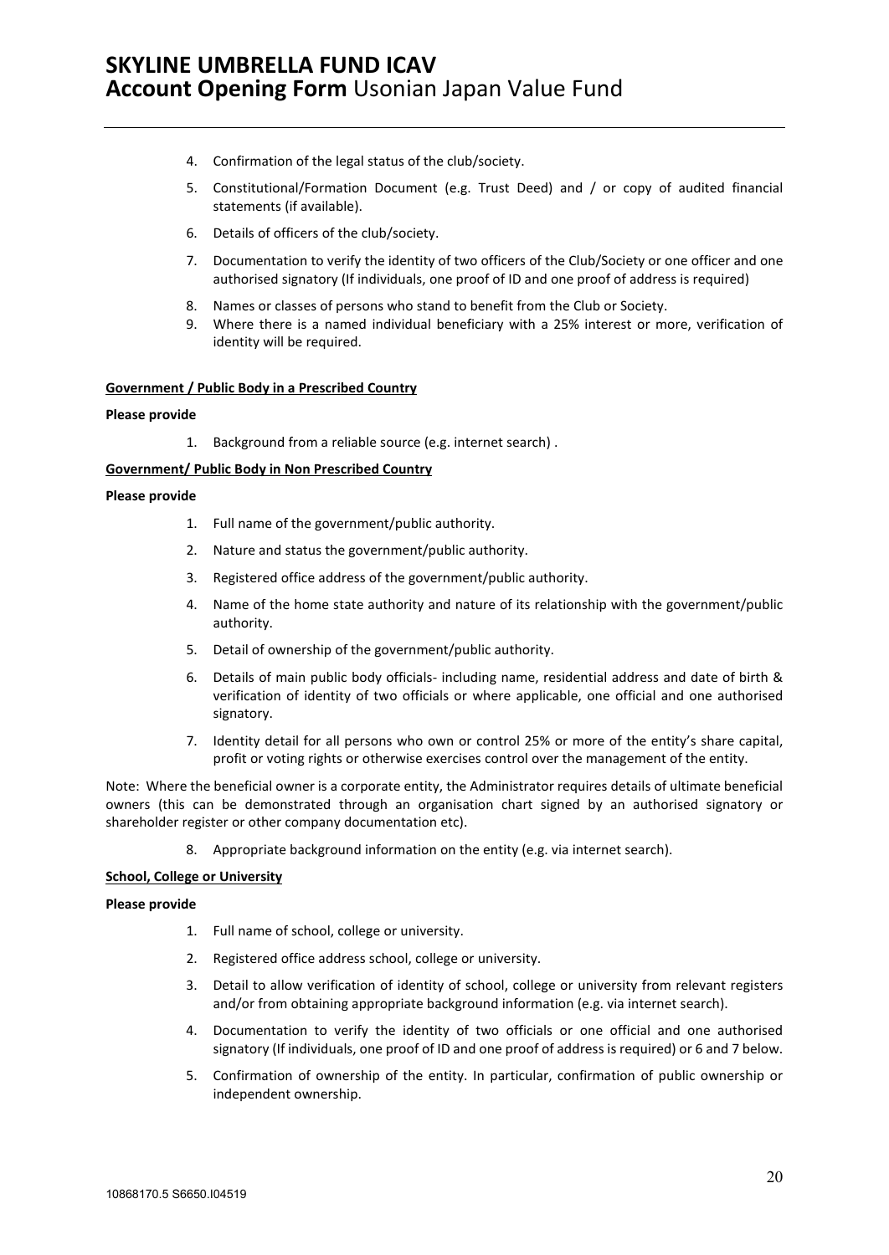- 4. Confirmation of the legal status of the club/society.
- 5. Constitutional/Formation Document (e.g. Trust Deed) and / or copy of audited financial statements (if available).
- 6. Details of officers of the club/society.
- 7. Documentation to verify the identity of two officers of the Club/Society or one officer and one authorised signatory (If individuals, one proof of ID and one proof of address is required)
- 8. Names or classes of persons who stand to benefit from the Club or Society.
- 9. Where there is a named individual beneficiary with a 25% interest or more, verification of identity will be required.

### **Government / Public Body in a Prescribed Country**

### **Please provide**

1. Background from a reliable source (e.g. internet search) .

#### **Government/ Public Body in Non Prescribed Country**

#### **Please provide**

- 1. Full name of the government/public authority.
- 2. Nature and status the government/public authority.
- 3. Registered office address of the government/public authority.
- 4. Name of the home state authority and nature of its relationship with the government/public authority.
- 5. Detail of ownership of the government/public authority.
- 6. Details of main public body officials- including name, residential address and date of birth & verification of identity of two officials or where applicable, one official and one authorised signatory.
- 7. Identity detail for all persons who own or control 25% or more of the entity's share capital, profit or voting rights or otherwise exercises control over the management of the entity.

Note: Where the beneficial owner is a corporate entity, the Administrator requires details of ultimate beneficial owners (this can be demonstrated through an organisation chart signed by an authorised signatory or shareholder register or other company documentation etc).

8. Appropriate background information on the entity (e.g. via internet search).

#### **School, College or University**

- 1. Full name of school, college or university.
- 2. Registered office address school, college or university.
- 3. Detail to allow verification of identity of school, college or university from relevant registers and/or from obtaining appropriate background information (e.g. via internet search).
- 4. Documentation to verify the identity of two officials or one official and one authorised signatory (If individuals, one proof of ID and one proof of address is required) or 6 and 7 below.
- 5. Confirmation of ownership of the entity. In particular, confirmation of public ownership or independent ownership.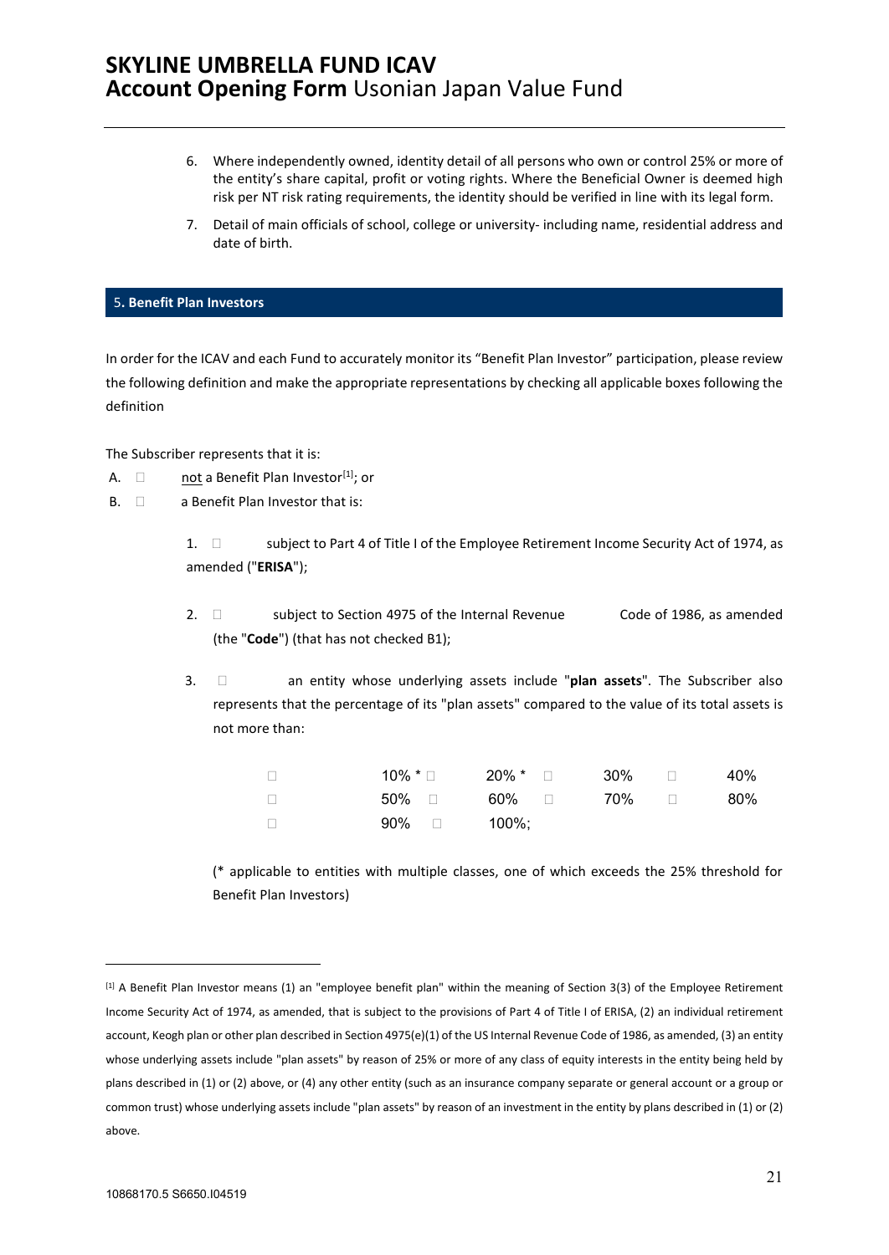- 6. Where independently owned, identity detail of all persons who own or control 25% or more of the entity's share capital, profit or voting rights. Where the Beneficial Owner is deemed high risk per NT risk rating requirements, the identity should be verified in line with its legal form.
- 7. Detail of main officials of school, college or university- including name, residential address and date of birth.

### <span id="page-20-0"></span>5**. Benefit Plan Investors**

In order for the ICAV and each Fund to accurately monitor its "Benefit Plan Investor" participation, please review the following definition and make the appropriate representations by checking all applicable boxes following the definition

The Subscriber represents that it is:

- A.  $\Box$  not a Benefit Plan Investor<sup>[\[1\]](#page-20-1)</sup>; or
- $B. \quad \Box \qquad$  a Benefit Plan Investor that is:
	- 1.  $\square$  subject to Part 4 of Title I of the Employee Retirement Income Security Act of 1974, as amended ("**ERISA**");
	- 2.  $\Box$  subject to Section 4975 of the Internal Revenue Code of 1986, as amended (the "**Code**") (that has not checked B1);
	- 3.  $\Box$  an entity whose underlying assets include "plan assets". The Subscriber also represents that the percentage of its "plan assets" compared to the value of its total assets is not more than:

|                         | $10\%$ * $\Box$ $20\%$ * $\Box$ $30\%$ $\Box$ |  | 40% |
|-------------------------|-----------------------------------------------|--|-----|
|                         | 50% □   60% □    70% □                        |  | 80% |
| $90\%$ $\Box$ $100\%$ : |                                               |  |     |

(\* applicable to entities with multiple classes, one of which exceeds the 25% threshold for Benefit Plan Investors)

<span id="page-20-1"></span><sup>[1]</sup> A Benefit Plan Investor means (1) an "employee benefit plan" within the meaning of Section 3(3) of the Employee Retirement Income Security Act of 1974, as amended, that is subject to the provisions of Part 4 of Title I of ERISA, (2) an individual retirement account, Keogh plan or other plan described in Section 4975(e)(1) of the US Internal Revenue Code of 1986, as amended, (3) an entity whose underlying assets include "plan assets" by reason of 25% or more of any class of equity interests in the entity being held by plans described in (1) or (2) above, or (4) any other entity (such as an insurance company separate or general account or a group or common trust) whose underlying assets include "plan assets" by reason of an investment in the entity by plans described in (1) or (2) above.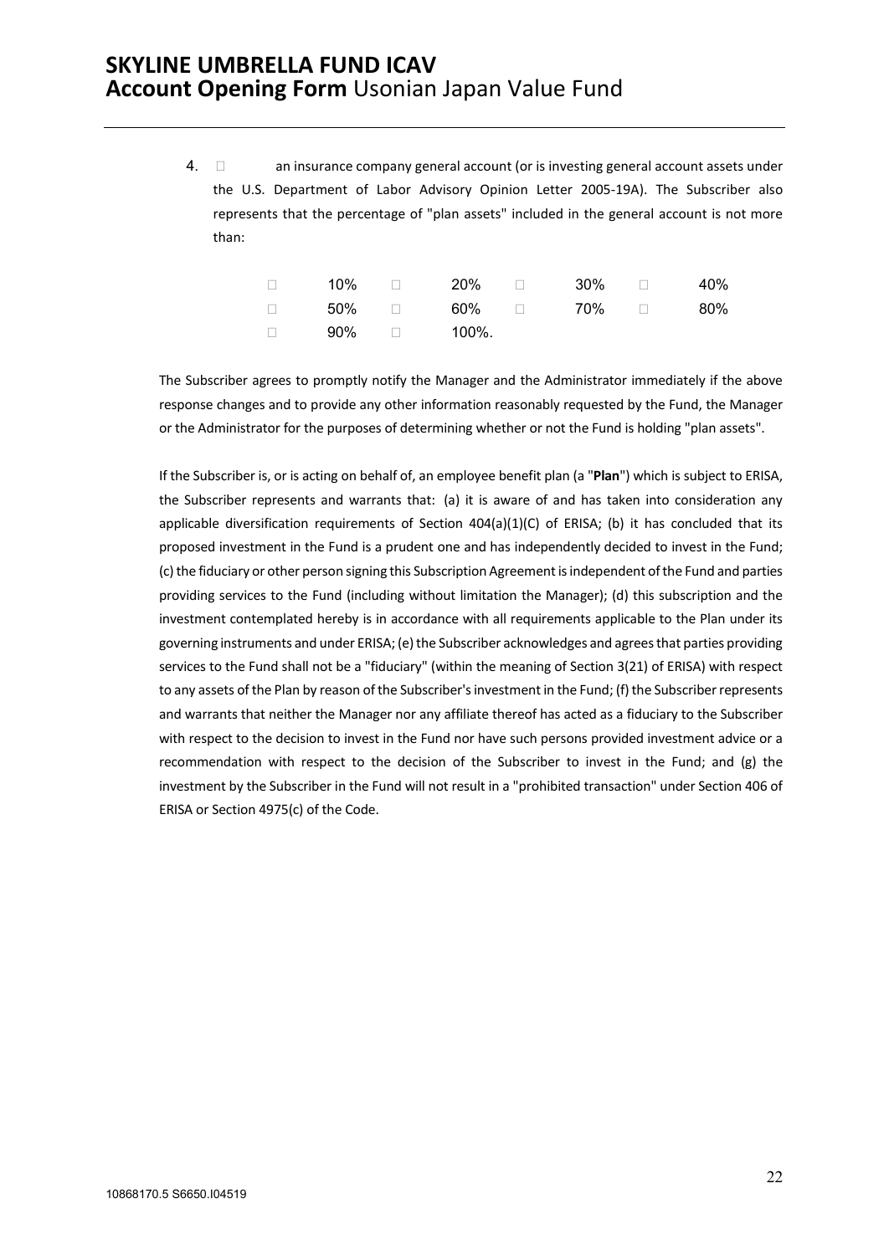4.  $\Box$  an insurance company general account (or is investing general account assets under the U.S. Department of Labor Advisory Opinion Letter 2005-19A). The Subscriber also represents that the percentage of "plan assets" included in the general account is not more than:

| $\Box$ | 10% | $\Box$ 20% $\Box$ | $30\%$ and $\Box$                       | 40% |
|--------|-----|-------------------|-----------------------------------------|-----|
|        |     |                   | $\Box$ 50% $\Box$ 60% $\Box$ 70% $\Box$ | 80% |
| $\Box$ |     | 90% □ 100%.       |                                         |     |

The Subscriber agrees to promptly notify the Manager and the Administrator immediately if the above response changes and to provide any other information reasonably requested by the Fund, the Manager or the Administrator for the purposes of determining whether or not the Fund is holding "plan assets".

If the Subscriber is, or is acting on behalf of, an employee benefit plan (a "**Plan**") which is subject to ERISA, the Subscriber represents and warrants that: (a) it is aware of and has taken into consideration any applicable diversification requirements of Section  $404(a)(1)(C)$  of ERISA; (b) it has concluded that its proposed investment in the Fund is a prudent one and has independently decided to invest in the Fund; (c) the fiduciary or other person signing this Subscription Agreement is independent of the Fund and parties providing services to the Fund (including without limitation the Manager); (d) this subscription and the investment contemplated hereby is in accordance with all requirements applicable to the Plan under its governing instruments and under ERISA; (e) the Subscriber acknowledges and agrees that parties providing services to the Fund shall not be a "fiduciary" (within the meaning of Section 3(21) of ERISA) with respect to any assets of the Plan by reason of the Subscriber's investment in the Fund; (f) the Subscriber represents and warrants that neither the Manager nor any affiliate thereof has acted as a fiduciary to the Subscriber with respect to the decision to invest in the Fund nor have such persons provided investment advice or a recommendation with respect to the decision of the Subscriber to invest in the Fund; and (g) the investment by the Subscriber in the Fund will not result in a "prohibited transaction" under Section 406 of ERISA or Section 4975(c) of the Code.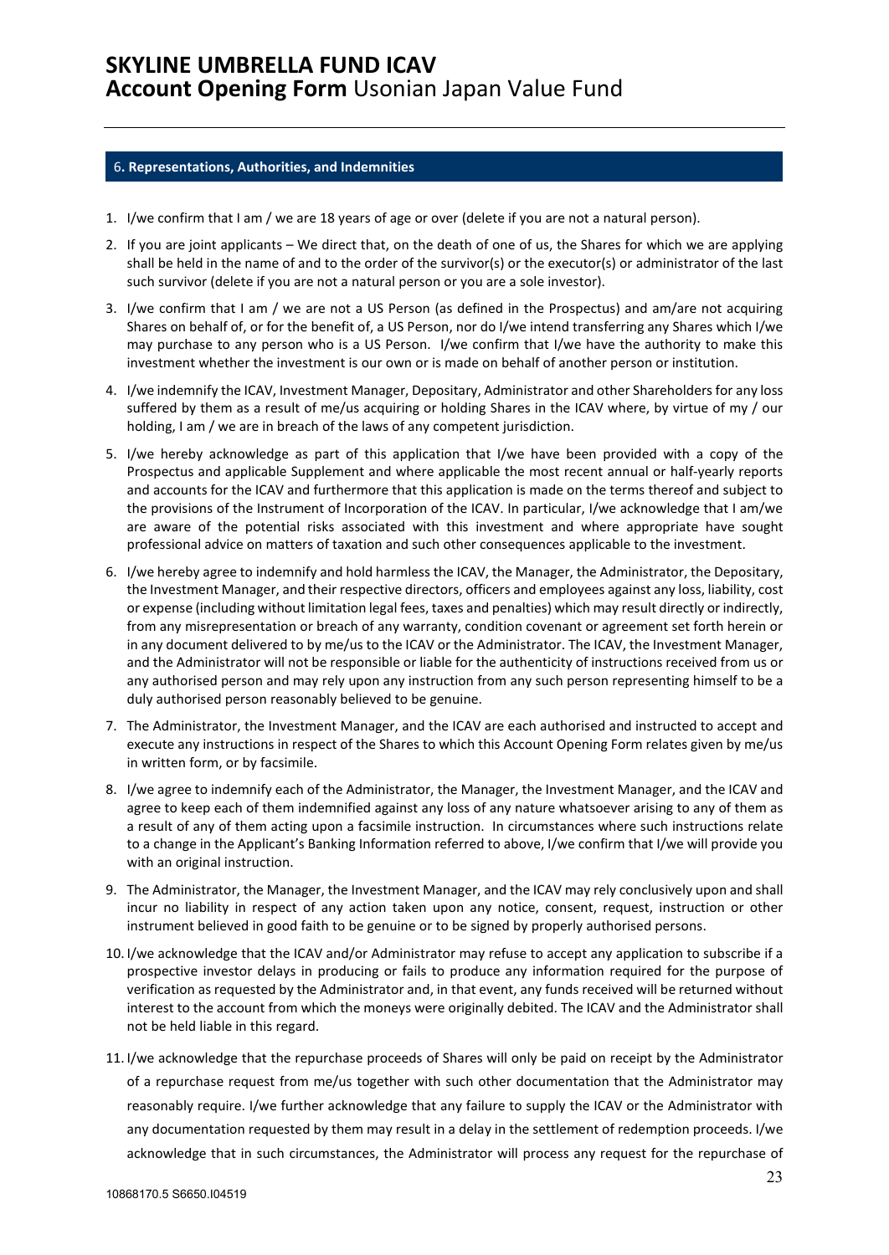### <span id="page-22-0"></span>6**. Representations, Authorities, and Indemnities**

- 1. I/we confirm that I am / we are 18 years of age or over (delete if you are not a natural person).
- 2. If you are joint applicants We direct that, on the death of one of us, the Shares for which we are applying shall be held in the name of and to the order of the survivor(s) or the executor(s) or administrator of the last such survivor (delete if you are not a natural person or you are a sole investor).
- 3. I/we confirm that I am / we are not a US Person (as defined in the Prospectus) and am/are not acquiring Shares on behalf of, or for the benefit of, a US Person, nor do I/we intend transferring any Shares which I/we may purchase to any person who is a US Person. I/we confirm that I/we have the authority to make this investment whether the investment is our own or is made on behalf of another person or institution.
- 4. I/we indemnify the ICAV, Investment Manager, Depositary, Administrator and other Shareholders for any loss suffered by them as a result of me/us acquiring or holding Shares in the ICAV where, by virtue of my / our holding, I am / we are in breach of the laws of any competent jurisdiction.
- 5. I/we hereby acknowledge as part of this application that I/we have been provided with a copy of the Prospectus and applicable Supplement and where applicable the most recent annual or half-yearly reports and accounts for the ICAV and furthermore that this application is made on the terms thereof and subject to the provisions of the Instrument of Incorporation of the ICAV. In particular, I/we acknowledge that I am/we are aware of the potential risks associated with this investment and where appropriate have sought professional advice on matters of taxation and such other consequences applicable to the investment.
- 6. I/we hereby agree to indemnify and hold harmless the ICAV, the Manager, the Administrator, the Depositary, the Investment Manager, and their respective directors, officers and employees against any loss, liability, cost or expense (including without limitation legal fees, taxes and penalties) which may result directly or indirectly, from any misrepresentation or breach of any warranty, condition covenant or agreement set forth herein or in any document delivered to by me/us to the ICAV or the Administrator. The ICAV, the Investment Manager, and the Administrator will not be responsible or liable for the authenticity of instructions received from us or any authorised person and may rely upon any instruction from any such person representing himself to be a duly authorised person reasonably believed to be genuine.
- 7. The Administrator, the Investment Manager, and the ICAV are each authorised and instructed to accept and execute any instructions in respect of the Shares to which this Account Opening Form relates given by me/us in written form, or by facsimile.
- 8. I/we agree to indemnify each of the Administrator, the Manager, the Investment Manager, and the ICAV and agree to keep each of them indemnified against any loss of any nature whatsoever arising to any of them as a result of any of them acting upon a facsimile instruction. In circumstances where such instructions relate to a change in the Applicant's Banking Information referred to above, I/we confirm that I/we will provide you with an original instruction.
- 9. The Administrator, the Manager, the Investment Manager, and the ICAV may rely conclusively upon and shall incur no liability in respect of any action taken upon any notice, consent, request, instruction or other instrument believed in good faith to be genuine or to be signed by properly authorised persons.
- 10. I/we acknowledge that the ICAV and/or Administrator may refuse to accept any application to subscribe if a prospective investor delays in producing or fails to produce any information required for the purpose of verification as requested by the Administrator and, in that event, any funds received will be returned without interest to the account from which the moneys were originally debited. The ICAV and the Administrator shall not be held liable in this regard.
- 11. I/we acknowledge that the repurchase proceeds of Shares will only be paid on receipt by the Administrator of a repurchase request from me/us together with such other documentation that the Administrator may reasonably require. I/we further acknowledge that any failure to supply the ICAV or the Administrator with any documentation requested by them may result in a delay in the settlement of redemption proceeds. I/we acknowledge that in such circumstances, the Administrator will process any request for the repurchase of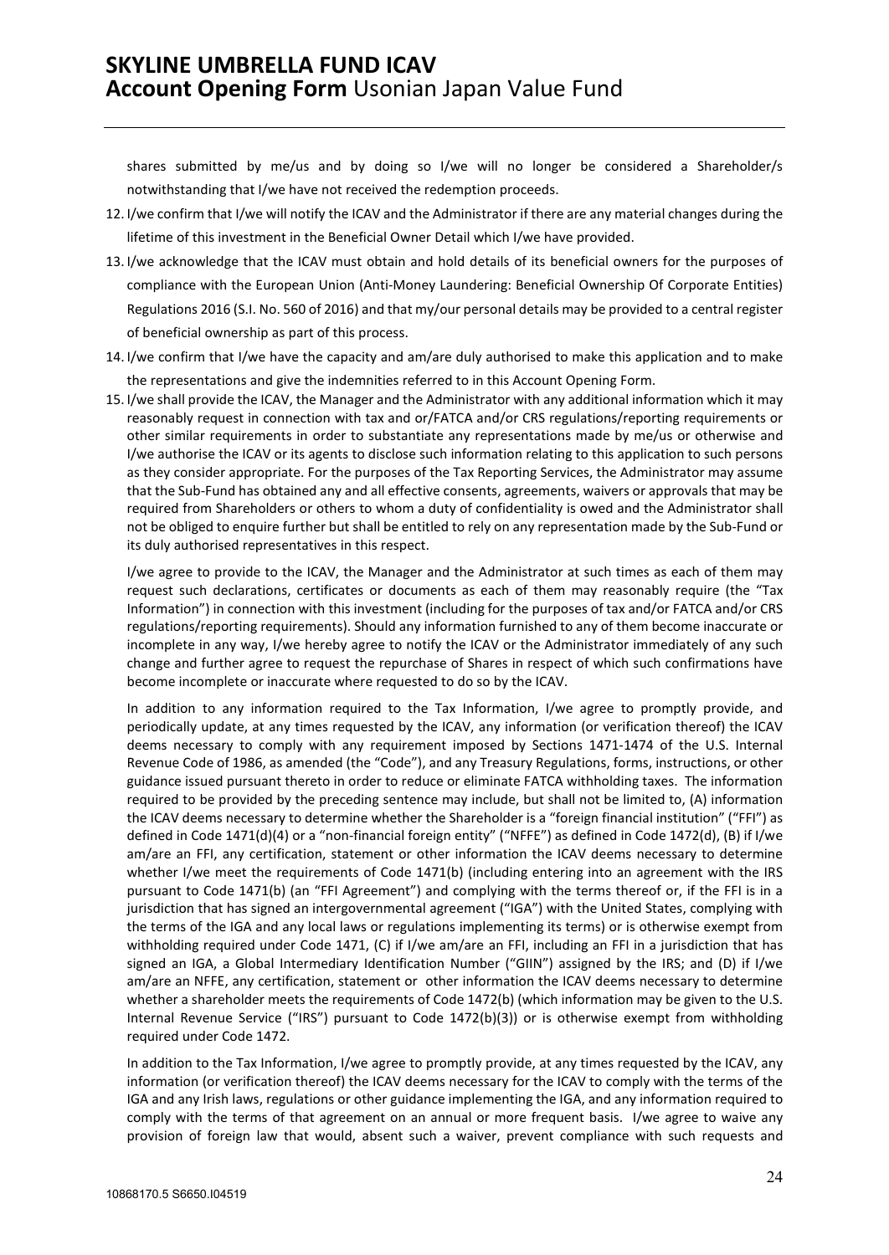shares submitted by me/us and by doing so I/we will no longer be considered a Shareholder/s notwithstanding that I/we have not received the redemption proceeds.

- 12. I/we confirm that I/we will notify the ICAV and the Administrator if there are any material changes during the lifetime of this investment in the Beneficial Owner Detail which I/we have provided.
- 13. I/we acknowledge that the ICAV must obtain and hold details of its beneficial owners for the purposes of compliance with the European Union (Anti-Money Laundering: Beneficial Ownership Of Corporate Entities) Regulations 2016 (S.I. No. 560 of 2016) and that my/our personal details may be provided to a central register of beneficial ownership as part of this process.
- 14. I/we confirm that I/we have the capacity and am/are duly authorised to make this application and to make the representations and give the indemnities referred to in this Account Opening Form.
- 15. I/we shall provide the ICAV, the Manager and the Administrator with any additional information which it may reasonably request in connection with tax and or/FATCA and/or CRS regulations/reporting requirements or other similar requirements in order to substantiate any representations made by me/us or otherwise and I/we authorise the ICAV or its agents to disclose such information relating to this application to such persons as they consider appropriate. For the purposes of the Tax Reporting Services, the Administrator may assume that the Sub-Fund has obtained any and all effective consents, agreements, waivers or approvals that may be required from Shareholders or others to whom a duty of confidentiality is owed and the Administrator shall not be obliged to enquire further but shall be entitled to rely on any representation made by the Sub-Fund or its duly authorised representatives in this respect.

I/we agree to provide to the ICAV, the Manager and the Administrator at such times as each of them may request such declarations, certificates or documents as each of them may reasonably require (the "Tax Information") in connection with this investment (including for the purposes of tax and/or FATCA and/or CRS regulations/reporting requirements). Should any information furnished to any of them become inaccurate or incomplete in any way, I/we hereby agree to notify the ICAV or the Administrator immediately of any such change and further agree to request the repurchase of Shares in respect of which such confirmations have become incomplete or inaccurate where requested to do so by the ICAV.

In addition to any information required to the Tax Information, I/we agree to promptly provide, and periodically update, at any times requested by the ICAV, any information (or verification thereof) the ICAV deems necessary to comply with any requirement imposed by Sections 1471-1474 of the U.S. Internal Revenue Code of 1986, as amended (the "Code"), and any Treasury Regulations, forms, instructions, or other guidance issued pursuant thereto in order to reduce or eliminate FATCA withholding taxes. The information required to be provided by the preceding sentence may include, but shall not be limited to, (A) information the ICAV deems necessary to determine whether the Shareholder is a "foreign financial institution" ("FFI") as defined in Code 1471(d)(4) or a "non-financial foreign entity" ("NFFE") as defined in Code 1472(d), (B) if I/we am/are an FFI, any certification, statement or other information the ICAV deems necessary to determine whether I/we meet the requirements of Code 1471(b) (including entering into an agreement with the IRS pursuant to Code 1471(b) (an "FFI Agreement") and complying with the terms thereof or, if the FFI is in a jurisdiction that has signed an intergovernmental agreement ("IGA") with the United States, complying with the terms of the IGA and any local laws or regulations implementing its terms) or is otherwise exempt from withholding required under Code 1471, (C) if I/we am/are an FFI, including an FFI in a jurisdiction that has signed an IGA, a Global Intermediary Identification Number ("GIIN") assigned by the IRS; and (D) if I/we am/are an NFFE, any certification, statement or other information the ICAV deems necessary to determine whether a shareholder meets the requirements of Code 1472(b) (which information may be given to the U.S. Internal Revenue Service ("IRS") pursuant to Code 1472(b)(3)) or is otherwise exempt from withholding required under Code 1472.

In addition to the Tax Information, I/we agree to promptly provide, at any times requested by the ICAV, any information (or verification thereof) the ICAV deems necessary for the ICAV to comply with the terms of the IGA and any Irish laws, regulations or other guidance implementing the IGA, and any information required to comply with the terms of that agreement on an annual or more frequent basis. I/we agree to waive any provision of foreign law that would, absent such a waiver, prevent compliance with such requests and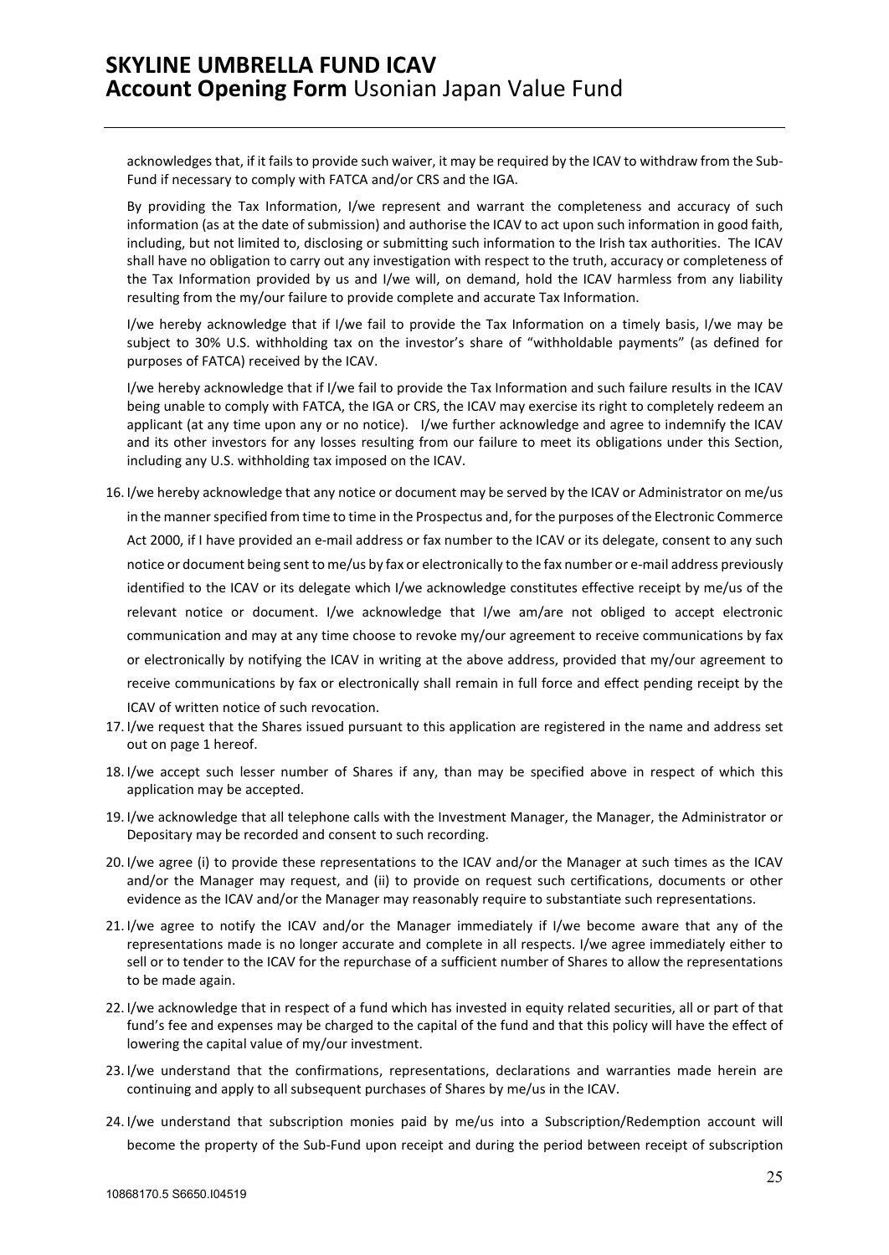acknowledges that, if it fails to provide such waiver, it may be required by the ICAV to withdraw from the Sub-Fund if necessary to comply with FATCA and/or CRS and the IGA.

By providing the Tax Information, I/we represent and warrant the completeness and accuracy of such information (as at the date of submission) and authorise the ICAV to act upon such information in good faith, including, but not limited to, disclosing or submitting such information to the Irish tax authorities. The ICAV shall have no obligation to carry out any investigation with respect to the truth, accuracy or completeness of the Tax Information provided by us and I/we will, on demand, hold the ICAV harmless from any liability resulting from the my/our failure to provide complete and accurate Tax Information.

I/we hereby acknowledge that if I/we fail to provide the Tax Information on a timely basis, I/we may be subject to 30% U.S. withholding tax on the investor's share of "withholdable payments" (as defined for purposes of FATCA) received by the ICAV.

I/we hereby acknowledge that if I/we fail to provide the Tax Information and such failure results in the ICAV being unable to comply with FATCA, the IGA or CRS, the ICAV may exercise its right to completely redeem an applicant (at any time upon any or no notice). I/we further acknowledge and agree to indemnify the ICAV and its other investors for any losses resulting from our failure to meet its obligations under this Section, including any U.S. withholding tax imposed on the ICAV.

- 16. I/we hereby acknowledge that any notice or document may be served by the ICAV or Administrator on me/us in the manner specified from time to time in the Prospectus and, for the purposes of the Electronic Commerce Act 2000, if I have provided an e-mail address or fax number to the ICAV or its delegate, consent to any such notice or document being sent to me/us by fax or electronically to the fax number or e-mail address previously identified to the ICAV or its delegate which I/we acknowledge constitutes effective receipt by me/us of the relevant notice or document. I/we acknowledge that I/we am/are not obliged to accept electronic communication and may at any time choose to revoke my/our agreement to receive communications by fax or electronically by notifying the ICAV in writing at the above address, provided that my/our agreement to receive communications by fax or electronically shall remain in full force and effect pending receipt by the ICAV of written notice of such revocation.
- 17. I/we request that the Shares issued pursuant to this application are registered in the name and address set out on page 1 hereof.
- 18. I/we accept such lesser number of Shares if any, than may be specified above in respect of which this application may be accepted.
- 19. I/we acknowledge that all telephone calls with the Investment Manager, the Manager, the Administrator or Depositary may be recorded and consent to such recording.
- 20. I/we agree (i) to provide these representations to the ICAV and/or the Manager at such times as the ICAV and/or the Manager may request, and (ii) to provide on request such certifications, documents or other evidence as the ICAV and/or the Manager may reasonably require to substantiate such representations.
- 21. I/we agree to notify the ICAV and/or the Manager immediately if I/we become aware that any of the representations made is no longer accurate and complete in all respects. I/we agree immediately either to sell or to tender to the ICAV for the repurchase of a sufficient number of Shares to allow the representations to be made again.
- 22. I/we acknowledge that in respect of a fund which has invested in equity related securities, all or part of that fund's fee and expenses may be charged to the capital of the fund and that this policy will have the effect of lowering the capital value of my/our investment.
- 23. I/we understand that the confirmations, representations, declarations and warranties made herein are continuing and apply to all subsequent purchases of Shares by me/us in the ICAV.
- 24. I/we understand that subscription monies paid by me/us into a Subscription/Redemption account will become the property of the Sub-Fund upon receipt and during the period between receipt of subscription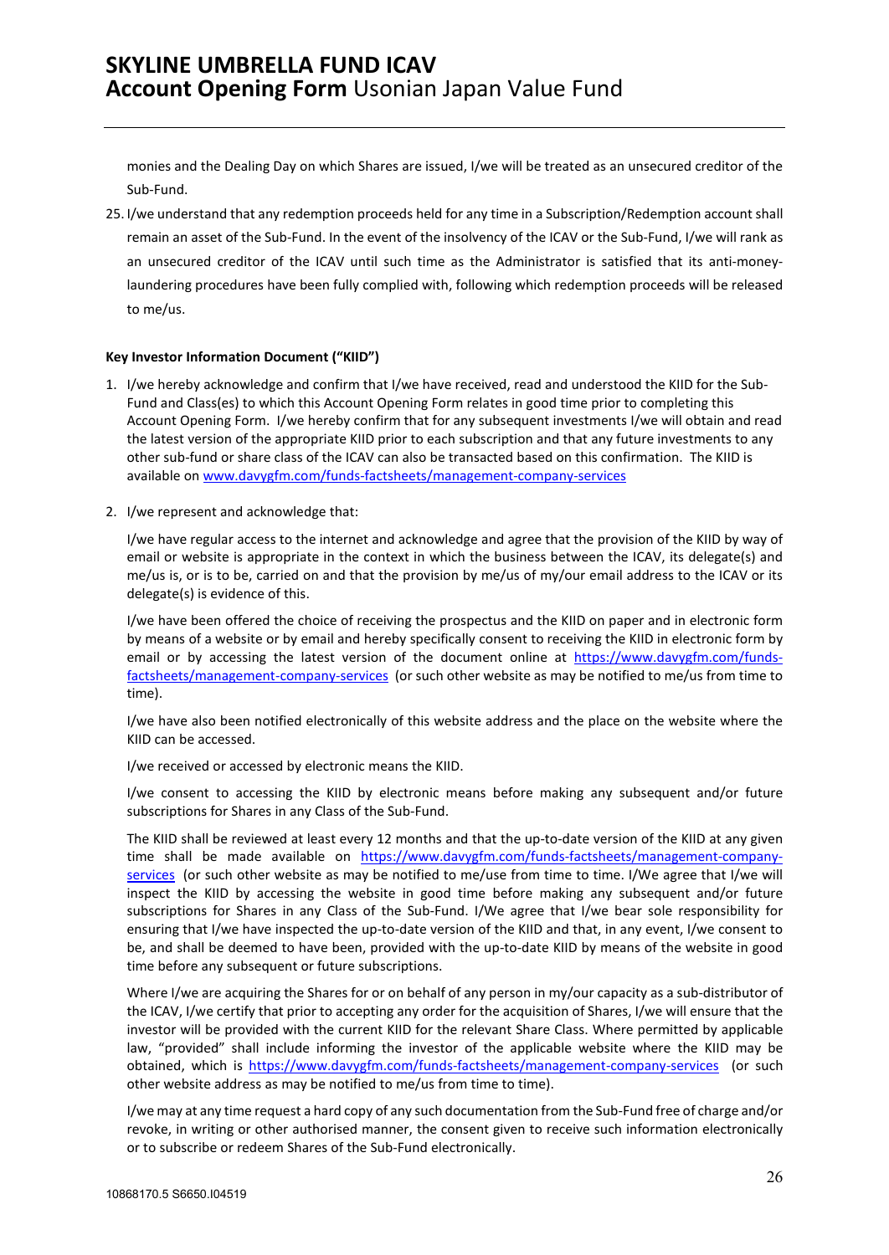monies and the Dealing Day on which Shares are issued, I/we will be treated as an unsecured creditor of the Sub-Fund.

25. I/we understand that any redemption proceeds held for any time in a Subscription/Redemption account shall remain an asset of the Sub-Fund. In the event of the insolvency of the ICAV or the Sub-Fund, I/we will rank as an unsecured creditor of the ICAV until such time as the Administrator is satisfied that its anti-moneylaundering procedures have been fully complied with, following which redemption proceeds will be released to me/us.

### **Key Investor Information Document ("KIID")**

- 1. I/we hereby acknowledge and confirm that I/we have received, read and understood the KIID for the Sub-Fund and Class(es) to which this Account Opening Form relates in good time prior to completing this Account Opening Form. I/we hereby confirm that for any subsequent investments I/we will obtain and read the latest version of the appropriate KIID prior to each subscription and that any future investments to any other sub-fund or share class of the ICAV can also be transacted based on this confirmation. The KIID is available on [www.davygfm.com/funds-factsheets/management-company-services](http://www.davygfm.com/funds-factsheets/management-company-services)
- 2. I/we represent and acknowledge that:

I/we have regular access to the internet and acknowledge and agree that the provision of the KIID by way of email or website is appropriate in the context in which the business between the ICAV, its delegate(s) and me/us is, or is to be, carried on and that the provision by me/us of my/our email address to the ICAV or its delegate(s) is evidence of this.

I/we have been offered the choice of receiving the prospectus and the KIID on paper and in electronic form by means of a website or by email and hereby specifically consent to receiving the KIID in electronic form by email or by accessing the latest version of the document online at [https://www.davygfm.com/funds](https://www.davygfm.com/funds-factsheets/management-company-services)[factsheets/management-company-services](https://www.davygfm.com/funds-factsheets/management-company-services) (or such other website as may be notified to me/us from time to time).

I/we have also been notified electronically of this website address and the place on the website where the KIID can be accessed.

I/we received or accessed by electronic means the KIID.

I/we consent to accessing the KIID by electronic means before making any subsequent and/or future subscriptions for Shares in any Class of the Sub-Fund.

The KIID shall be reviewed at least every 12 months and that the up-to-date version of the KIID at any given time shall be made available on [https://www.davygfm.com/funds-factsheets/management-company](https://www.davygfm.com/funds-factsheets/management-company-services)[services](https://www.davygfm.com/funds-factsheets/management-company-services) (or such other website as may be notified to me/use from time to time. I/We agree that I/we will inspect the KIID by accessing the website in good time before making any subsequent and/or future subscriptions for Shares in any Class of the Sub-Fund. I/We agree that I/we bear sole responsibility for ensuring that I/we have inspected the up-to-date version of the KIID and that, in any event, I/we consent to be, and shall be deemed to have been, provided with the up-to-date KIID by means of the website in good time before any subsequent or future subscriptions.

Where I/we are acquiring the Shares for or on behalf of any person in my/our capacity as a sub-distributor of the ICAV, I/we certify that prior to accepting any order for the acquisition of Shares, I/we will ensure that the investor will be provided with the current KIID for the relevant Share Class. Where permitted by applicable law, "provided" shall include informing the investor of the applicable website where the KIID may be obtained, which is <https://www.davygfm.com/funds-factsheets/management-company-services>(or such other website address as may be notified to me/us from time to time).

I/we may at any time request a hard copy of any such documentation from the Sub-Fund free of charge and/or revoke, in writing or other authorised manner, the consent given to receive such information electronically or to subscribe or redeem Shares of the Sub-Fund electronically.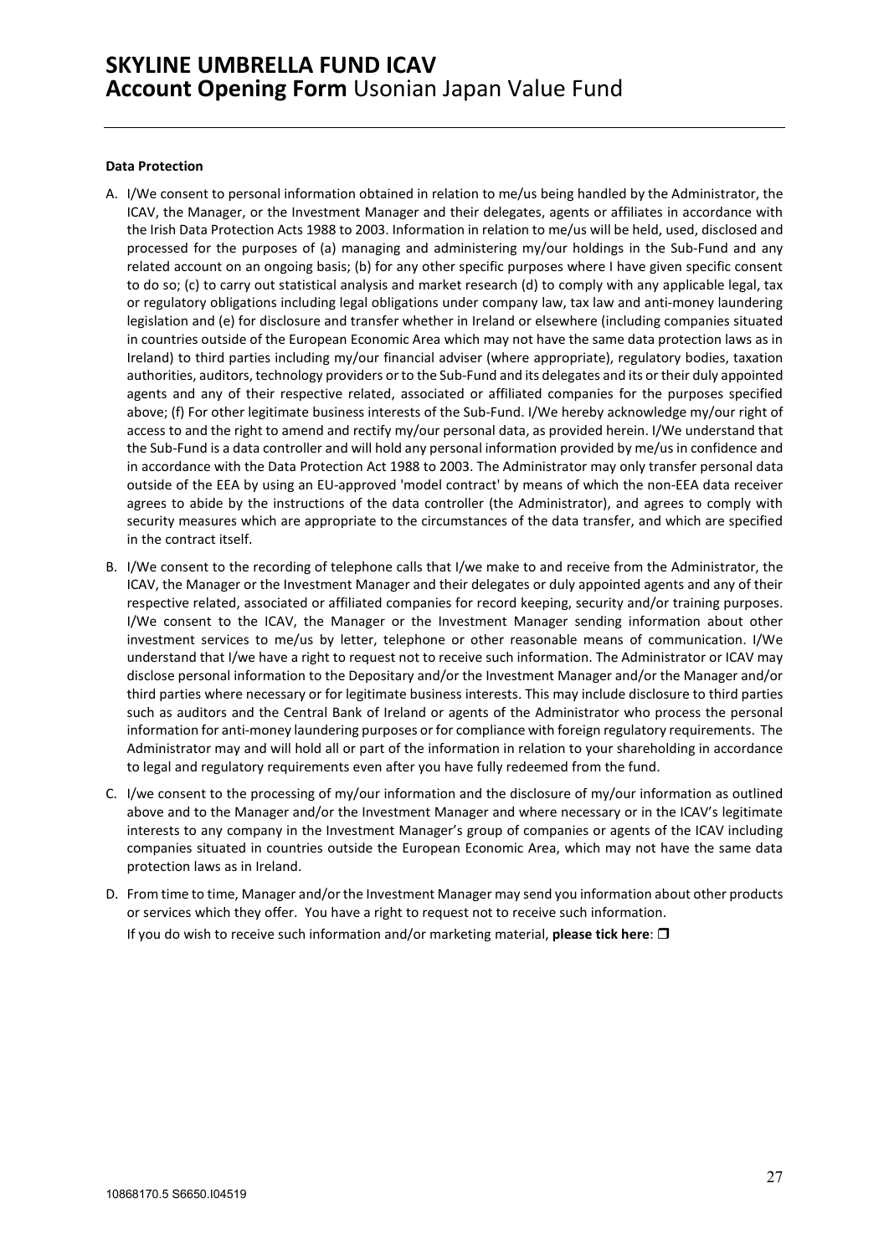### **Data Protection**

- A. I/We consent to personal information obtained in relation to me/us being handled by the Administrator, the ICAV, the Manager, or the Investment Manager and their delegates, agents or affiliates in accordance with the Irish Data Protection Acts 1988 to 2003. Information in relation to me/us will be held, used, disclosed and processed for the purposes of (a) managing and administering my/our holdings in the Sub-Fund and any related account on an ongoing basis; (b) for any other specific purposes where I have given specific consent to do so; (c) to carry out statistical analysis and market research (d) to comply with any applicable legal, tax or regulatory obligations including legal obligations under company law, tax law and anti-money laundering legislation and (e) for disclosure and transfer whether in Ireland or elsewhere (including companies situated in countries outside of the European Economic Area which may not have the same data protection laws as in Ireland) to third parties including my/our financial adviser (where appropriate), regulatory bodies, taxation authorities, auditors, technology providers or to the Sub-Fund and its delegates and its or their duly appointed agents and any of their respective related, associated or affiliated companies for the purposes specified above; (f) For other legitimate business interests of the Sub-Fund. I/We hereby acknowledge my/our right of access to and the right to amend and rectify my/our personal data, as provided herein. I/We understand that the Sub-Fund is a data controller and will hold any personal information provided by me/us in confidence and in accordance with the Data Protection Act 1988 to 2003. The Administrator may only transfer personal data outside of the EEA by using an EU-approved 'model contract' by means of which the non-EEA data receiver agrees to abide by the instructions of the data controller (the Administrator), and agrees to comply with security measures which are appropriate to the circumstances of the data transfer, and which are specified in the contract itself.
- B. I/We consent to the recording of telephone calls that I/we make to and receive from the Administrator, the ICAV, the Manager or the Investment Manager and their delegates or duly appointed agents and any of their respective related, associated or affiliated companies for record keeping, security and/or training purposes. I/We consent to the ICAV, the Manager or the Investment Manager sending information about other investment services to me/us by letter, telephone or other reasonable means of communication. I/We understand that I/we have a right to request not to receive such information. The Administrator or ICAV may disclose personal information to the Depositary and/or the Investment Manager and/or the Manager and/or third parties where necessary or for legitimate business interests. This may include disclosure to third parties such as auditors and the Central Bank of Ireland or agents of the Administrator who process the personal information for anti-money laundering purposes or for compliance with foreign regulatory requirements. The Administrator may and will hold all or part of the information in relation to your shareholding in accordance to legal and regulatory requirements even after you have fully redeemed from the fund.
- C. I/we consent to the processing of my/our information and the disclosure of my/our information as outlined above and to the Manager and/or the Investment Manager and where necessary or in the ICAV's legitimate interests to any company in the Investment Manager's group of companies or agents of the ICAV including companies situated in countries outside the European Economic Area, which may not have the same data protection laws as in Ireland.
- D. From time to time, Manager and/or the Investment Manager may send you information about other products or services which they offer. You have a right to request not to receive such information.

If you do wish to receive such information and/or marketing material, **please tick here**: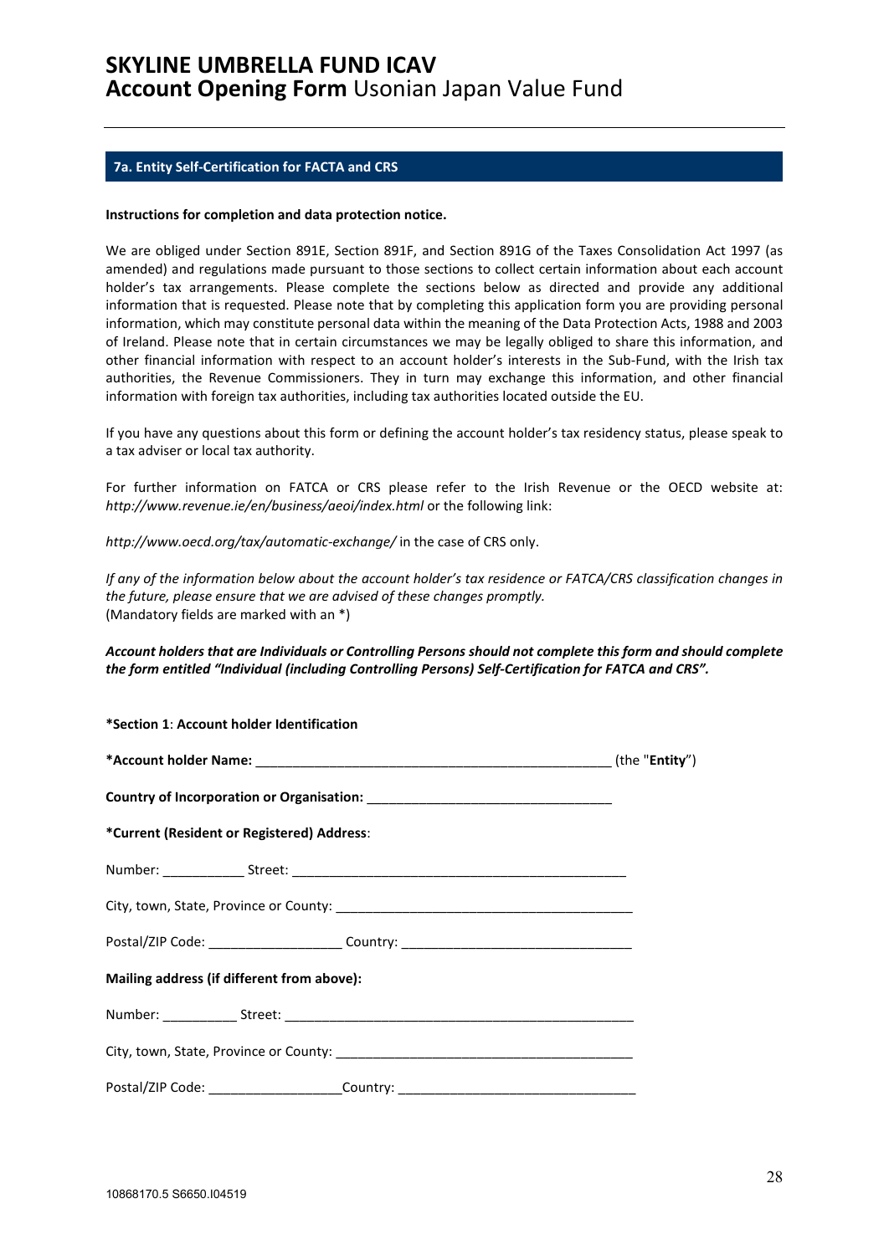### <span id="page-27-0"></span>**7a. Entity Self-Certification for FACTA and CRS**

#### **Instructions for completion and data protection notice.**

We are obliged under Section 891E, Section 891F, and Section 891G of the Taxes Consolidation Act 1997 (as amended) and regulations made pursuant to those sections to collect certain information about each account holder's tax arrangements. Please complete the sections below as directed and provide any additional information that is requested. Please note that by completing this application form you are providing personal information, which may constitute personal data within the meaning of the Data Protection Acts, 1988 and 2003 of Ireland. Please note that in certain circumstances we may be legally obliged to share this information, and other financial information with respect to an account holder's interests in the Sub-Fund, with the Irish tax authorities, the Revenue Commissioners. They in turn may exchange this information, and other financial information with foreign tax authorities, including tax authorities located outside the EU.

If you have any questions about this form or defining the account holder's tax residency status, please speak to a tax adviser or local tax authority.

For further information on FATCA or CRS please refer to the Irish Revenue or the OECD website at: *http://www.revenue.ie/en/business/aeoi/index.html* or the following link:

*http://www.oecd.org/tax/automatic-exchange/* in the case of CRS only.

*If any of the information below about the account holder's tax residence or FATCA/CRS classification changes in the future, please ensure that we are advised of these changes promptly.*  (Mandatory fields are marked with an \*)

### *Account holders that are Individuals or Controlling Persons should not complete this form and should complete the form entitled "Individual (including Controlling Persons) Self-Certification for FATCA and CRS".*

| *Section 1: Account holder Identification  |                                                                                  |  |
|--------------------------------------------|----------------------------------------------------------------------------------|--|
|                                            |                                                                                  |  |
|                                            |                                                                                  |  |
| *Current (Resident or Registered) Address: |                                                                                  |  |
|                                            |                                                                                  |  |
|                                            |                                                                                  |  |
|                                            | Postal/ZIP Code: ________________________Country: ______________________________ |  |
| Mailing address (if different from above): |                                                                                  |  |
|                                            |                                                                                  |  |
|                                            |                                                                                  |  |
|                                            | Postal/ZIP Code: ______________________Country: ________________________________ |  |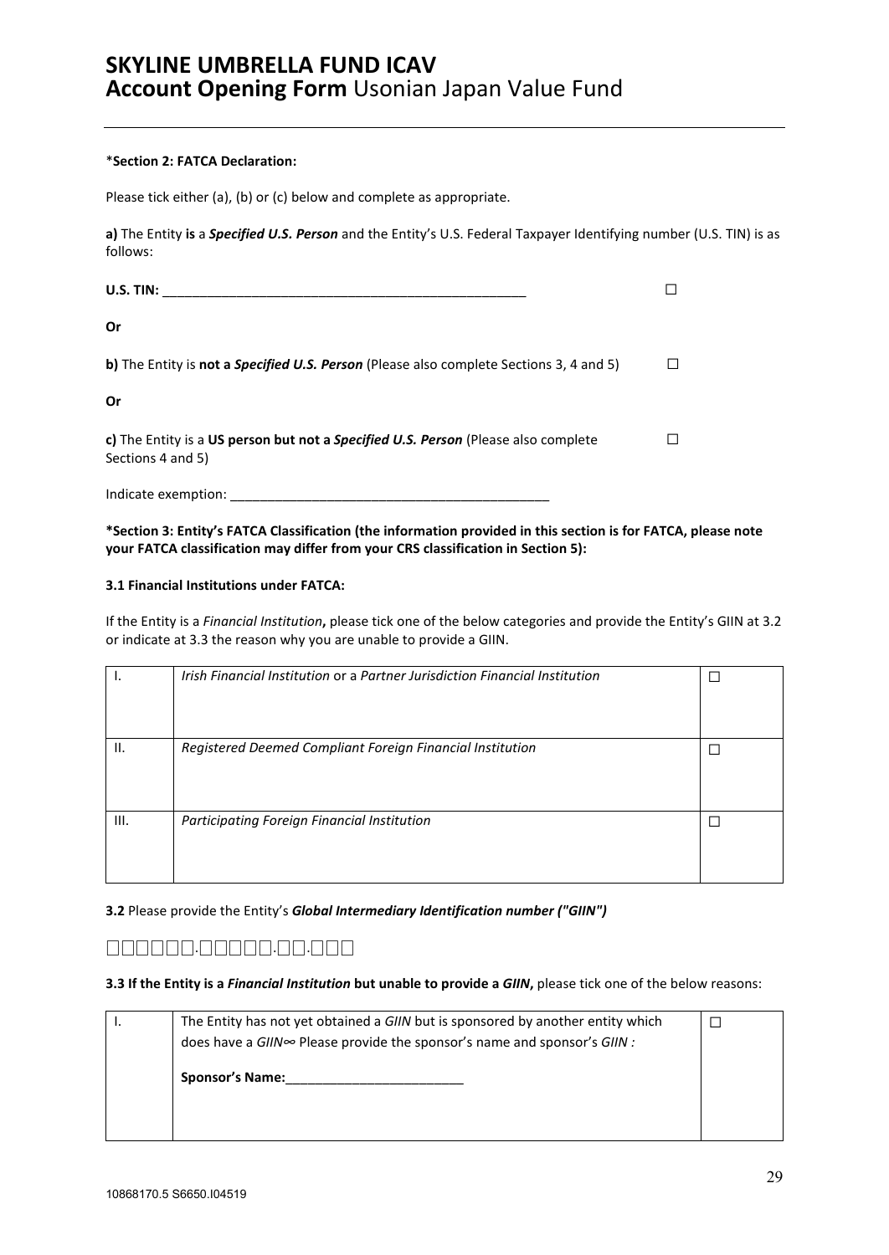### \***Section 2: FATCA Declaration:**

Please tick either (a), (b) or (c) below and complete as appropriate.

**a)** The Entity **is** a *Specified U.S. Person* and the Entity's U.S. Federal Taxpayer Identifying number (U.S. TIN) is as follows:

| U.S. TIN:                                                                                               |  |
|---------------------------------------------------------------------------------------------------------|--|
| 0r                                                                                                      |  |
| <b>b)</b> The Entity is <b>not a Specified U.S. Person</b> (Please also complete Sections 3, 4 and 5)   |  |
| Or                                                                                                      |  |
| c) The Entity is a US person but not a Specified U.S. Person (Please also complete<br>Sections 4 and 5) |  |
| Indicate exemption:                                                                                     |  |

### **\*Section 3: Entity's FATCA Classification (the information provided in this section is for FATCA, please note your FATCA classification may differ from your CRS classification in Section 5):**

### **3.1 Financial Institutions under FATCA:**

If the Entity is a *Financial Institution***,** please tick one of the below categories and provide the Entity's GIIN at 3.2 or indicate at 3.3 the reason why you are unable to provide a GIIN.

|      | Irish Financial Institution or a Partner Jurisdiction Financial Institution |  |
|------|-----------------------------------------------------------------------------|--|
| II.  | Registered Deemed Compliant Foreign Financial Institution                   |  |
| III. | Participating Foreign Financial Institution                                 |  |

**3.2** Please provide the Entity's *Global Intermediary Identification number ("GIIN")* 

### ⎕⎕⎕⎕⎕⎕.⎕⎕⎕⎕⎕.⎕⎕.⎕⎕⎕

### **3.3 If the Entity is a** *Financial Institution* **but unable to provide a** *GIIN***,** please tick one of the below reasons:

| The Entity has not yet obtained a GIIN but is sponsored by another entity which |  |
|---------------------------------------------------------------------------------|--|
| does have a GIIN∞ Please provide the sponsor's name and sponsor's GIIN :        |  |
| <b>Sponsor's Name:</b>                                                          |  |
|                                                                                 |  |
|                                                                                 |  |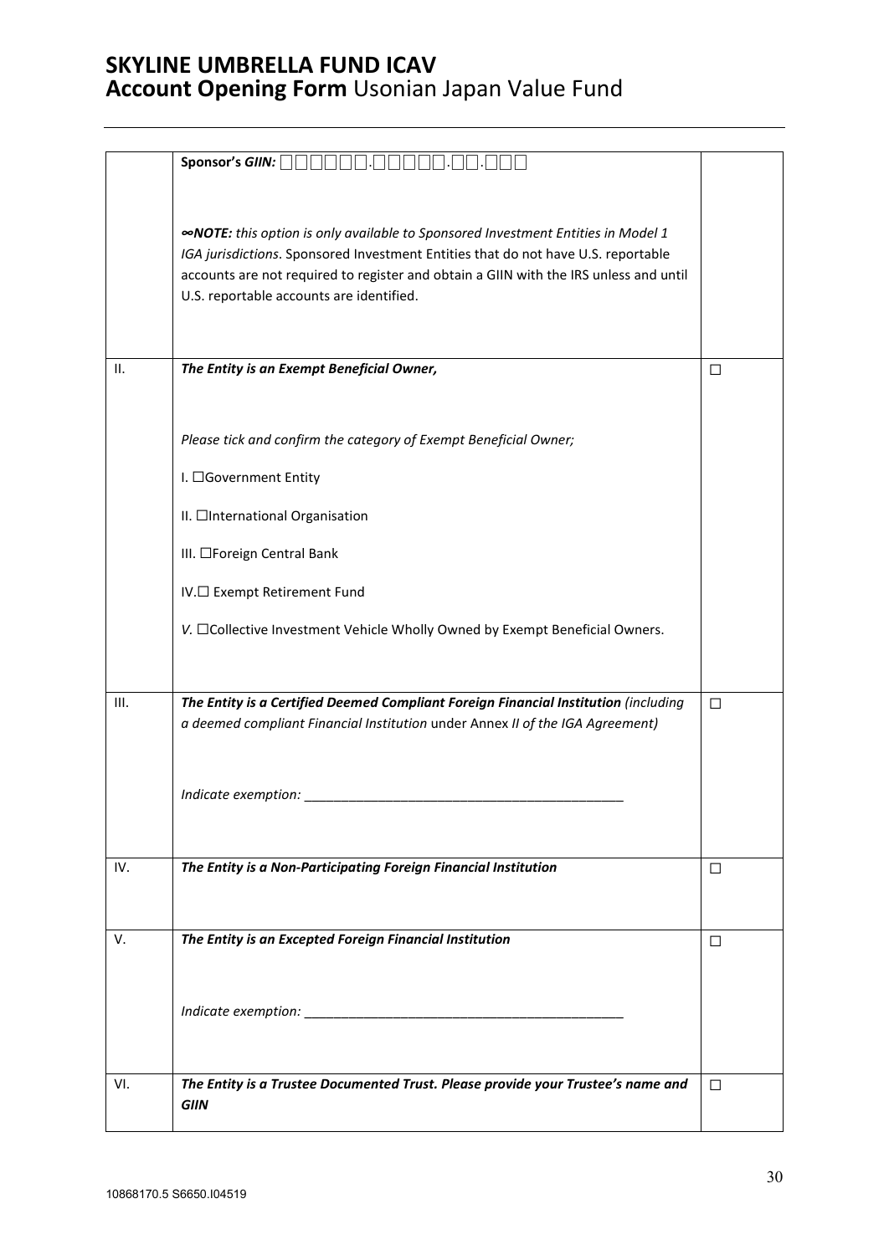|      | Sponsor's GIIN:                                                                         |        |
|------|-----------------------------------------------------------------------------------------|--------|
|      |                                                                                         |        |
|      |                                                                                         |        |
|      | <b>«NOTE:</b> this option is only available to Sponsored Investment Entities in Model 1 |        |
|      | IGA jurisdictions. Sponsored Investment Entities that do not have U.S. reportable       |        |
|      |                                                                                         |        |
|      | accounts are not required to register and obtain a GIIN with the IRS unless and until   |        |
|      | U.S. reportable accounts are identified.                                                |        |
|      |                                                                                         |        |
|      |                                                                                         |        |
| II.  | The Entity is an Exempt Beneficial Owner,                                               | П      |
|      |                                                                                         |        |
|      |                                                                                         |        |
|      |                                                                                         |        |
|      | Please tick and confirm the category of Exempt Beneficial Owner;                        |        |
|      |                                                                                         |        |
|      | I. □Government Entity                                                                   |        |
|      |                                                                                         |        |
|      | II. □International Organisation                                                         |        |
|      |                                                                                         |        |
|      | III. □Foreign Central Bank                                                              |        |
|      |                                                                                         |        |
|      | IV.□ Exempt Retirement Fund                                                             |        |
|      |                                                                                         |        |
|      | V. □Collective Investment Vehicle Wholly Owned by Exempt Beneficial Owners.             |        |
|      |                                                                                         |        |
|      |                                                                                         |        |
| III. | The Entity is a Certified Deemed Compliant Foreign Financial Institution (including     | $\Box$ |
|      | a deemed compliant Financial Institution under Annex II of the IGA Agreement)           |        |
|      |                                                                                         |        |
|      |                                                                                         |        |
|      |                                                                                         |        |
|      | Indicate exemption:                                                                     |        |
|      |                                                                                         |        |
|      |                                                                                         |        |
| IV.  | The Entity is a Non-Participating Foreign Financial Institution                         | □      |
|      |                                                                                         |        |
|      |                                                                                         |        |
|      |                                                                                         |        |
| V.   | The Entity is an Excepted Foreign Financial Institution                                 | П      |
|      |                                                                                         |        |
|      |                                                                                         |        |
|      |                                                                                         |        |
|      |                                                                                         |        |
|      |                                                                                         |        |
|      |                                                                                         |        |
| VI.  | The Entity is a Trustee Documented Trust. Please provide your Trustee's name and        | П      |
|      | GIIN                                                                                    |        |
|      |                                                                                         |        |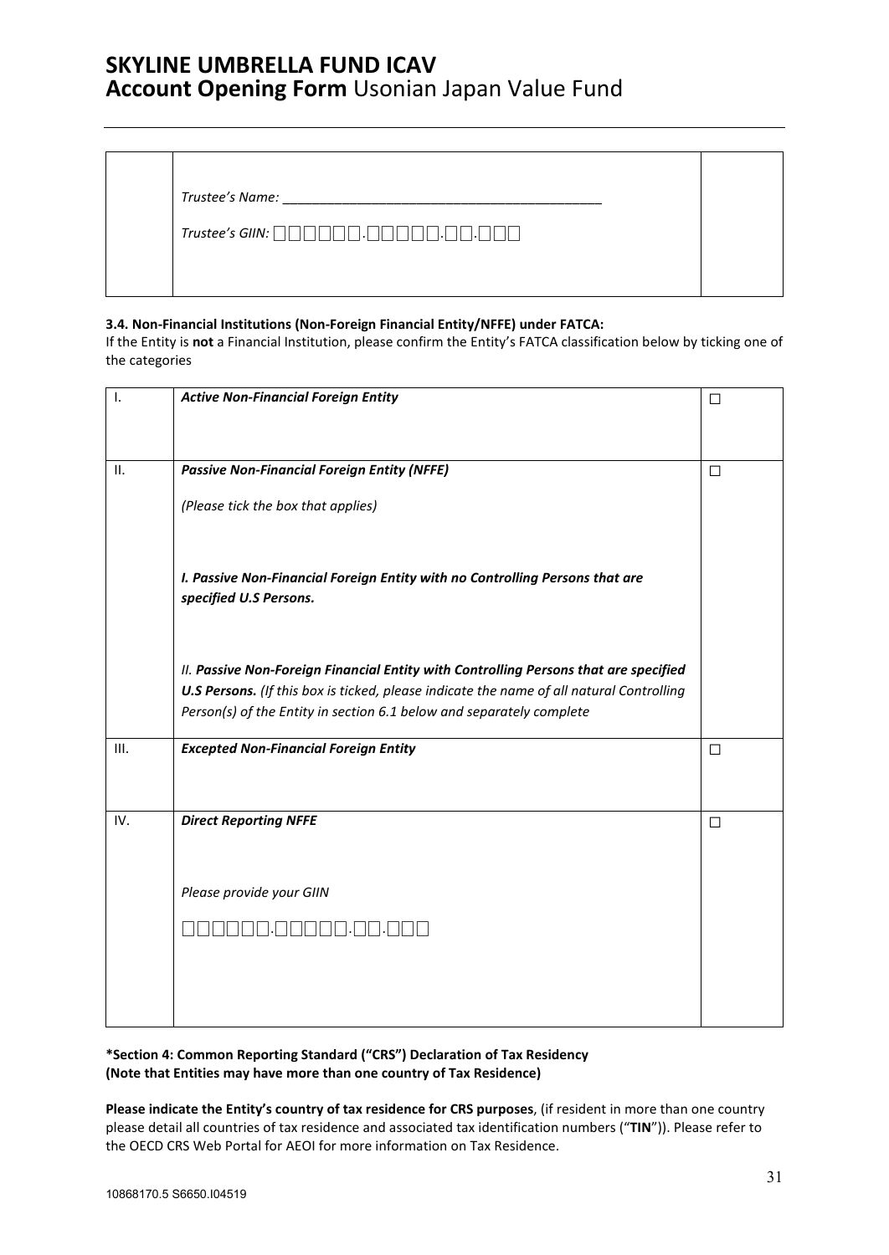| Trustee's Name: |
|-----------------|
|-----------------|

*Trustee's GIIN:* ⎕⎕⎕⎕⎕⎕.⎕⎕⎕⎕⎕.⎕⎕.⎕⎕⎕

### **3.4. Non-Financial Institutions (Non-Foreign Financial Entity/NFFE) under FATCA:**

If the Entity is **not** a Financial Institution, please confirm the Entity's FATCA classification below by ticking one of the categories

| Ι.   | <b>Active Non-Financial Foreign Entity</b>                                                                                                                                                                                                                      | □ |
|------|-----------------------------------------------------------------------------------------------------------------------------------------------------------------------------------------------------------------------------------------------------------------|---|
|      |                                                                                                                                                                                                                                                                 |   |
| II.  | <b>Passive Non-Financial Foreign Entity (NFFE)</b>                                                                                                                                                                                                              | П |
|      | (Please tick the box that applies)                                                                                                                                                                                                                              |   |
|      | I. Passive Non-Financial Foreign Entity with no Controlling Persons that are<br>specified U.S Persons.                                                                                                                                                          |   |
|      | II. Passive Non-Foreign Financial Entity with Controlling Persons that are specified<br><b>U.S Persons.</b> (If this box is ticked, please indicate the name of all natural Controlling<br>Person(s) of the Entity in section 6.1 below and separately complete |   |
| III. | <b>Excepted Non-Financial Foreign Entity</b>                                                                                                                                                                                                                    | П |
| IV.  | <b>Direct Reporting NFFE</b>                                                                                                                                                                                                                                    | □ |
|      | Please provide your GIIN                                                                                                                                                                                                                                        |   |
|      |                                                                                                                                                                                                                                                                 |   |
|      |                                                                                                                                                                                                                                                                 |   |
|      |                                                                                                                                                                                                                                                                 |   |

**\*Section 4: Common Reporting Standard ("CRS") Declaration of Tax Residency (Note that Entities may have more than one country of Tax Residence)** 

**Please indicate the Entity's country of tax residence for CRS purposes**, (if resident in more than one country please detail all countries of tax residence and associated tax identification numbers ("**TIN**")). Please refer to the OECD CRS Web Portal for AEOI for more information on Tax Residence.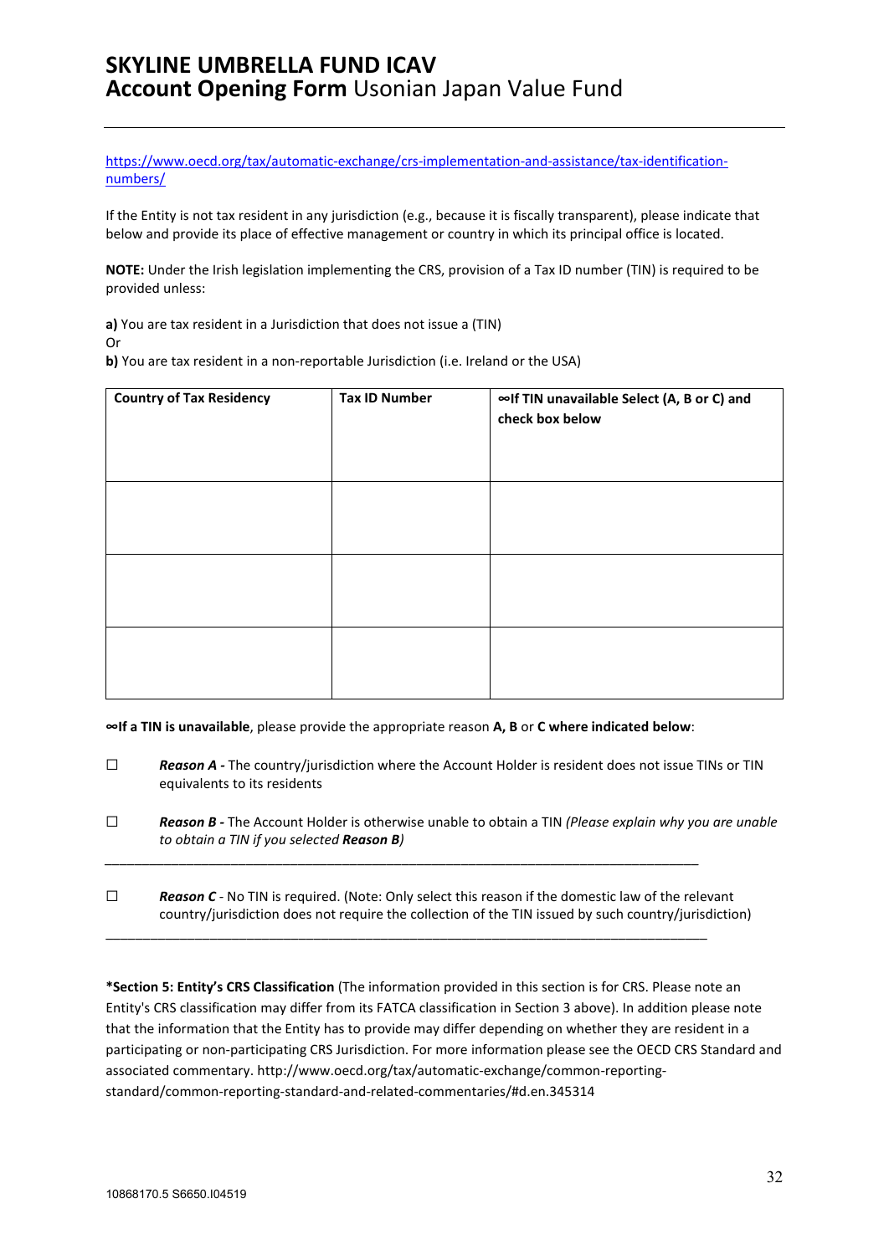[https://www.oecd.org/tax/automatic-exchange/crs-implementation-and-assistance/tax-identification](https://www.oecd.org/tax/automatic-exchange/crs-implementation-and-assistance/tax-identification-numbers/)[numbers/](https://www.oecd.org/tax/automatic-exchange/crs-implementation-and-assistance/tax-identification-numbers/)

If the Entity is not tax resident in any jurisdiction (e.g., because it is fiscally transparent), please indicate that below and provide its place of effective management or country in which its principal office is located.

**NOTE:** Under the Irish legislation implementing the CRS, provision of a Tax ID number (TIN) is required to be provided unless:

**a)** You are tax resident in a Jurisdiction that does not issue a (TIN) Or

**b)** You are tax resident in a non-reportable Jurisdiction (i.e. Ireland or the USA)

| <b>Country of Tax Residency</b> | <b>Tax ID Number</b> | ∞If TIN unavailable Select (A, B or C) and<br>check box below |
|---------------------------------|----------------------|---------------------------------------------------------------|
|                                 |                      |                                                               |
|                                 |                      |                                                               |
|                                 |                      |                                                               |

**∞If a TIN is unavailable**, please provide the appropriate reason **A, B** or **C where indicated below**:

*\_\_\_\_\_\_\_\_\_\_\_\_\_\_\_\_\_\_\_\_\_\_\_\_\_\_\_\_\_\_\_\_\_\_\_\_\_\_\_\_\_\_\_\_\_\_\_\_\_\_\_\_\_\_\_\_\_\_\_\_\_\_\_\_\_\_\_\_\_\_\_\_\_\_\_\_\_\_\_\_*

\_\_\_\_\_\_\_\_\_\_\_\_\_\_\_\_\_\_\_\_\_\_\_\_\_\_\_\_\_\_\_\_\_\_\_\_\_\_\_\_\_\_\_\_\_\_\_\_\_\_\_\_\_\_\_\_\_\_\_\_\_\_\_\_\_\_\_\_\_\_\_\_\_\_\_\_\_\_\_\_\_

- ☐ *Reason A -* The country/jurisdiction where the Account Holder is resident does not issue TINs or TIN equivalents to its residents
- ☐ *Reason B -* The Account Holder is otherwise unable to obtain a TIN *(Please explain why you are unable to obtain a TIN if you selected Reason B)*
- ☐ *Reason C -* No TIN is required. (Note: Only select this reason if the domestic law of the relevant country/jurisdiction does not require the collection of the TIN issued by such country/jurisdiction)

**\*Section 5: Entity's CRS Classification** (The information provided in this section is for CRS. Please note an Entity's CRS classification may differ from its FATCA classification in Section 3 above). In addition please note that the information that the Entity has to provide may differ depending on whether they are resident in a participating or non-participating CRS Jurisdiction. For more information please see the OECD CRS Standard and associated commentary. http://www.oecd.org/tax/automatic-exchange/common-reportingstandard/common-reporting-standard-and-related-commentaries/#d.en.345314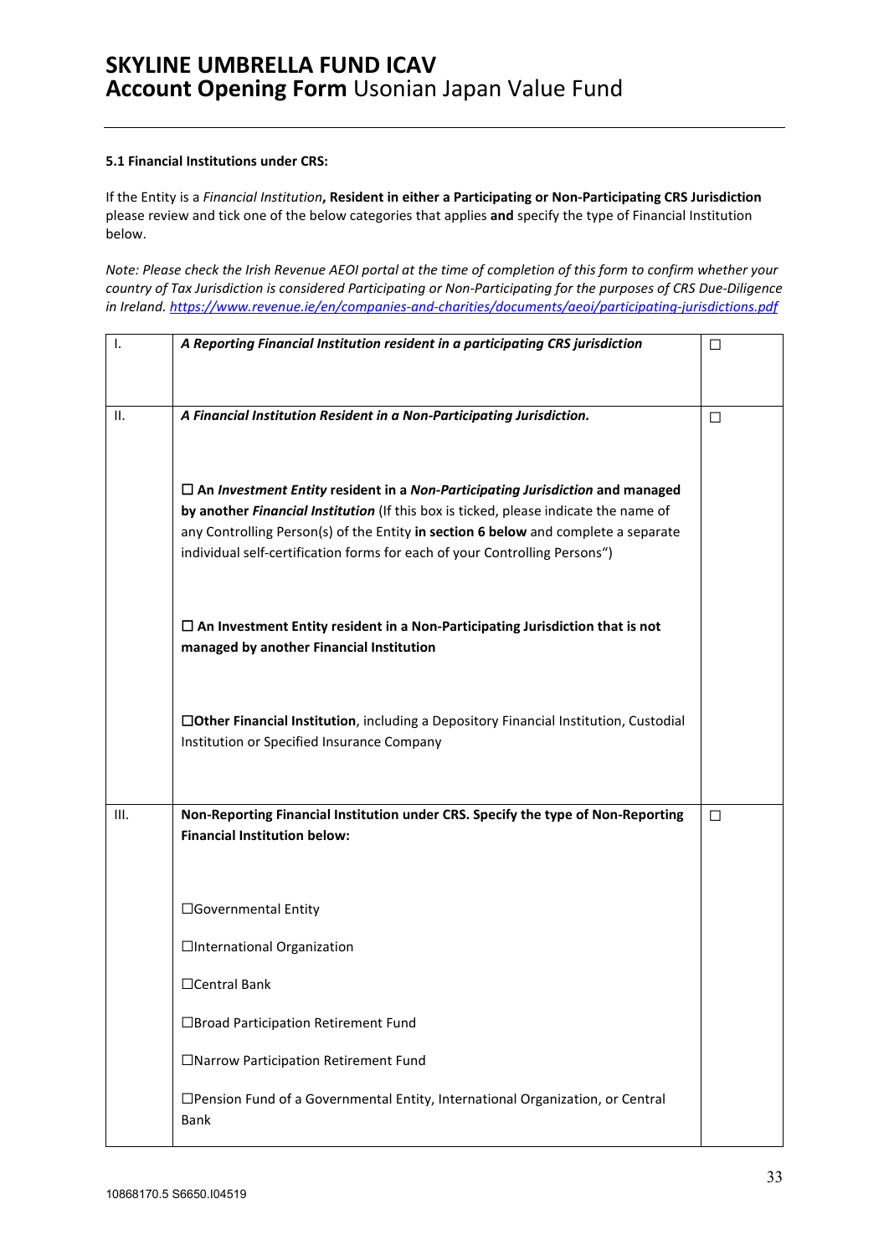### **5.1 Financial Institutions under CRS:**

If the Entity is a *Financial Institution***, Resident in either a Participating or Non-Participating CRS Jurisdiction**  please review and tick one of the below categories that applies **and** specify the type of Financial Institution below.

*Note: Please check the Irish Revenue AEOI portal at the time of completion of this form to confirm whether your country of Tax Jurisdiction is considered Participating or Non-Participating for the purposes of CRS Due-Diligence in Ireland.<https://www.revenue.ie/en/companies-and-charities/documents/aeoi/participating-jurisdictions.pdf>*

| I.   | A Reporting Financial Institution resident in a participating CRS jurisdiction                                                      | □ |
|------|-------------------------------------------------------------------------------------------------------------------------------------|---|
| ΙΙ.  | A Financial Institution Resident in a Non-Participating Jurisdiction.                                                               | □ |
|      | $\Box$ An Investment Entity resident in a Non-Participating Jurisdiction and managed                                                |   |
|      | by another Financial Institution (If this box is ticked, please indicate the name of                                                |   |
|      | any Controlling Person(s) of the Entity in section 6 below and complete a separate                                                  |   |
|      | individual self-certification forms for each of your Controlling Persons")                                                          |   |
|      | $\Box$ An Investment Entity resident in a Non-Participating Jurisdiction that is not<br>managed by another Financial Institution    |   |
|      |                                                                                                                                     |   |
|      | □Other Financial Institution, including a Depository Financial Institution, Custodial<br>Institution or Specified Insurance Company |   |
|      |                                                                                                                                     |   |
| III. | Non-Reporting Financial Institution under CRS. Specify the type of Non-Reporting<br><b>Financial Institution below:</b>             | □ |
|      | □Governmental Entity                                                                                                                |   |
|      | □International Organization                                                                                                         |   |
|      | □Central Bank                                                                                                                       |   |
|      | □Broad Participation Retirement Fund                                                                                                |   |
|      | □Narrow Participation Retirement Fund                                                                                               |   |
|      | □Pension Fund of a Governmental Entity, International Organization, or Central<br>Bank                                              |   |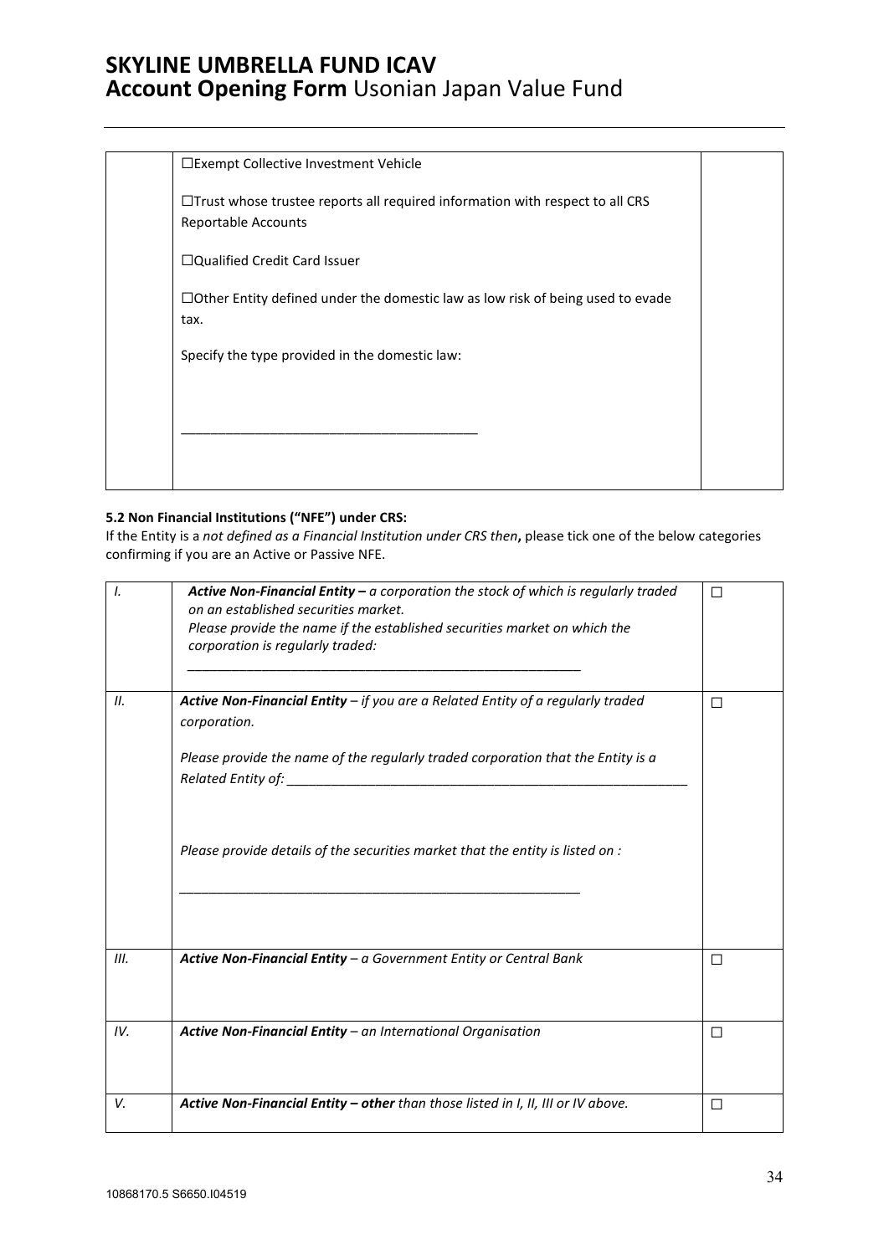| □Exempt Collective Investment Vehicle                                                                             |  |
|-------------------------------------------------------------------------------------------------------------------|--|
| $\Box$ Trust whose trustee reports all required information with respect to all CRS<br><b>Reportable Accounts</b> |  |
| □Qualified Credit Card Issuer                                                                                     |  |
| $\Box$ Other Entity defined under the domestic law as low risk of being used to evade<br>tax.                     |  |
| Specify the type provided in the domestic law:                                                                    |  |
|                                                                                                                   |  |
|                                                                                                                   |  |
|                                                                                                                   |  |

### **5.2 Non Financial Institutions ("NFE") under CRS:**

If the Entity is a *not defined as a Financial Institution under CRS then***,** please tick one of the below categories confirming if you are an Active or Passive NFE.

| I.   | <b>Active Non-Financial Entity – a corporation the stock of which is regularly traded</b><br>on an established securities market.<br>Please provide the name if the established securities market on which the<br>corporation is regularly traded: | П |
|------|----------------------------------------------------------------------------------------------------------------------------------------------------------------------------------------------------------------------------------------------------|---|
| II.  | Active Non-Financial Entity $-$ if you are a Related Entity of a regularly traded<br>corporation.                                                                                                                                                  | П |
|      | Please provide the name of the regularly traded corporation that the Entity is a                                                                                                                                                                   |   |
|      | Please provide details of the securities market that the entity is listed on :                                                                                                                                                                     |   |
| III. | Active Non-Financial Entity - a Government Entity or Central Bank                                                                                                                                                                                  | П |
| IV.  | Active Non-Financial Entity - an International Organisation                                                                                                                                                                                        | П |
| V.   | Active Non-Financial Entity - other than those listed in I, II, III or IV above.                                                                                                                                                                   | П |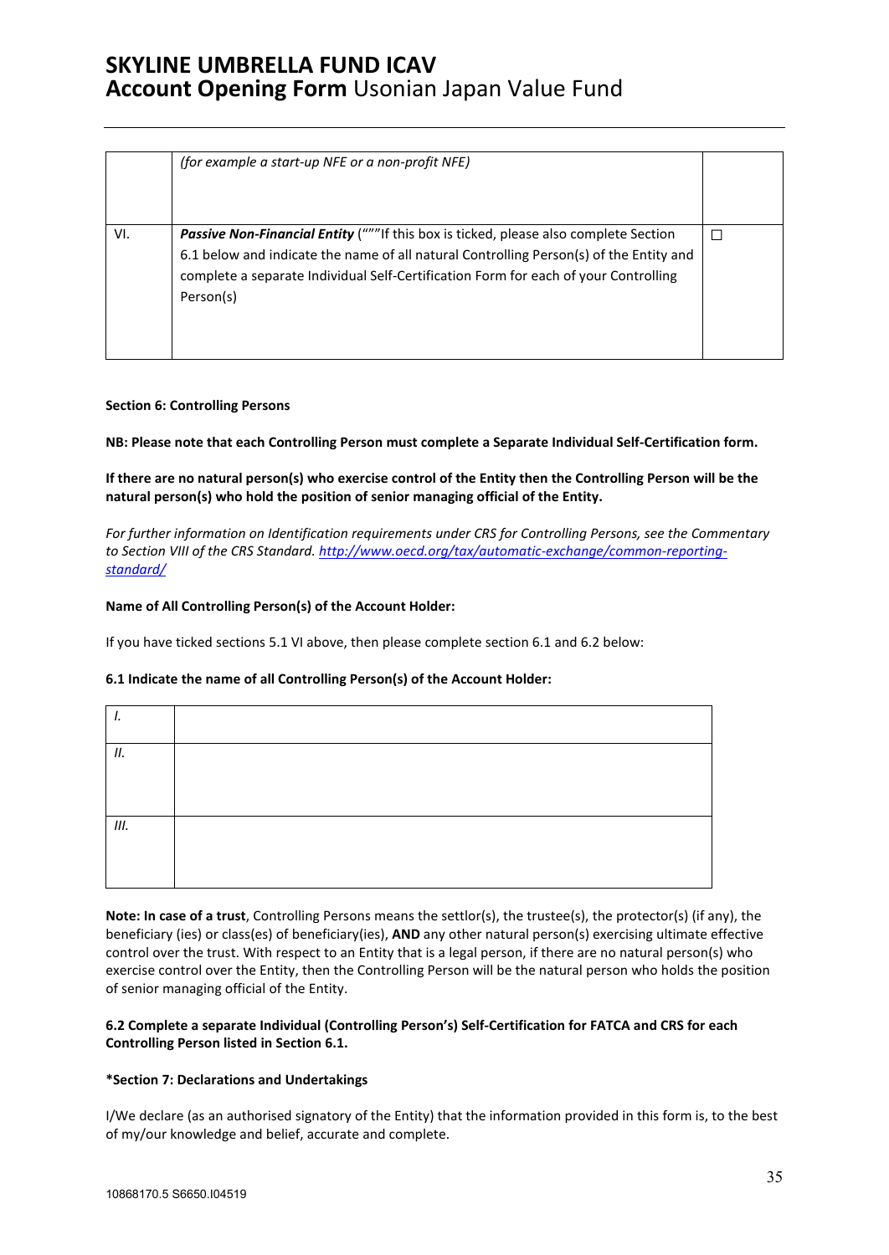|     | (for example a start-up NFE or a non-profit NFE)                                                                                                                                                                                                                                          |  |
|-----|-------------------------------------------------------------------------------------------------------------------------------------------------------------------------------------------------------------------------------------------------------------------------------------------|--|
| VI. | <b>Passive Non-Financial Entity</b> ("""If this box is ticked, please also complete Section<br>6.1 below and indicate the name of all natural Controlling Person(s) of the Entity and<br>complete a separate Individual Self-Certification Form for each of your Controlling<br>Person(s) |  |

### **Section 6: Controlling Persons**

**NB: Please note that each Controlling Person must complete a Separate Individual Self-Certification form.** 

**If there are no natural person(s) who exercise control of the Entity then the Controlling Person will be the natural person(s) who hold the position of senior managing official of the Entity.** 

*For further information on Identification requirements under CRS for Controlling Persons, see the Commentary to Section VIII of the CRS Standard. [http://www.oecd.org/tax/automatic-exchange/common-reporting](http://www.oecd.org/tax/automatic-exchange/common-reporting-standard/)[standard/](http://www.oecd.org/tax/automatic-exchange/common-reporting-standard/)*

### **Name of All Controlling Person(s) of the Account Holder:**

If you have ticked sections 5.1 VI above, then please complete section 6.1 and 6.2 below:

### **6.1 Indicate the name of all Controlling Person(s) of the Account Holder:**

| ,  |  |
|----|--|
| П. |  |
|    |  |
| Ш. |  |
|    |  |
|    |  |

**Note: In case of a trust**, Controlling Persons means the settlor(s), the trustee(s), the protector(s) (if any), the beneficiary (ies) or class(es) of beneficiary(ies), **AND** any other natural person(s) exercising ultimate effective control over the trust. With respect to an Entity that is a legal person, if there are no natural person(s) who exercise control over the Entity, then the Controlling Person will be the natural person who holds the position of senior managing official of the Entity.

### **6.2 Complete a separate Individual (Controlling Person's) Self-Certification for FATCA and CRS for each Controlling Person listed in Section 6.1.**

### **\*Section 7: Declarations and Undertakings**

I/We declare (as an authorised signatory of the Entity) that the information provided in this form is, to the best of my/our knowledge and belief, accurate and complete.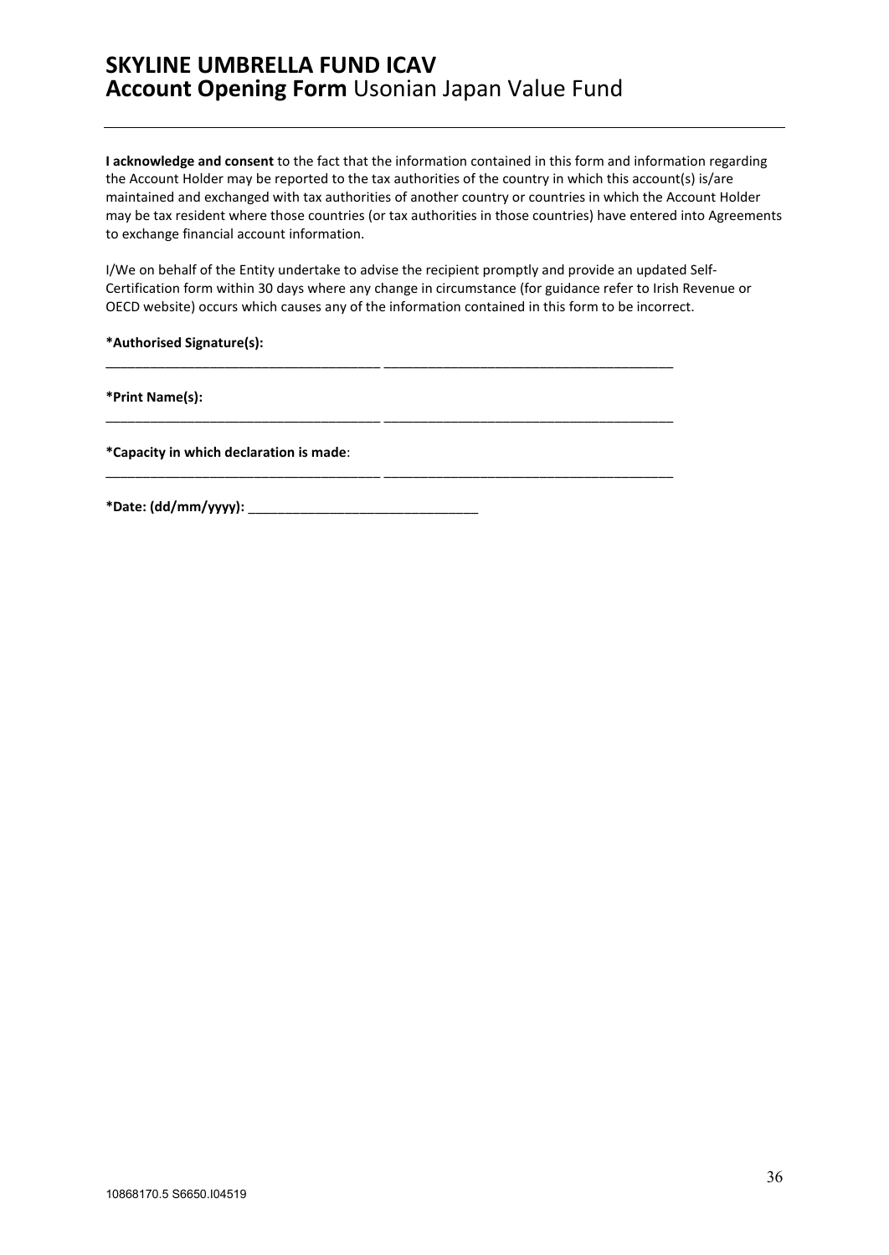**I acknowledge and consent** to the fact that the information contained in this form and information regarding the Account Holder may be reported to the tax authorities of the country in which this account(s) is/are maintained and exchanged with tax authorities of another country or countries in which the Account Holder may be tax resident where those countries (or tax authorities in those countries) have entered into Agreements to exchange financial account information.

I/We on behalf of the Entity undertake to advise the recipient promptly and provide an updated Self-Certification form within 30 days where any change in circumstance (for guidance refer to Irish Revenue or OECD website) occurs which causes any of the information contained in this form to be incorrect.

\_\_\_\_\_\_\_\_\_\_\_\_\_\_\_\_\_\_\_\_\_\_\_\_\_\_\_\_\_\_\_\_\_\_\_\_\_ \_\_\_\_\_\_\_\_\_\_\_\_\_\_\_\_\_\_\_\_\_\_\_\_\_\_\_\_\_\_\_\_\_\_\_\_\_\_\_

\_\_\_\_\_\_\_\_\_\_\_\_\_\_\_\_\_\_\_\_\_\_\_\_\_\_\_\_\_\_\_\_\_\_\_\_\_ \_\_\_\_\_\_\_\_\_\_\_\_\_\_\_\_\_\_\_\_\_\_\_\_\_\_\_\_\_\_\_\_\_\_\_\_\_\_\_

\_\_\_\_\_\_\_\_\_\_\_\_\_\_\_\_\_\_\_\_\_\_\_\_\_\_\_\_\_\_\_\_\_\_\_\_\_ \_\_\_\_\_\_\_\_\_\_\_\_\_\_\_\_\_\_\_\_\_\_\_\_\_\_\_\_\_\_\_\_\_\_\_\_\_\_\_

**\*Authorised Signature(s):** 

**\*Print Name(s):** 

**\*Capacity in which declaration is made**:

**\*Date: (dd/mm/yyyy):** \_\_\_\_\_\_\_\_\_\_\_\_\_\_\_\_\_\_\_\_\_\_\_\_\_\_\_\_\_\_\_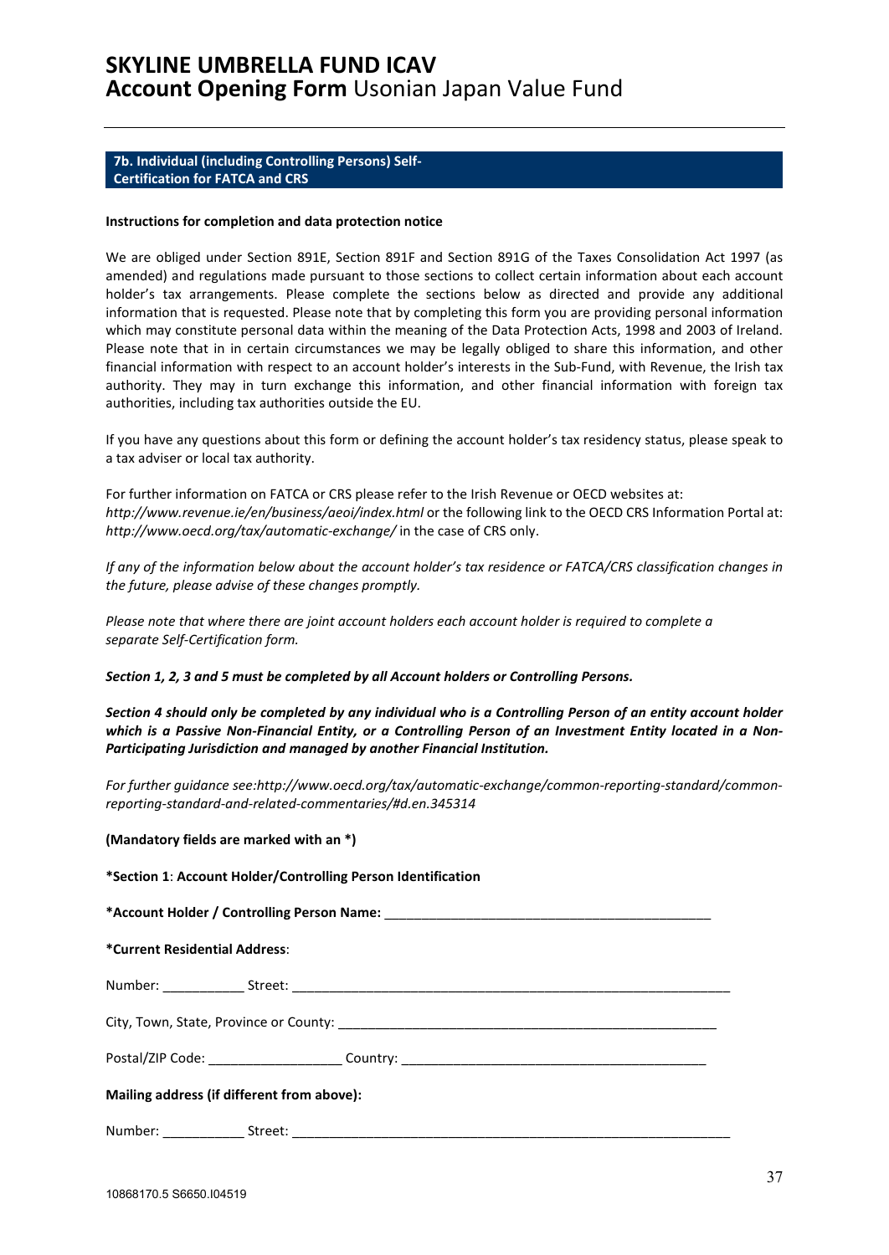### <span id="page-36-0"></span>**7b. Individual (including Controlling Persons) Self-Certification for FATCA and CRS**

#### **Instructions for completion and data protection notice**

We are obliged under Section 891E, Section 891F and Section 891G of the Taxes Consolidation Act 1997 (as amended) and regulations made pursuant to those sections to collect certain information about each account holder's tax arrangements. Please complete the sections below as directed and provide any additional information that is requested. Please note that by completing this form you are providing personal information which may constitute personal data within the meaning of the Data Protection Acts, 1998 and 2003 of Ireland. Please note that in in certain circumstances we may be legally obliged to share this information, and other financial information with respect to an account holder's interests in the Sub-Fund, with Revenue, the Irish tax authority. They may in turn exchange this information, and other financial information with foreign tax authorities, including tax authorities outside the EU.

If you have any questions about this form or defining the account holder's tax residency status, please speak to a tax adviser or local tax authority.

For further information on FATCA or CRS please refer to the Irish Revenue or OECD websites at: *http://www.revenue.ie/en/business/aeoi/index.html* or the following link to the OECD CRS Information Portal at: *http://www.oecd.org/tax/automatic-exchange/* in the case of CRS only.

*If any of the information below about the account holder's tax residence or FATCA/CRS classification changes in the future, please advise of these changes promptly.*

*Please note that where there are joint account holders each account holder is required to complete a separate Self-Certification form.* 

### *Section 1, 2, 3 and 5 must be completed by all Account holders or Controlling Persons.*

*Section 4 should only be completed by any individual who is a Controlling Person of an entity account holder which is a Passive Non-Financial Entity, or a Controlling Person of an Investment Entity located in a Non-Participating Jurisdiction and managed by another Financial Institution.* 

*For further guidance see:http://www.oecd.org/tax/automatic-exchange/common-reporting-standard/commonreporting-standard-and-related-commentaries/#d.en.345314* 

#### **(Mandatory fields are marked with an \*)**

| *Section 1: Account Holder/Controlling Person Identification |  |  |
|--------------------------------------------------------------|--|--|
|                                                              |  |  |
| *Current Residential Address:                                |  |  |
|                                                              |  |  |
|                                                              |  |  |
|                                                              |  |  |
| Mailing address (if different from above):                   |  |  |
|                                                              |  |  |

Number: \_\_\_\_\_\_\_\_\_\_\_ Street: \_\_\_\_\_\_\_\_\_\_\_\_\_\_\_\_\_\_\_\_\_\_\_\_\_\_\_\_\_\_\_\_\_\_\_\_\_\_\_\_\_\_\_\_\_\_\_\_\_\_\_\_\_\_\_\_\_\_\_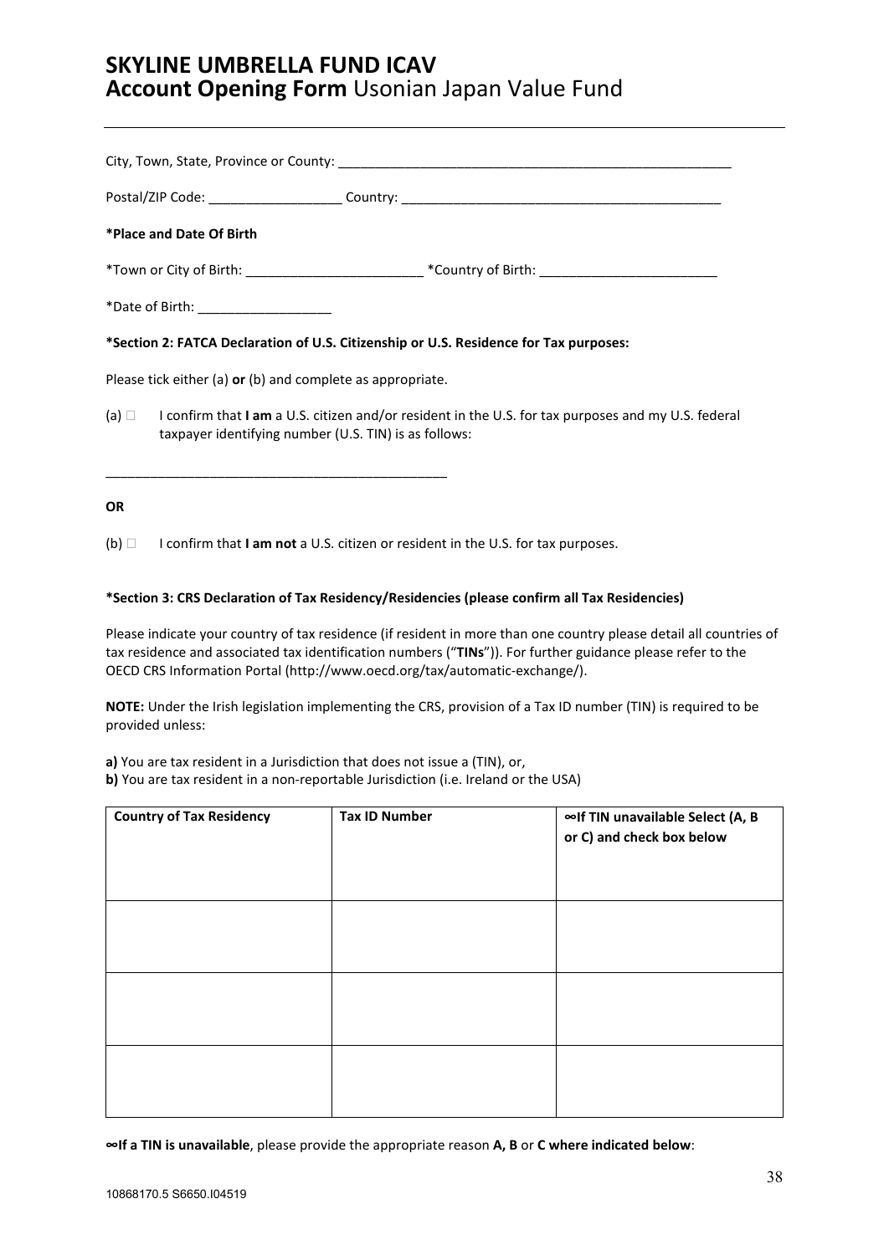|                          |                                                            | Postal/ZIP Code: _______________________Country: ________________________________                              |
|--------------------------|------------------------------------------------------------|----------------------------------------------------------------------------------------------------------------|
| *Place and Date Of Birth |                                                            |                                                                                                                |
|                          |                                                            | *Town or City of Birth: ________________________________*Country of Birth: ___________________________________ |
|                          | *Date of Birth: ___________________                        |                                                                                                                |
|                          |                                                            | *Section 2: FATCA Declaration of U.S. Citizenship or U.S. Residence for Tax purposes:                          |
|                          | Please tick either (a) or (b) and complete as appropriate. |                                                                                                                |
|                          | taxpayer identifying number (U.S. TIN) is as follows:      | (a) $\Box$ I confirm that I am a U.S. citizen and/or resident in the U.S. for tax purposes and my U.S. federal |
| <b>OR</b>                |                                                            |                                                                                                                |

(b) I confirm that **I am not** a U.S. citizen or resident in the U.S. for tax purposes.

### **\*Section 3: CRS Declaration of Tax Residency/Residencies (please confirm all Tax Residencies)**

Please indicate your country of tax residence (if resident in more than one country please detail all countries of tax residence and associated tax identification numbers ("**TINs**")). For further guidance please refer to the OECD CRS Information Portal [\(http://www.oecd.org/tax/automatic-exchange/\)](http://www.oecd.org/tax/automatic-exchange/).

**NOTE:** Under the Irish legislation implementing the CRS, provision of a Tax ID number (TIN) is required to be provided unless:

**a)** You are tax resident in a Jurisdiction that does not issue a (TIN), or,

**b)** You are tax resident in a non-reportable Jurisdiction (i.e. Ireland or the USA)

| <b>Country of Tax Residency</b> | <b>Tax ID Number</b> | ∞If TIN unavailable Select (A, B<br>or C) and check box below |
|---------------------------------|----------------------|---------------------------------------------------------------|
|                                 |                      |                                                               |
|                                 |                      |                                                               |
|                                 |                      |                                                               |

**∞If a TIN is unavailable**, please provide the appropriate reason **A, B** or **C where indicated below**: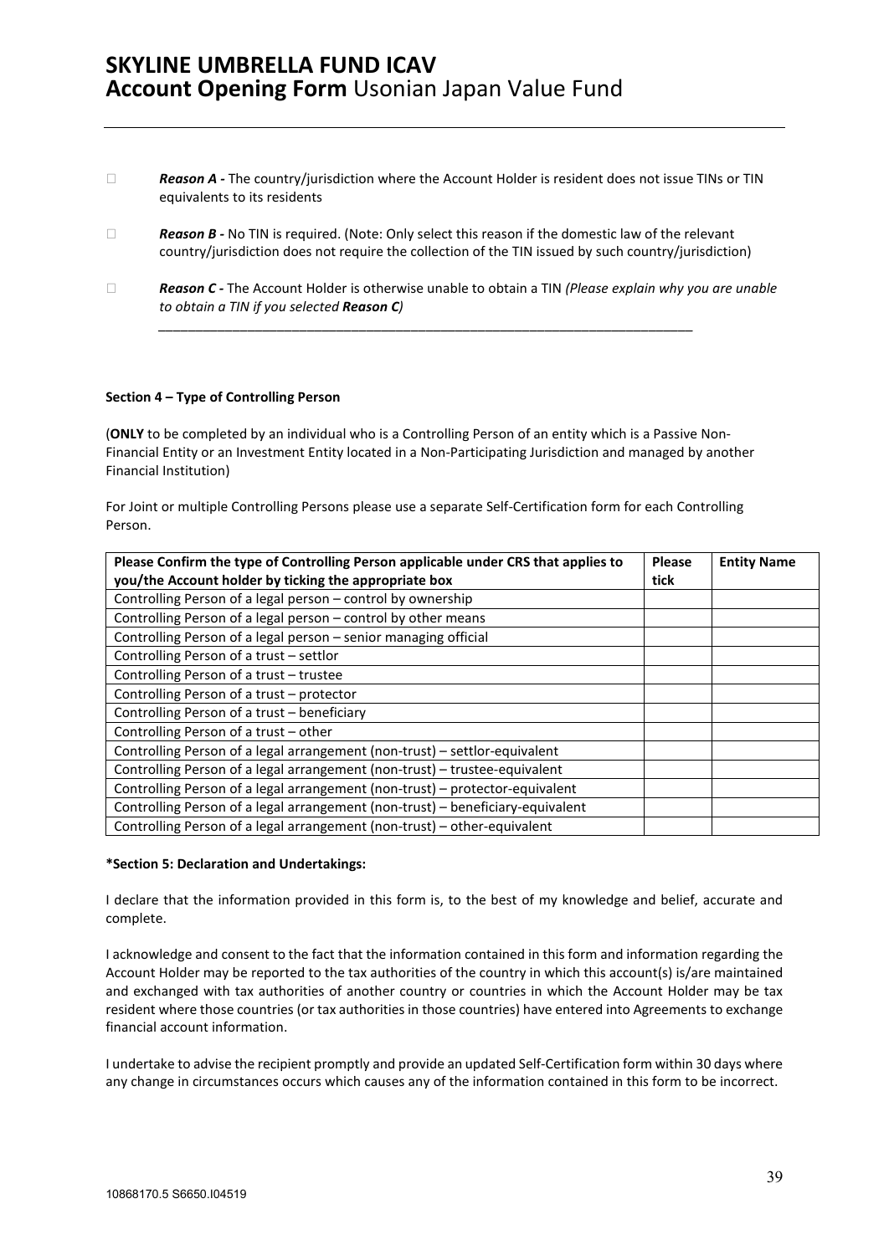- □ **Reason A** The country/jurisdiction where the Account Holder is resident does not issue TINs or TIN equivalents to its residents
- □ **Reason B** No TIN is required. (Note: Only select this reason if the domestic law of the relevant country/jurisdiction does not require the collection of the TIN issued by such country/jurisdiction)

*\_\_\_\_\_\_\_\_\_\_\_\_\_\_\_\_\_\_\_\_\_\_\_\_\_\_\_\_\_\_\_\_\_\_\_\_\_\_\_\_\_\_\_\_\_\_\_\_\_\_\_\_\_\_\_\_\_\_\_\_\_\_\_\_\_\_\_\_\_\_\_\_*

 *Reason C -* The Account Holder is otherwise unable to obtain a TIN *(Please explain why you are unable to obtain a TIN if you selected Reason C)* 

### **Section 4 – Type of Controlling Person**

(**ONLY** to be completed by an individual who is a Controlling Person of an entity which is a Passive Non-Financial Entity or an Investment Entity located in a Non-Participating Jurisdiction and managed by another Financial Institution)

For Joint or multiple Controlling Persons please use a separate Self-Certification form for each Controlling Person.

| Please Confirm the type of Controlling Person applicable under CRS that applies to<br>you/the Account holder by ticking the appropriate box | <b>Please</b><br>tick | <b>Entity Name</b> |
|---------------------------------------------------------------------------------------------------------------------------------------------|-----------------------|--------------------|
| Controlling Person of a legal person - control by ownership                                                                                 |                       |                    |
| Controlling Person of a legal person - control by other means                                                                               |                       |                    |
| Controlling Person of a legal person - senior managing official                                                                             |                       |                    |
| Controlling Person of a trust - settlor                                                                                                     |                       |                    |
| Controlling Person of a trust - trustee                                                                                                     |                       |                    |
| Controlling Person of a trust - protector                                                                                                   |                       |                    |
| Controlling Person of a trust - beneficiary                                                                                                 |                       |                    |
| Controlling Person of a trust - other                                                                                                       |                       |                    |
| Controlling Person of a legal arrangement (non-trust) - settlor-equivalent                                                                  |                       |                    |
| Controlling Person of a legal arrangement (non-trust) - trustee-equivalent                                                                  |                       |                    |
| Controlling Person of a legal arrangement (non-trust) - protector-equivalent                                                                |                       |                    |
| Controlling Person of a legal arrangement (non-trust) - beneficiary-equivalent                                                              |                       |                    |
| Controlling Person of a legal arrangement (non-trust) - other-equivalent                                                                    |                       |                    |

#### **\*Section 5: Declaration and Undertakings:**

I declare that the information provided in this form is, to the best of my knowledge and belief, accurate and complete.

I acknowledge and consent to the fact that the information contained in this form and information regarding the Account Holder may be reported to the tax authorities of the country in which this account(s) is/are maintained and exchanged with tax authorities of another country or countries in which the Account Holder may be tax resident where those countries (or tax authorities in those countries) have entered into Agreements to exchange financial account information.

I undertake to advise the recipient promptly and provide an updated Self-Certification form within 30 days where any change in circumstances occurs which causes any of the information contained in this form to be incorrect.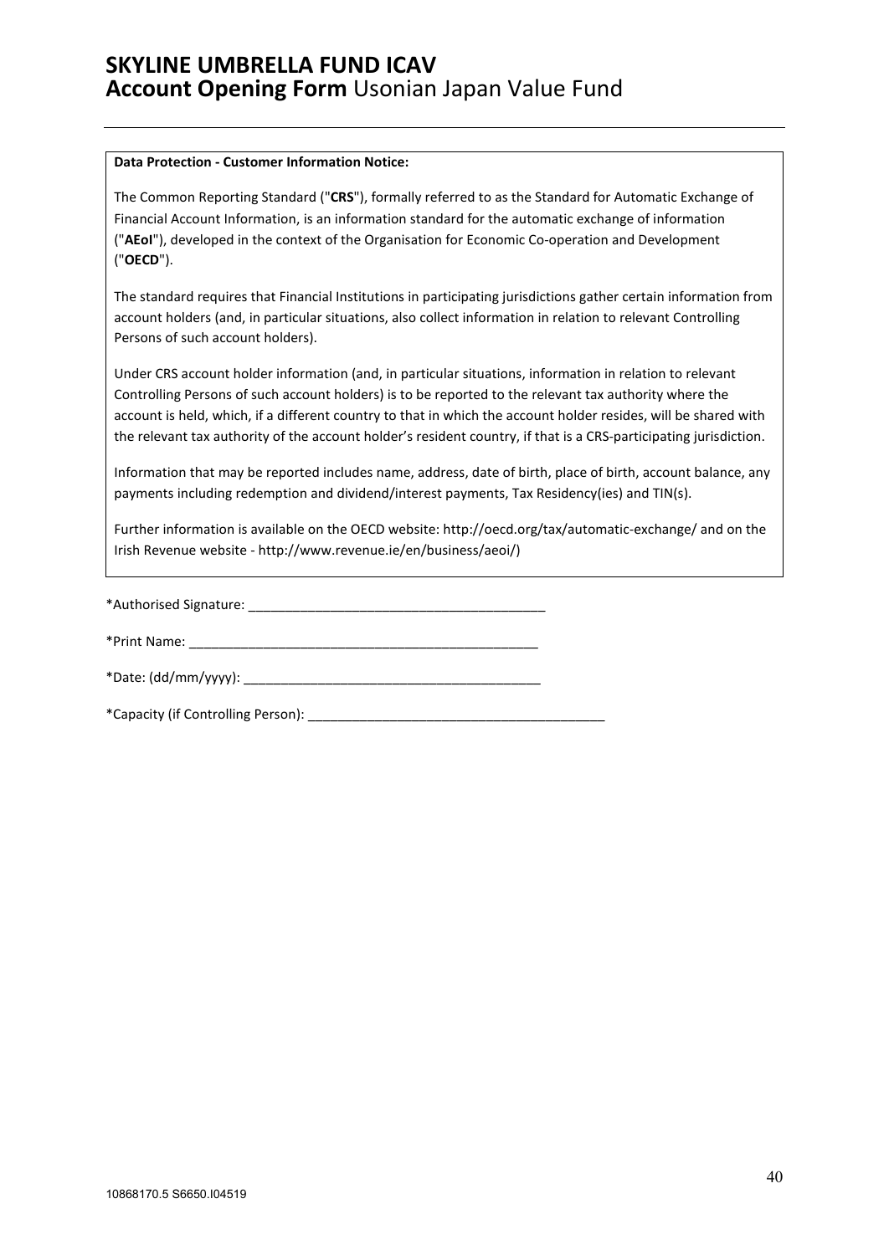### **Data Protection - Customer Information Notice:**

The Common Reporting Standard ("**CRS**"), formally referred to as the Standard for Automatic Exchange of Financial Account Information, is an information standard for the automatic exchange of information ("**AEoI**"), developed in the context of the Organisation for Economic Co-operation and Development ("**OECD**").

The standard requires that Financial Institutions in participating jurisdictions gather certain information from account holders (and, in particular situations, also collect information in relation to relevant Controlling Persons of such account holders).

Under CRS account holder information (and, in particular situations, information in relation to relevant Controlling Persons of such account holders) is to be reported to the relevant tax authority where the account is held, which, if a different country to that in which the account holder resides, will be shared with the relevant tax authority of the account holder's resident country, if that is a CRS-participating jurisdiction.

Information that may be reported includes name, address, date of birth, place of birth, account balance, any payments including redemption and dividend/interest payments, Tax Residency(ies) and TIN(s).

Further information is available on the OECD website: http://oecd.org/tax/automatic-exchange/ and on the Irish Revenue website - [http://www.revenue.ie/en/business/aeoi/\)](http://www.revenue.ie/en/business/aeoi/)

\*Authorised Signature: \_\_\_\_\_\_\_\_\_\_\_\_\_\_\_\_\_\_\_\_\_\_\_\_\_\_\_\_\_\_\_\_\_\_\_\_\_\_\_\_

\*Print Name: \_\_\_\_\_\_\_\_\_\_\_\_\_\_\_\_\_\_\_\_\_\_\_\_\_\_\_\_\_\_\_\_\_\_\_\_\_\_\_\_\_\_\_\_\_\_\_

\*Date: (dd/mm/yyyy): \_\_\_\_\_\_\_\_\_\_\_\_\_\_\_\_\_\_\_\_\_\_\_\_\_\_\_\_\_\_\_\_\_\_\_\_\_\_\_\_

| *Capacity (if Controlling Person): |  |
|------------------------------------|--|
|                                    |  |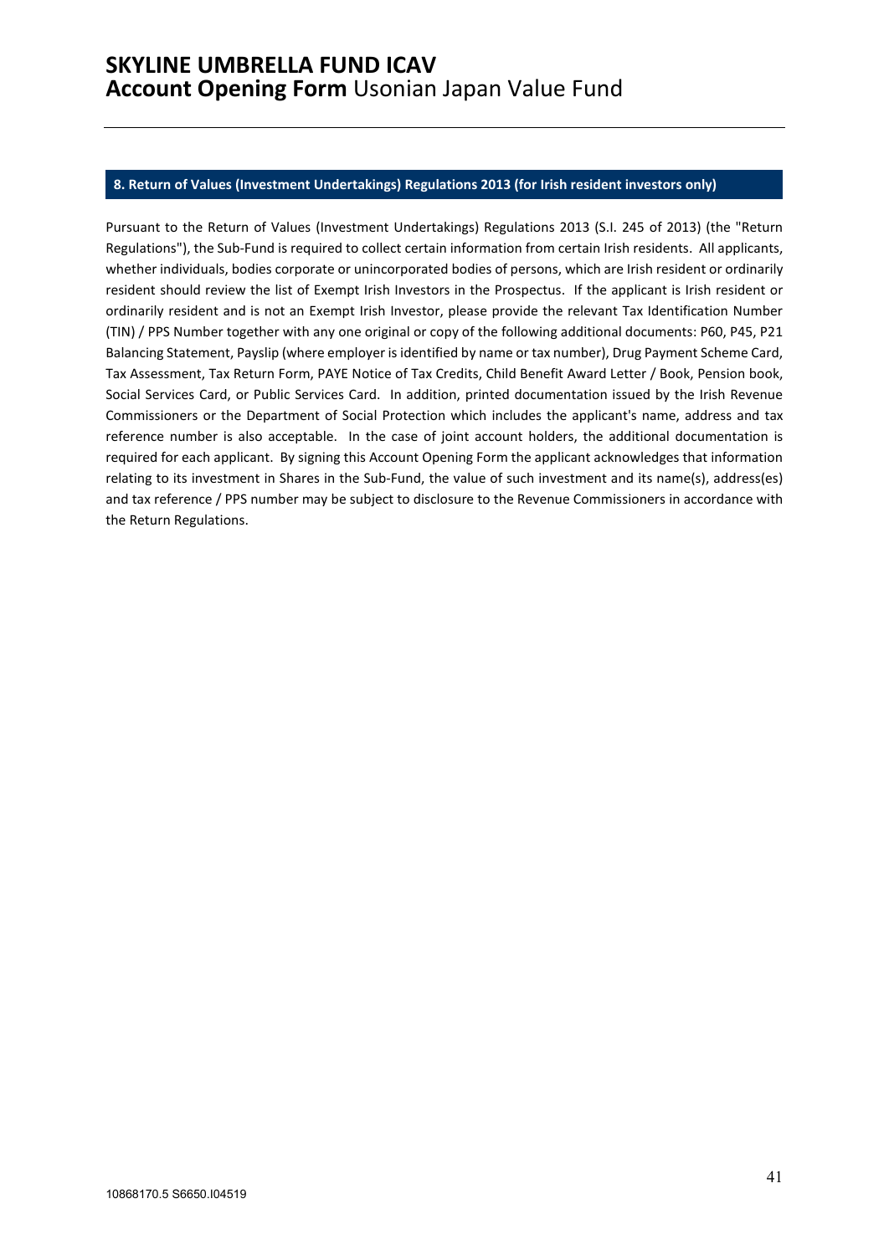### <span id="page-40-0"></span>**8. Return of Values (Investment Undertakings) Regulations 2013 (for Irish resident investors only)**

Pursuant to the Return of Values (Investment Undertakings) Regulations 2013 (S.I. 245 of 2013) (the "Return Regulations"), the Sub-Fund is required to collect certain information from certain Irish residents. All applicants, whether individuals, bodies corporate or unincorporated bodies of persons, which are Irish resident or ordinarily resident should review the list of Exempt Irish Investors in the Prospectus. If the applicant is Irish resident or ordinarily resident and is not an Exempt Irish Investor, please provide the relevant Tax Identification Number (TIN) / PPS Number together with any one original or copy of the following additional documents: P60, P45, P21 Balancing Statement, Payslip (where employer is identified by name or tax number), Drug Payment Scheme Card, Tax Assessment, Tax Return Form, PAYE Notice of Tax Credits, Child Benefit Award Letter / Book, Pension book, Social Services Card, or Public Services Card. In addition, printed documentation issued by the Irish Revenue Commissioners or the Department of Social Protection which includes the applicant's name, address and tax reference number is also acceptable. In the case of joint account holders, the additional documentation is required for each applicant. By signing this Account Opening Form the applicant acknowledges that information relating to its investment in Shares in the Sub-Fund, the value of such investment and its name(s), address(es) and tax reference / PPS number may be subject to disclosure to the Revenue Commissioners in accordance with the Return Regulations.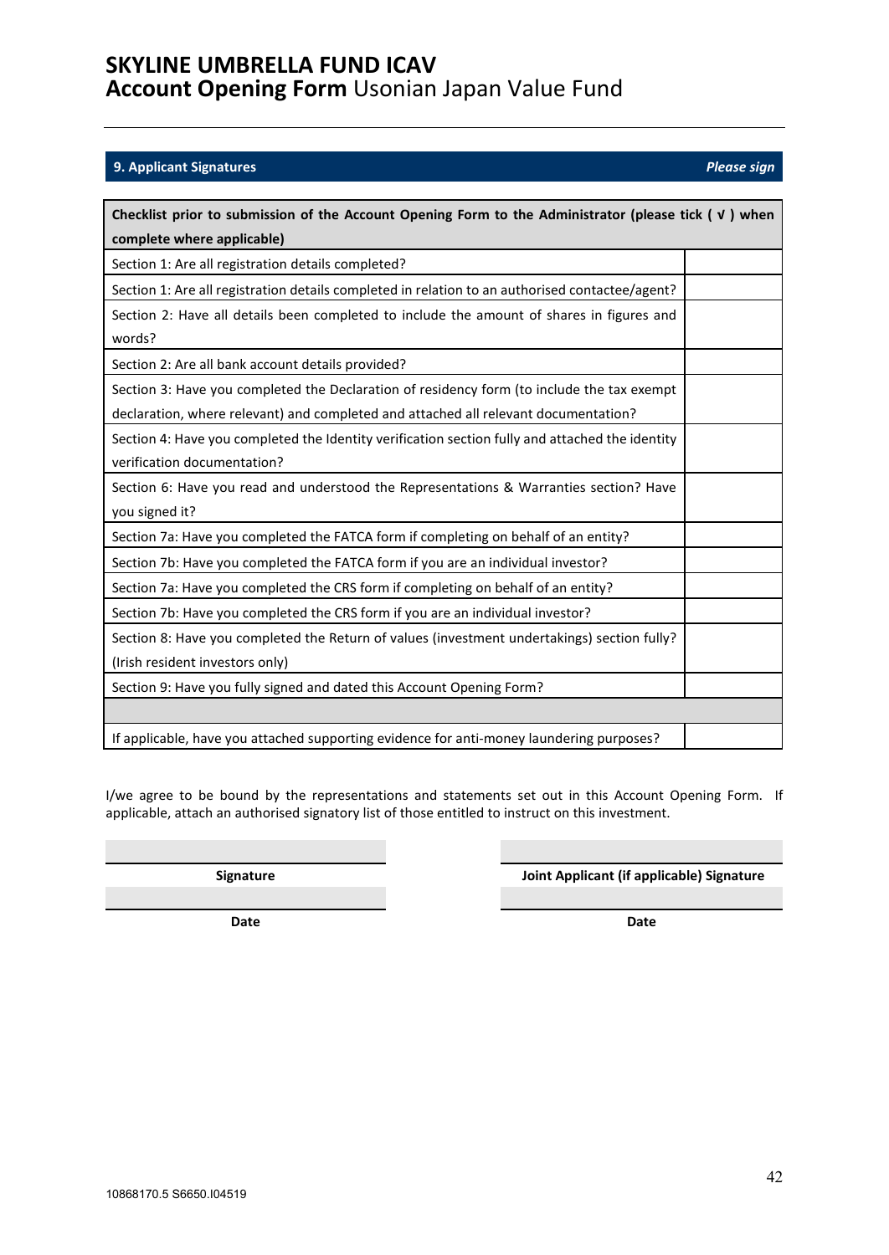10868170.5 S6650.I04519

### <span id="page-41-0"></span>**9. Applicant Signatures** *Please sign*

| Checklist prior to submission of the Account Opening Form to the Administrator (please tick ( v ) when |  |  |  |
|--------------------------------------------------------------------------------------------------------|--|--|--|
| complete where applicable)                                                                             |  |  |  |
| Section 1: Are all registration details completed?                                                     |  |  |  |
| Section 1: Are all registration details completed in relation to an authorised contactee/agent?        |  |  |  |
| Section 2: Have all details been completed to include the amount of shares in figures and              |  |  |  |
| words?                                                                                                 |  |  |  |
| Section 2: Are all bank account details provided?                                                      |  |  |  |
| Section 3: Have you completed the Declaration of residency form (to include the tax exempt             |  |  |  |
| declaration, where relevant) and completed and attached all relevant documentation?                    |  |  |  |
| Section 4: Have you completed the Identity verification section fully and attached the identity        |  |  |  |
| verification documentation?                                                                            |  |  |  |
| Section 6: Have you read and understood the Representations & Warranties section? Have                 |  |  |  |
| you signed it?                                                                                         |  |  |  |
| Section 7a: Have you completed the FATCA form if completing on behalf of an entity?                    |  |  |  |
| Section 7b: Have you completed the FATCA form if you are an individual investor?                       |  |  |  |
| Section 7a: Have you completed the CRS form if completing on behalf of an entity?                      |  |  |  |
| Section 7b: Have you completed the CRS form if you are an individual investor?                         |  |  |  |
| Section 8: Have you completed the Return of values (investment undertakings) section fully?            |  |  |  |
| (Irish resident investors only)                                                                        |  |  |  |
| Section 9: Have you fully signed and dated this Account Opening Form?                                  |  |  |  |
|                                                                                                        |  |  |  |
| If applicable, have you attached supporting evidence for anti-money laundering purposes?               |  |  |  |

I/we agree to be bound by the representations and statements set out in this Account Opening Form. If applicable, attach an authorised signatory list of those entitled to instruct on this investment.

**Signature Joint Applicant (if applicable) Signature**

**Date Date**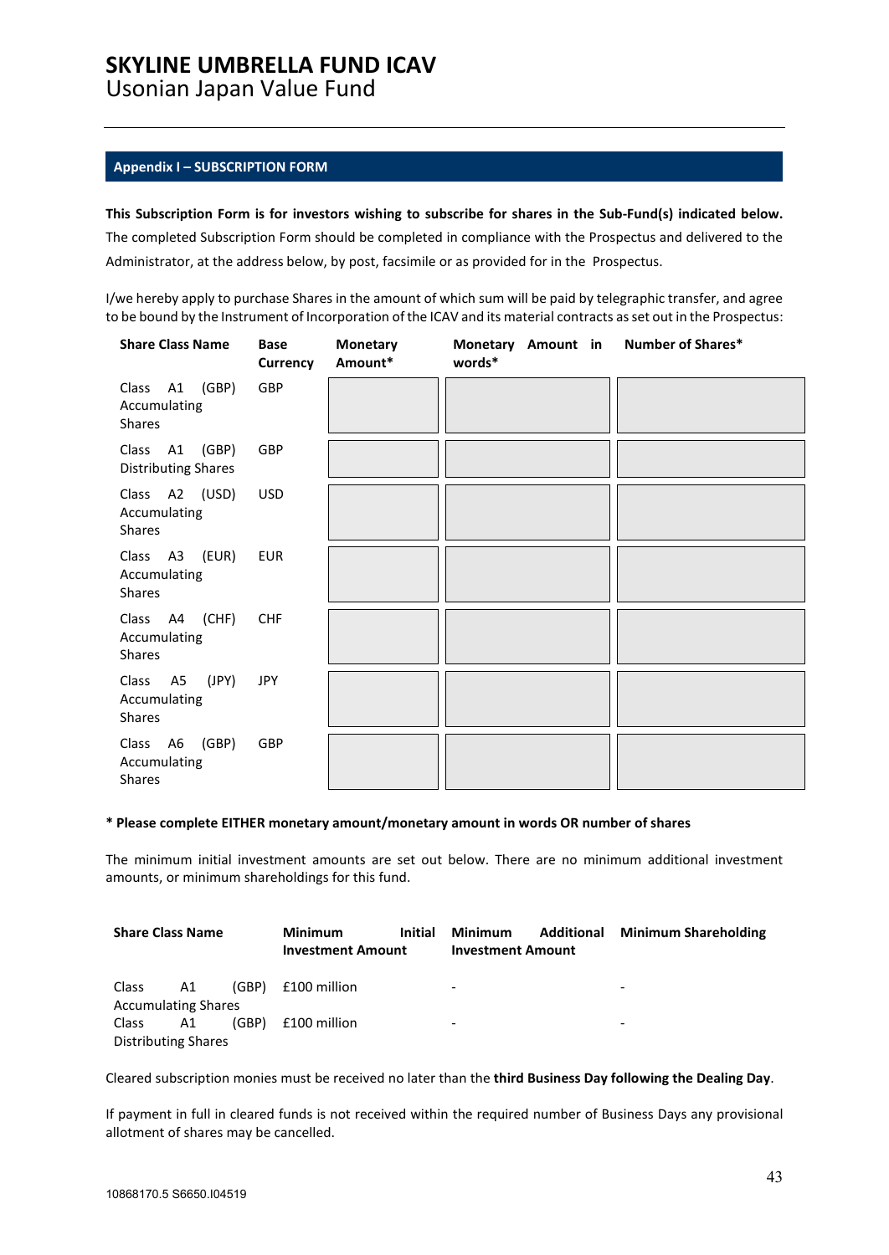### **SKYLINE UMBRELLA FUND ICAV**

Usonian Japan Value Fund

### <span id="page-42-0"></span>**Appendix I – SUBSCRIPTION FORM**

### **This Subscription Form is for investors wishing to subscribe for shares in the Sub-Fund(s) indicated below.** The completed Subscription Form should be completed in compliance with the Prospectus and delivered to the Administrator, at the address below, by post, facsimile or as provided for in the Prospectus.

I/we hereby apply to purchase Shares in the amount of which sum will be paid by telegraphic transfer, and agree to be bound by the Instrument of Incorporation of the ICAV and its material contracts as set out in the Prospectus:

| <b>Share Class Name</b>                         | <b>Base</b><br>Currency | <b>Monetary</b><br>Amount* | Monetary Amount in Number of Shares*<br>words* |  |
|-------------------------------------------------|-------------------------|----------------------------|------------------------------------------------|--|
| Class A1 (GBP)<br>Accumulating<br>Shares        | GBP                     |                            |                                                |  |
| Class A1 (GBP)<br><b>Distributing Shares</b>    | GBP                     |                            |                                                |  |
| Class A2 (USD)<br>Accumulating<br><b>Shares</b> | <b>USD</b>              |                            |                                                |  |
| Class A3 (EUR)<br>Accumulating<br><b>Shares</b> | EUR                     |                            |                                                |  |
| Class A4 (CHF)<br>Accumulating<br><b>Shares</b> | <b>CHF</b>              |                            |                                                |  |
| Class A5 (JPY)<br>Accumulating<br>Shares        | JPY                     |                            |                                                |  |
| Class A6 (GBP)<br>Accumulating<br><b>Shares</b> | GBP                     |                            |                                                |  |

#### **\* Please complete EITHER monetary amount/monetary amount in words OR number of shares**

The minimum initial investment amounts are set out below. There are no minimum additional investment amounts, or minimum shareholdings for this fund.

| <b>Share Class Name</b>    |                            | <b>Minimum</b> | <b>Initial</b>           | Minimum | Additional               | <b>Minimum Shareholding</b> |   |
|----------------------------|----------------------------|----------------|--------------------------|---------|--------------------------|-----------------------------|---|
|                            |                            |                | <b>Investment Amount</b> |         | <b>Investment Amount</b> |                             |   |
|                            |                            |                |                          |         |                          |                             |   |
| Class                      | A1                         | (GBP)          | £100 million             |         | $\overline{\phantom{0}}$ |                             |   |
| <b>Accumulating Shares</b> |                            |                |                          |         |                          |                             |   |
| Class                      | A1                         | (GBP)          | £100 million             |         | $\overline{\phantom{0}}$ |                             | - |
|                            | <b>Distributing Shares</b> |                |                          |         |                          |                             |   |

Cleared subscription monies must be received no later than the **third Business Day following the Dealing Day**.

If payment in full in cleared funds is not received within the required number of Business Days any provisional allotment of shares may be cancelled.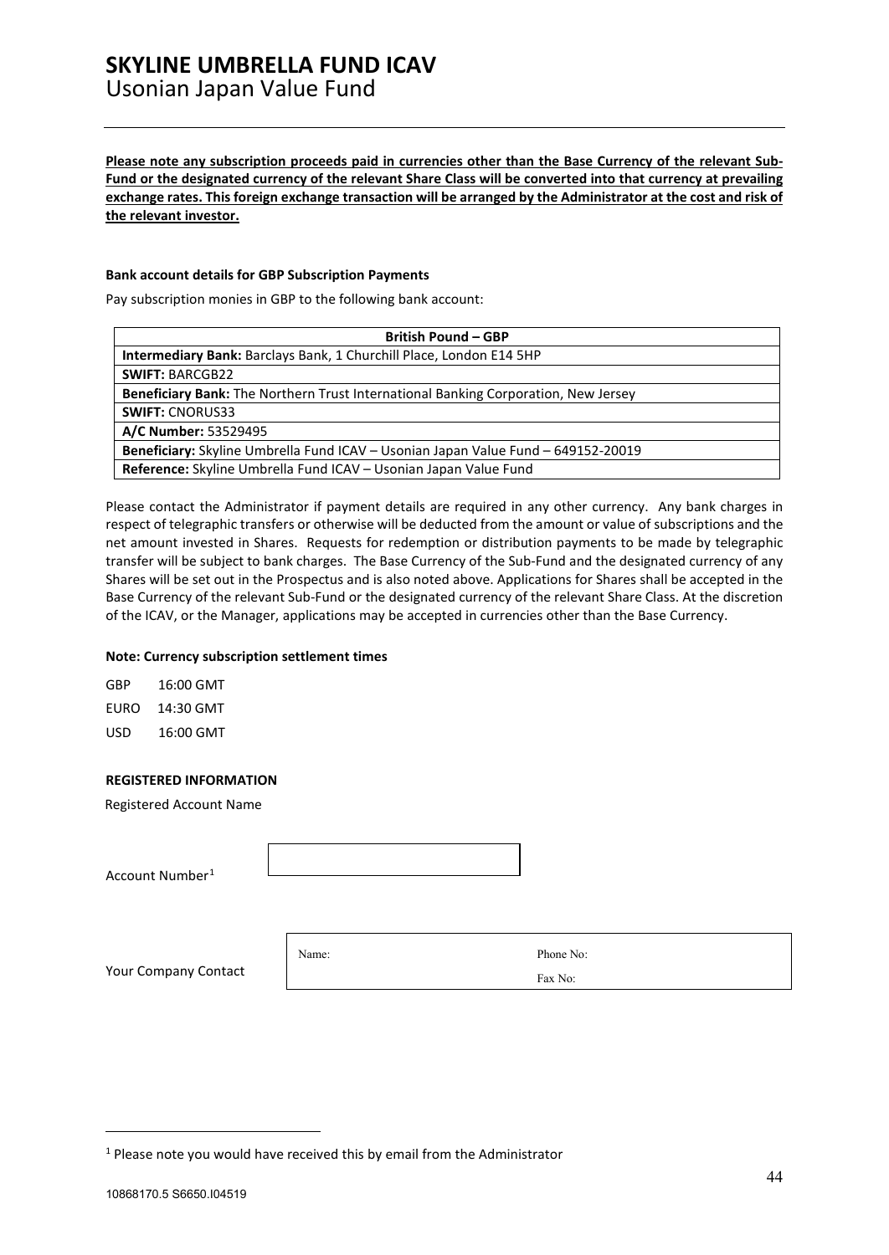### **SKYLINE UMBRELLA FUND ICAV**  Usonian Japan Value Fund

**Please note any subscription proceeds paid in currencies other than the Base Currency of the relevant Sub-Fund or the designated currency of the relevant Share Class will be converted into that currency at prevailing exchange rates. This foreign exchange transaction will be arranged by the Administrator at the cost and risk of the relevant investor.**

#### **Bank account details for GBP Subscription Payments**

Pay subscription monies in GBP to the following bank account:

| <b>British Pound - GBP</b>                                                         |
|------------------------------------------------------------------------------------|
| <b>Intermediary Bank: Barclays Bank, 1 Churchill Place, London E14 5HP</b>         |
| <b>SWIFT: BARCGB22</b>                                                             |
| Beneficiary Bank: The Northern Trust International Banking Corporation, New Jersey |
| <b>SWIFT: CNORUS33</b>                                                             |
| A/C Number: 53529495                                                               |
| Beneficiary: Skyline Umbrella Fund ICAV - Usonian Japan Value Fund - 649152-20019  |
| Reference: Skyline Umbrella Fund ICAV - Usonian Japan Value Fund                   |

Please contact the Administrator if payment details are required in any other currency. Any bank charges in respect of telegraphic transfers or otherwise will be deducted from the amount or value of subscriptions and the net amount invested in Shares. Requests for redemption or distribution payments to be made by telegraphic transfer will be subject to bank charges. The Base Currency of the Sub-Fund and the designated currency of any Shares will be set out in the Prospectus and is also noted above. Applications for Shares shall be accepted in the Base Currency of the relevant Sub-Fund or the designated currency of the relevant Share Class. At the discretion of the ICAV, or the Manager, applications may be accepted in currencies other than the Base Currency.

#### **Note: Currency subscription settlement times**

| GBP  | 16:00 GMT |
|------|-----------|
| EURO | 14:30 GMT |
| USD  | 16:00 GMT |

#### **REGISTERED INFORMATION**

Registered Account Name

Account Number[1](#page-43-0)

Name: Phone No: Fax No:

Your Company Contact

<span id="page-43-0"></span> $1$  Please note you would have received this by email from the Administrator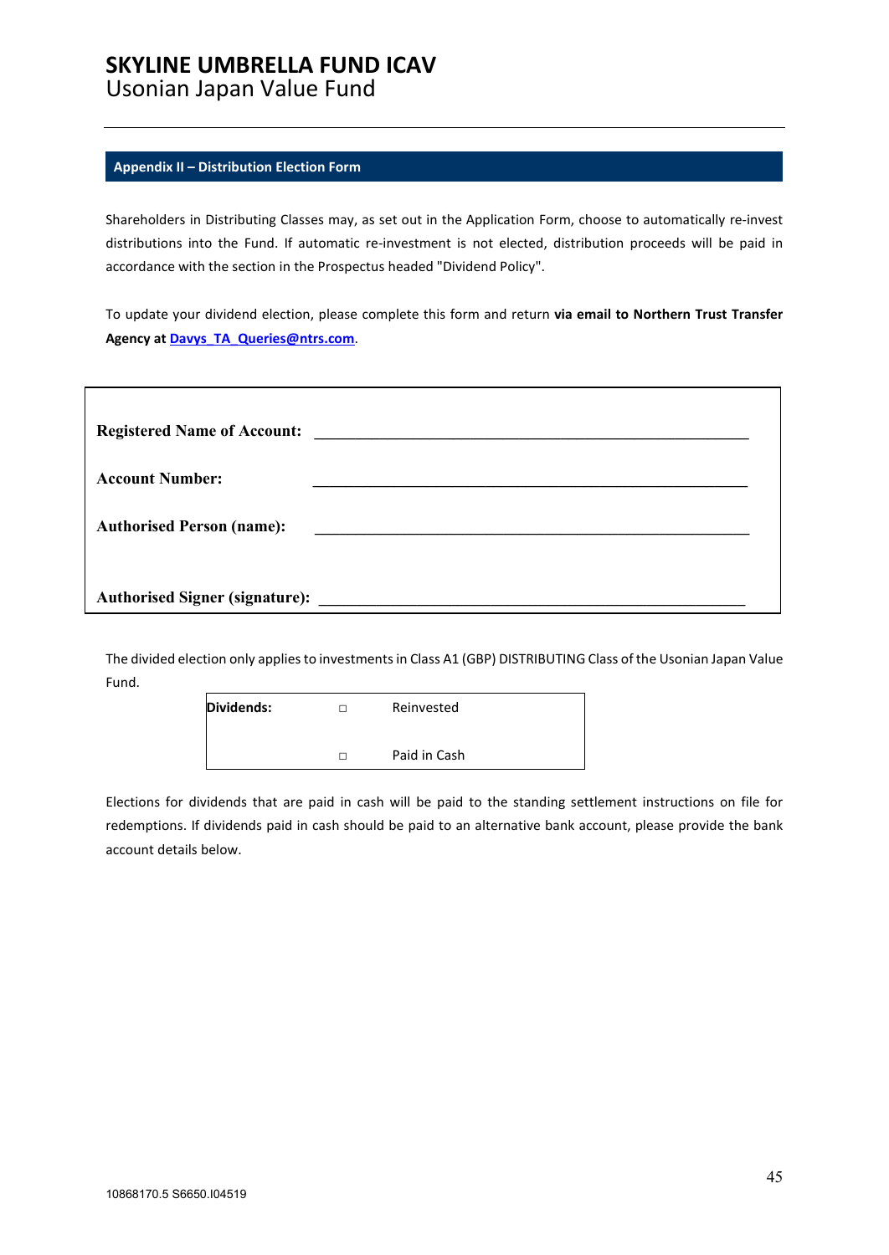## **SKYLINE UMBRELLA FUND ICAV**

Usonian Japan Value Fund

### <span id="page-44-0"></span>**Appendix II – Distribution Election Form**

Shareholders in Distributing Classes may, as set out in the Application Form, choose to automatically re-invest distributions into the Fund. If automatic re-investment is not elected, distribution proceeds will be paid in accordance with the section in the Prospectus headed "Dividend Policy".

To update your dividend election, please complete this form and return **via email to Northern Trust Transfer Agency at [Davys\\_TA\\_Queries@ntrs.com](mailto:Davys_TA_Queries@ntrs.com)**.

|                                  | Registered Name of Account: |
|----------------------------------|-----------------------------|
| <b>Account Number:</b>           |                             |
| <b>Authorised Person (name):</b> |                             |
|                                  |                             |
|                                  |                             |

The divided election only applies to investments in Class A1 (GBP) DISTRIBUTING Class of the Usonian Japan Value Fund.

| Dividends: | Reinvested   |
|------------|--------------|
|            | Paid in Cash |

Elections for dividends that are paid in cash will be paid to the standing settlement instructions on file for redemptions. If dividends paid in cash should be paid to an alternative bank account, please provide the bank account details below.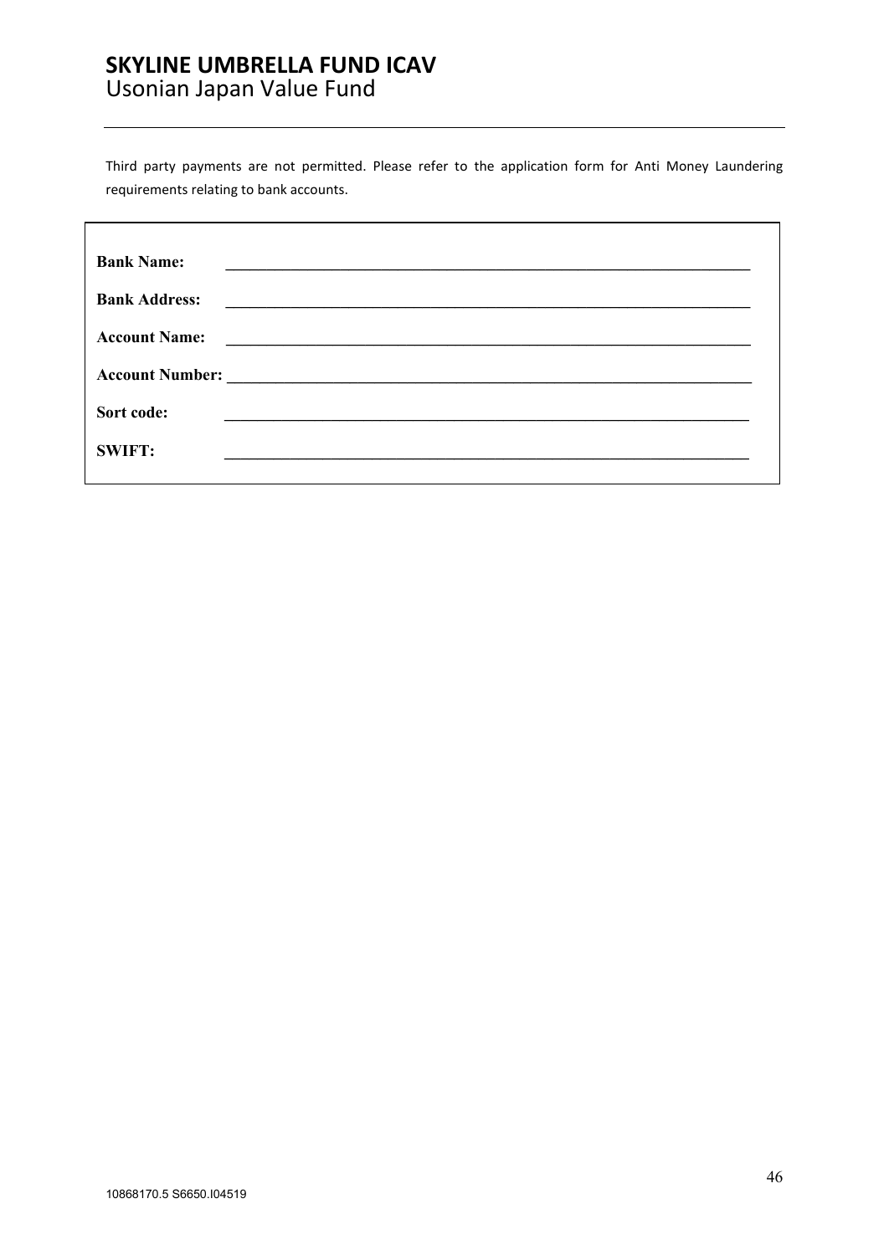### **SKYLINE UMBRELLA FUND ICAV**  Usonian Japan Value Fund

Third party payments are not permitted. Please refer to the application form for Anti Money Laundering requirements relating to bank accounts.

| <b>Bank Name:</b>    |  |
|----------------------|--|
| <b>Bank Address:</b> |  |
| <b>Account Name:</b> |  |
|                      |  |
| Sort code:           |  |
| <b>SWIFT:</b>        |  |
|                      |  |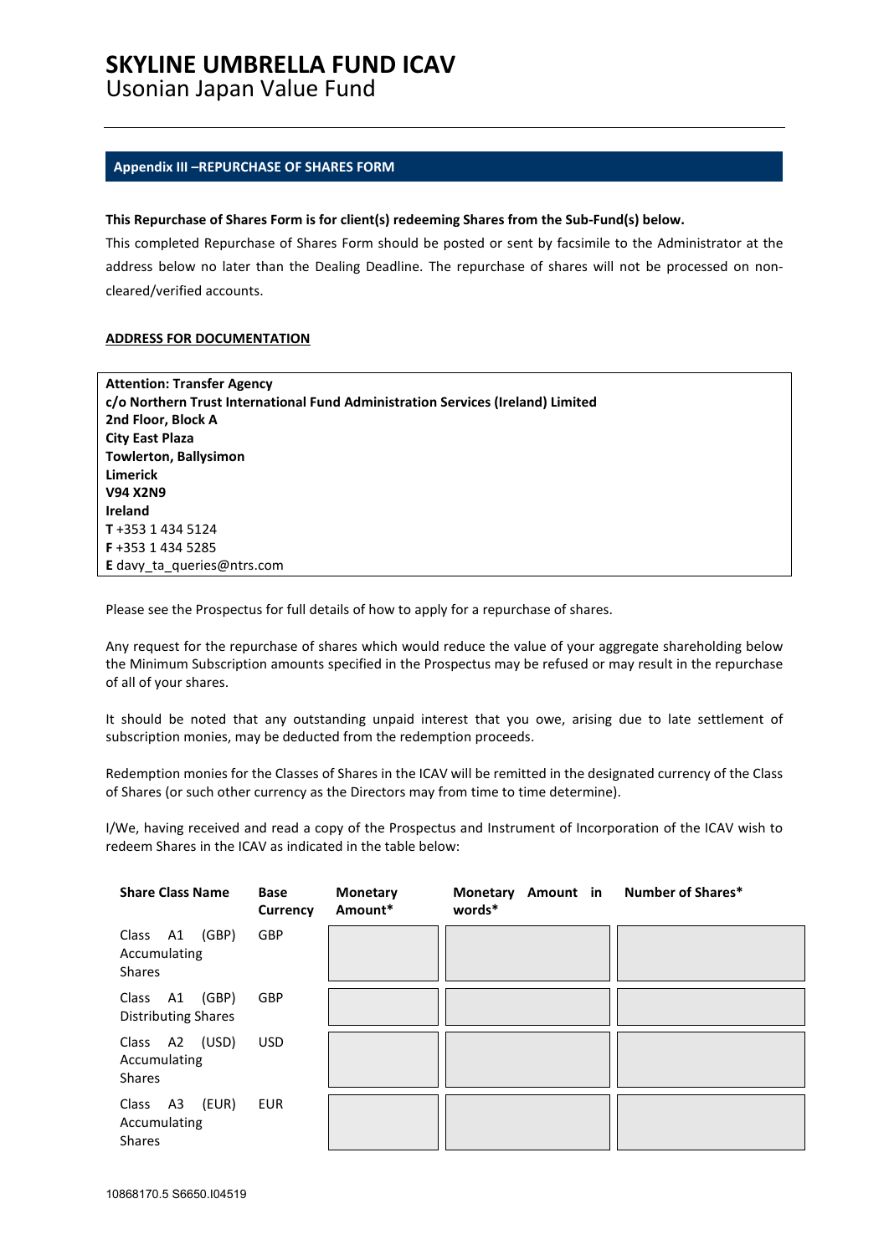## **SKYLINE UMBRELLA FUND ICAV**

Usonian Japan Value Fund

### <span id="page-46-0"></span>**Appendix III –REPURCHASE OF SHARES FORM**

### **This Repurchase of Shares Form is for client(s) redeeming Shares from the Sub-Fund(s) below.**

This completed Repurchase of Shares Form should be posted or sent by facsimile to the Administrator at the address below no later than the Dealing Deadline. The repurchase of shares will not be processed on noncleared/verified accounts.

### **ADDRESS FOR DOCUMENTATION**

| <b>Attention: Transfer Agency</b>                                               |
|---------------------------------------------------------------------------------|
| c/o Northern Trust International Fund Administration Services (Ireland) Limited |
| 2nd Floor, Block A                                                              |
| City East Plaza                                                                 |
| <b>Towlerton, Ballysimon</b>                                                    |
| <b>Limerick</b>                                                                 |
| <b>V94 X2N9</b>                                                                 |
| <b>Ireland</b>                                                                  |
| T+353 1 434 5124                                                                |
| F+353 1434 5285                                                                 |
| E davy ta queries@ntrs.com                                                      |

Please see the Prospectus for full details of how to apply for a repurchase of shares.

Any request for the repurchase of shares which would reduce the value of your aggregate shareholding below the Minimum Subscription amounts specified in the Prospectus may be refused or may result in the repurchase of all of your shares.

It should be noted that any outstanding unpaid interest that you owe, arising due to late settlement of subscription monies, may be deducted from the redemption proceeds.

Redemption monies for the Classes of Shares in the ICAV will be remitted in the designated currency of the Class of Shares (or such other currency as the Directors may from time to time determine).

I/We, having received and read a copy of the Prospectus and Instrument of Incorporation of the ICAV wish to redeem Shares in the ICAV as indicated in the table below:

| <b>Share Class Name</b>                            | <b>Base</b><br><b>Currency</b> | <b>Monetary</b><br>Amount* | Monetary Amount in<br>words* | <b>Number of Shares*</b> |
|----------------------------------------------------|--------------------------------|----------------------------|------------------------------|--------------------------|
| (GBP)<br>Class A1<br>Accumulating<br><b>Shares</b> | GBP                            |                            |                              |                          |
| (GBP)<br>Class A1<br><b>Distributing Shares</b>    | <b>GBP</b>                     |                            |                              |                          |
| Class A2 (USD)<br>Accumulating<br><b>Shares</b>    | <b>USD</b>                     |                            |                              |                          |
| Class A3<br>(EUR)<br>Accumulating<br><b>Shares</b> | <b>EUR</b>                     |                            |                              |                          |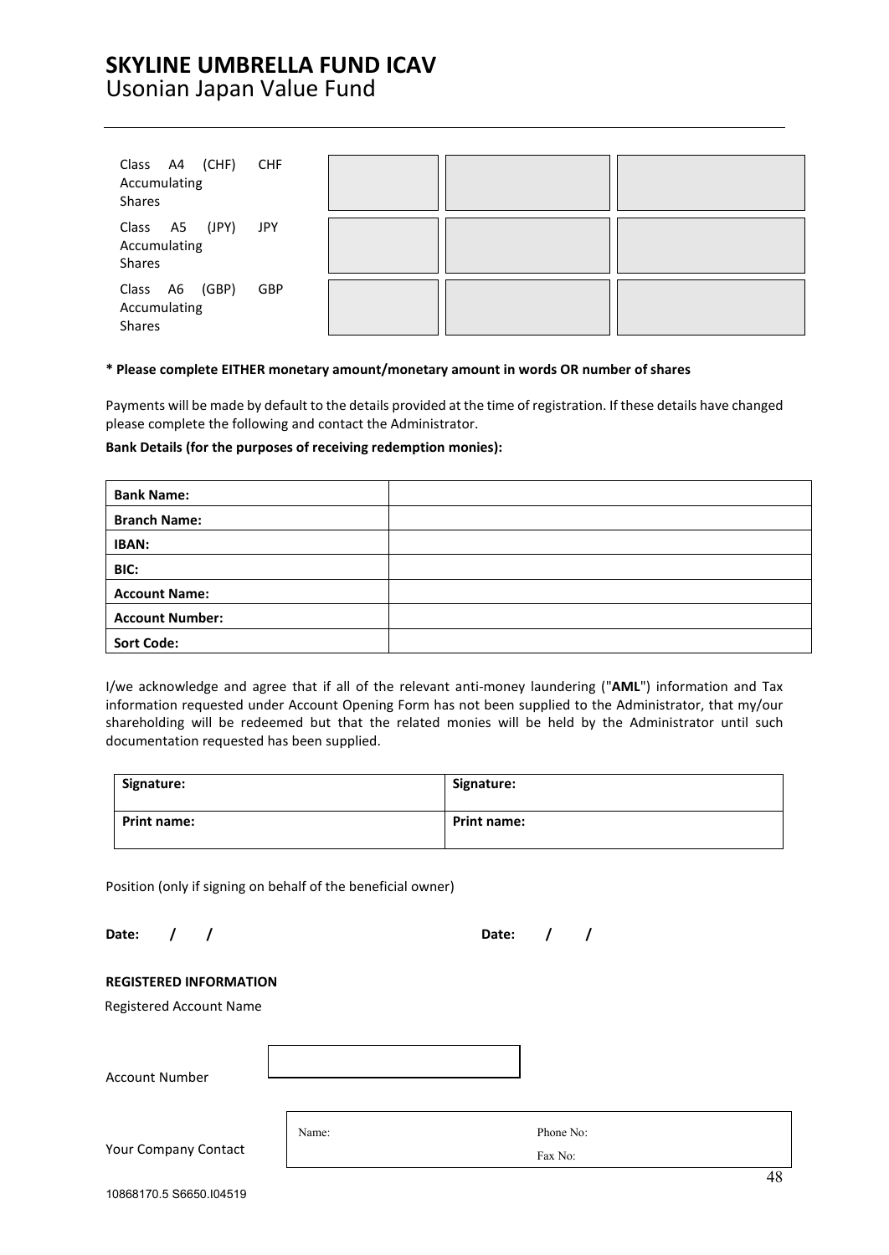### **SKYLINE UMBRELLA FUND ICAV**  Usonian Japan Value Fund

| Class A4 (CHF)<br>Accumulating<br><b>Shares</b>    | CHF        |  |  |
|----------------------------------------------------|------------|--|--|
| A5 (JPY)<br>Class<br>Accumulating<br><b>Shares</b> | JPY        |  |  |
| Class A6 (GBP)<br>Accumulating<br><b>Shares</b>    | <b>GBP</b> |  |  |

#### **\* Please complete EITHER monetary amount/monetary amount in words OR number of shares**

Payments will be made by default to the details provided at the time of registration. If these details have changed please complete the following and contact the Administrator.

### **Bank Details (for the purposes of receiving redemption monies):**

| <b>Bank Name:</b>      |  |
|------------------------|--|
| <b>Branch Name:</b>    |  |
| IBAN:                  |  |
| BIC:                   |  |
| <b>Account Name:</b>   |  |
| <b>Account Number:</b> |  |
| <b>Sort Code:</b>      |  |

I/we acknowledge and agree that if all of the relevant anti-money laundering ("**AML**") information and Tax information requested under Account Opening Form has not been supplied to the Administrator, that my/our shareholding will be redeemed but that the related monies will be held by the Administrator until such documentation requested has been supplied.

| Signature:         | Signature:         |
|--------------------|--------------------|
| <b>Print name:</b> | <b>Print name:</b> |

Position (only if signing on behalf of the beneficial owner)

**Date: / / Date: / /**

**REGISTERED INFORMATION** Registered Account Name Account Number Your Company Contact Name: Phone No: Fax No: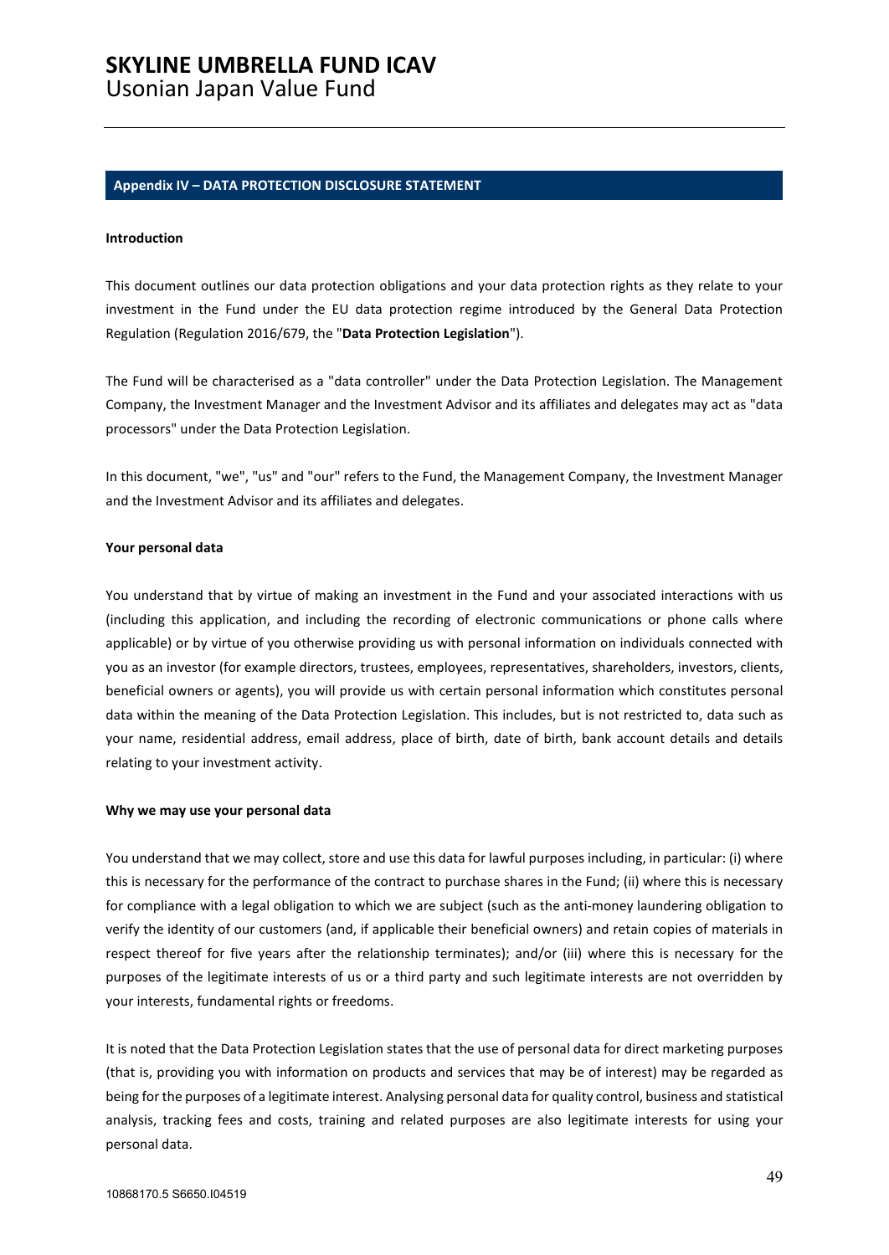# **SKYLINE UMBRELLA FUND ICAV**

Usonian Japan Value Fund

### <span id="page-48-0"></span>**Appendix IV – DATA PROTECTION DISCLOSURE STATEMENT**

#### **Introduction**

This document outlines our data protection obligations and your data protection rights as they relate to your investment in the Fund under the EU data protection regime introduced by the General Data Protection Regulation (Regulation 2016/679, the "**Data Protection Legislation**").

The Fund will be characterised as a "data controller" under the Data Protection Legislation. The Management Company, the Investment Manager and the Investment Advisor and its affiliates and delegates may act as "data processors" under the Data Protection Legislation.

In this document, "we", "us" and "our" refers to the Fund, the Management Company, the Investment Manager and the Investment Advisor and its affiliates and delegates.

#### **Your personal data**

You understand that by virtue of making an investment in the Fund and your associated interactions with us (including this application, and including the recording of electronic communications or phone calls where applicable) or by virtue of you otherwise providing us with personal information on individuals connected with you as an investor (for example directors, trustees, employees, representatives, shareholders, investors, clients, beneficial owners or agents), you will provide us with certain personal information which constitutes personal data within the meaning of the Data Protection Legislation. This includes, but is not restricted to, data such as your name, residential address, email address, place of birth, date of birth, bank account details and details relating to your investment activity.

#### **Why we may use your personal data**

You understand that we may collect, store and use this data for lawful purposes including, in particular: (i) where this is necessary for the performance of the contract to purchase shares in the Fund; (ii) where this is necessary for compliance with a legal obligation to which we are subject (such as the anti-money laundering obligation to verify the identity of our customers (and, if applicable their beneficial owners) and retain copies of materials in respect thereof for five years after the relationship terminates); and/or (iii) where this is necessary for the purposes of the legitimate interests of us or a third party and such legitimate interests are not overridden by your interests, fundamental rights or freedoms.

It is noted that the Data Protection Legislation states that the use of personal data for direct marketing purposes (that is, providing you with information on products and services that may be of interest) may be regarded as being for the purposes of a legitimate interest. Analysing personal data for quality control, business and statistical analysis, tracking fees and costs, training and related purposes are also legitimate interests for using your personal data.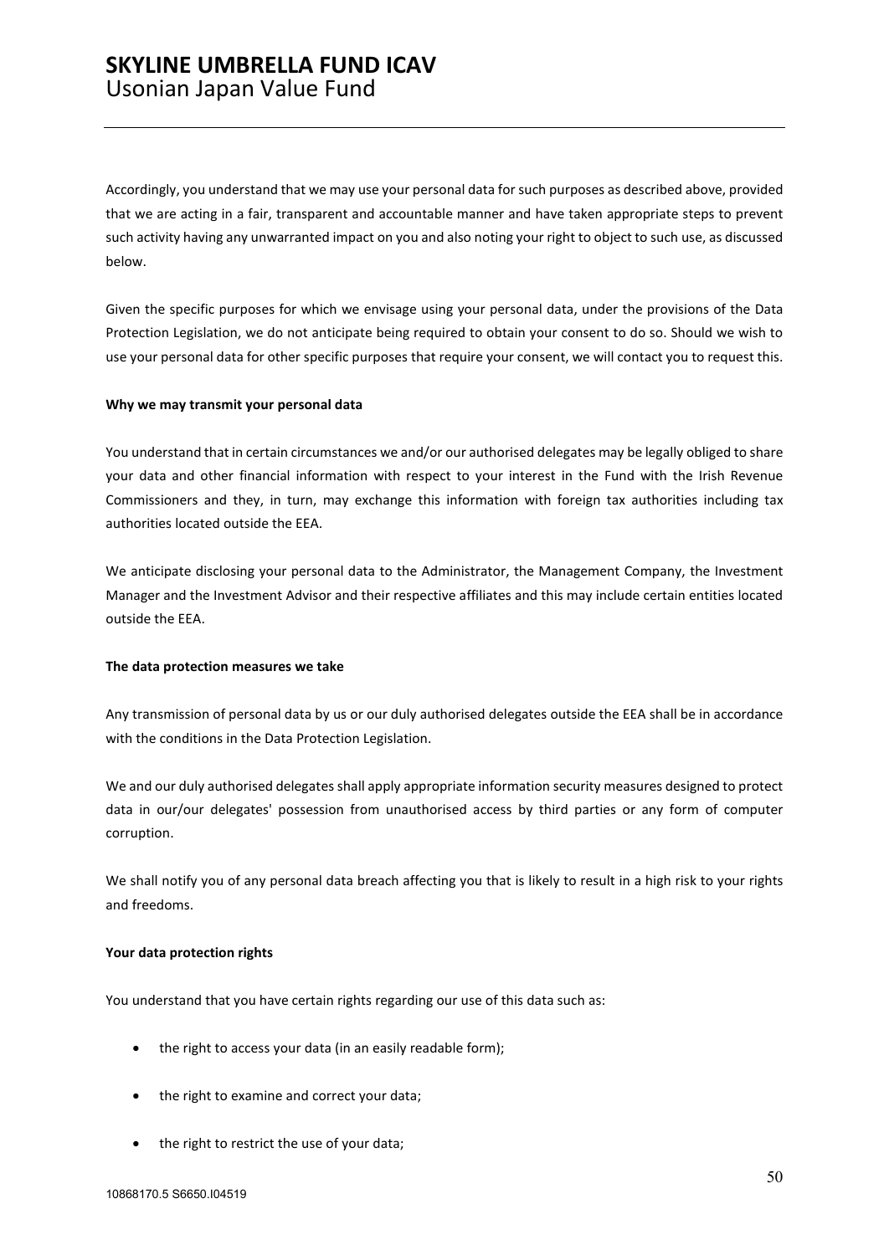### **SKYLINE UMBRELLA FUND ICAV**  Usonian Japan Value Fund

Accordingly, you understand that we may use your personal data for such purposes as described above, provided that we are acting in a fair, transparent and accountable manner and have taken appropriate steps to prevent such activity having any unwarranted impact on you and also noting your right to object to such use, as discussed below.

Given the specific purposes for which we envisage using your personal data, under the provisions of the Data Protection Legislation, we do not anticipate being required to obtain your consent to do so. Should we wish to use your personal data for other specific purposes that require your consent, we will contact you to request this.

### **Why we may transmit your personal data**

You understand that in certain circumstances we and/or our authorised delegates may be legally obliged to share your data and other financial information with respect to your interest in the Fund with the Irish Revenue Commissioners and they, in turn, may exchange this information with foreign tax authorities including tax authorities located outside the EEA.

We anticipate disclosing your personal data to the Administrator, the Management Company, the Investment Manager and the Investment Advisor and their respective affiliates and this may include certain entities located outside the EEA.

### **The data protection measures we take**

Any transmission of personal data by us or our duly authorised delegates outside the EEA shall be in accordance with the conditions in the Data Protection Legislation.

We and our duly authorised delegates shall apply appropriate information security measures designed to protect data in our/our delegates' possession from unauthorised access by third parties or any form of computer corruption.

We shall notify you of any personal data breach affecting you that is likely to result in a high risk to your rights and freedoms.

### **Your data protection rights**

You understand that you have certain rights regarding our use of this data such as:

- the right to access your data (in an easily readable form);
- the right to examine and correct your data;
- the right to restrict the use of your data;